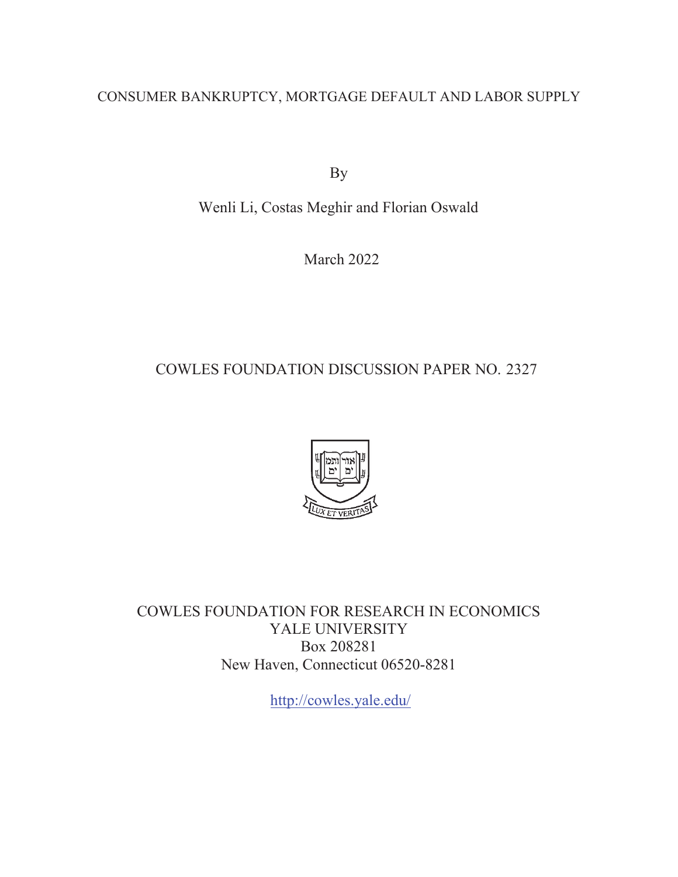# CONSUMER BANKRUPTCY, MORTGAGE DEFAULT AND LABOR SUPPLY

By

Wenli Li, Costas Meghir and Florian Oswald

March 2022

# COWLES FOUNDATION DISCUSSION PAPER NO. 2327



COWLES FOUNDATION FOR RESEARCH IN ECONOMICS YALE UNIVERSITY Box 208281 New Haven, Connecticut 06520-8281

http://cowles.yale.edu/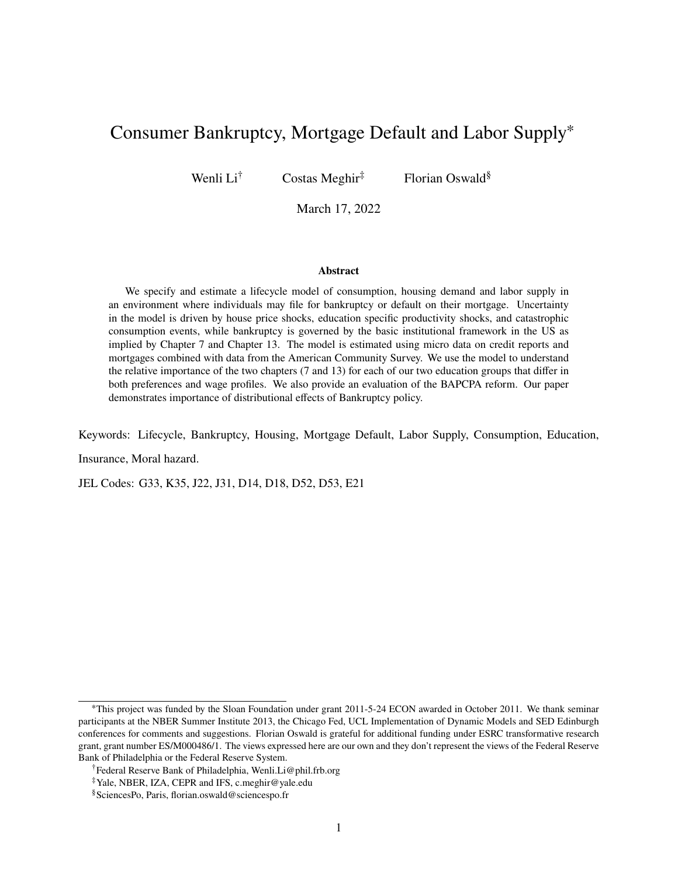# <span id="page-1-0"></span>Consumer Bankruptcy, Mortgage Default and Labor Supply<sup>∗</sup>

Wenli  $Li^{\dagger}$  Costas Meghir<sup>‡</sup> Florian Oswald<sup>§</sup>

March 17, 2022

#### **Abstract**

We specify and estimate a lifecycle model of consumption, housing demand and labor supply in an environment where individuals may file for bankruptcy or default on their mortgage. Uncertainty in the model is driven by house price shocks, education specific productivity shocks, and catastrophic consumption events, while bankruptcy is governed by the basic institutional framework in the US as implied by Chapter 7 and Chapter 13. The model is estimated using micro data on credit reports and mortgages combined with data from the American Community Survey. We use the model to understand the relative importance of the two chapters (7 and 13) for each of our two education groups that differ in both preferences and wage profiles. We also provide an evaluation of the BAPCPA reform. Our paper demonstrates importance of distributional effects of Bankruptcy policy.

Keywords: Lifecycle, Bankruptcy, Housing, Mortgage Default, Labor Supply, Consumption, Education, Insurance, Moral hazard.

JEL Codes: G33, K35, J22, J31, D14, D18, D52, D53, E21

<sup>∗</sup>This project was funded by the Sloan Foundation under grant 2011-5-24 ECON awarded in October 2011. We thank seminar participants at the NBER Summer Institute 2013, the Chicago Fed, UCL Implementation of Dynamic Models and SED Edinburgh conferences for comments and suggestions. Florian Oswald is grateful for additional funding under ESRC transformative research grant, grant number ES/M000486/1. The views expressed here are our own and they don't represent the views of the Federal Reserve Bank of Philadelphia or the Federal Reserve System.

<sup>†</sup>Federal Reserve Bank of Philadelphia, Wenli.Li@phil.frb.org

<sup>‡</sup>Yale, NBER, IZA, CEPR and IFS, c.meghir@yale.edu

<sup>§</sup>SciencesPo, Paris, florian.oswald@sciencespo.fr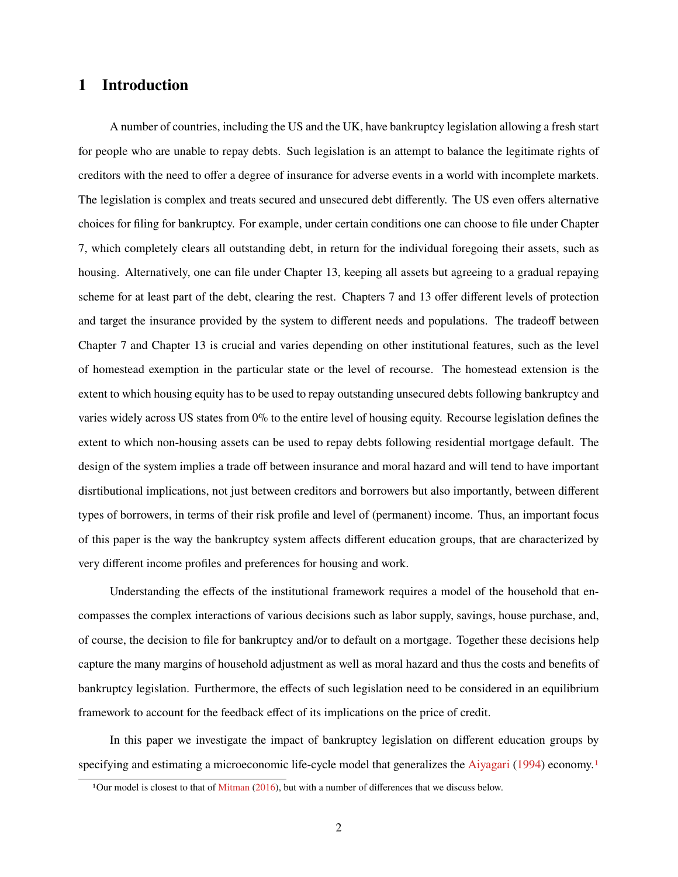### **1 Introduction**

A number of countries, including the US and the UK, have bankruptcy legislation allowing a fresh start for people who are unable to repay debts. Such legislation is an attempt to balance the legitimate rights of creditors with the need to offer a degree of insurance for adverse events in a world with incomplete markets. The legislation is complex and treats secured and unsecured debt differently. The US even offers alternative choices for filing for bankruptcy. For example, under certain conditions one can choose to file under Chapter 7, which completely clears all outstanding debt, in return for the individual foregoing their assets, such as housing. Alternatively, one can file under Chapter 13, keeping all assets but agreeing to a gradual repaying scheme for at least part of the debt, clearing the rest. Chapters 7 and 13 offer different levels of protection and target the insurance provided by the system to different needs and populations. The tradeoff between Chapter 7 and Chapter 13 is crucial and varies depending on other institutional features, such as the level of homestead exemption in the particular state or the level of recourse. The homestead extension is the extent to which housing equity has to be used to repay outstanding unsecured debts following bankruptcy and varies widely across US states from 0% to the entire level of housing equity. Recourse legislation defines the extent to which non-housing assets can be used to repay debts following residential mortgage default. The design of the system implies a trade off between insurance and moral hazard and will tend to have important disrtibutional implications, not just between creditors and borrowers but also importantly, between different types of borrowers, in terms of their risk profile and level of (permanent) income. Thus, an important focus of this paper is the way the bankruptcy system affects different education groups, that are characterized by very different income profiles and preferences for housing and work.

Understanding the effects of the institutional framework requires a model of the household that encompasses the complex interactions of various decisions such as labor supply, savings, house purchase, and, of course, the decision to file for bankruptcy and/or to default on a mortgage. Together these decisions help capture the many margins of household adjustment as well as moral hazard and thus the costs and benefits of bankruptcy legislation. Furthermore, the effects of such legislation need to be considered in an equilibrium framework to account for the feedback effect of its implications on the price of credit.

In this paper we investigate the impact of bankruptcy legislation on different education groups by specifying and estimating a microeconomic life-cycle model that generalizes the [Aiyagari](#page-37-0) [\(1994\)](#page-37-0) economy.<sup>[1](#page-1-0)</sup>

<sup>1</sup>Our model is closest to that of [Mitman](#page-38-0) [\(2016\)](#page-38-0), but with a number of differences that we discuss below.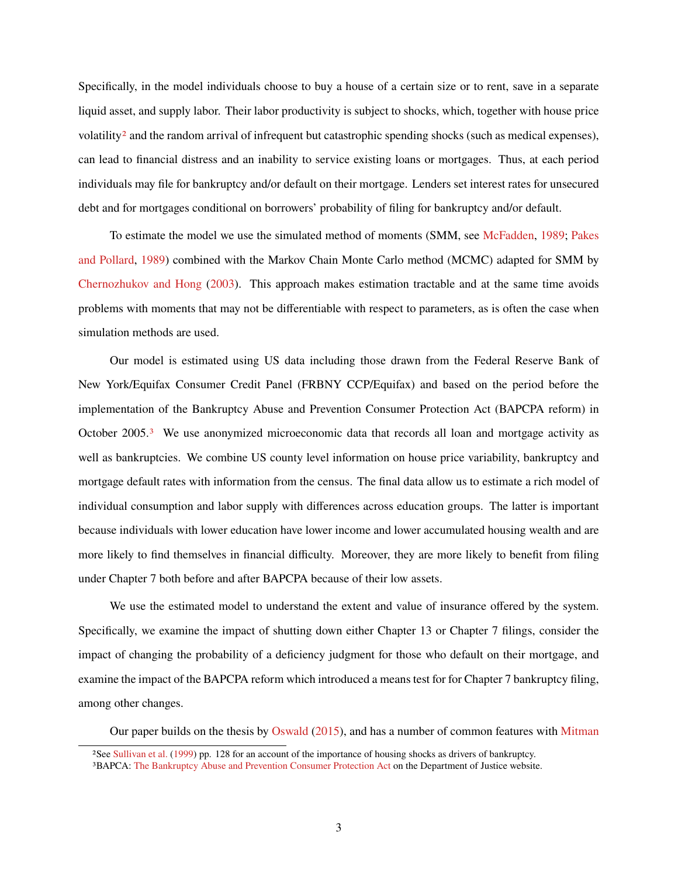Specifically, in the model individuals choose to buy a house of a certain size or to rent, save in a separate liquid asset, and supply labor. Their labor productivity is subject to shocks, which, together with house price volatility<sup>[2](#page-1-0)</sup> and the random arrival of infrequent but catastrophic spending shocks (such as medical expenses), can lead to financial distress and an inability to service existing loans or mortgages. Thus, at each period individuals may file for bankruptcy and/or default on their mortgage. Lenders set interest rates for unsecured debt and for mortgages conditional on borrowers' probability of filing for bankruptcy and/or default.

To estimate the model we use the simulated method of moments (SMM, see [McFadden,](#page-38-1) [1989;](#page-38-1) [Pakes](#page-38-2) [and Pollard,](#page-38-2) [1989\)](#page-38-2) combined with the Markov Chain Monte Carlo method (MCMC) adapted for SMM by [Chernozhukov and Hong](#page-37-1) [\(2003\)](#page-37-1). This approach makes estimation tractable and at the same time avoids problems with moments that may not be differentiable with respect to parameters, as is often the case when simulation methods are used.

Our model is estimated using US data including those drawn from the Federal Reserve Bank of New York/Equifax Consumer Credit Panel (FRBNY CCP/Equifax) and based on the period before the implementation of the Bankruptcy Abuse and Prevention Consumer Protection Act (BAPCPA reform) in October 2005.[3](#page-1-0) We use anonymized microeconomic data that records all loan and mortgage activity as well as bankruptcies. We combine US county level information on house price variability, bankruptcy and mortgage default rates with information from the census. The final data allow us to estimate a rich model of individual consumption and labor supply with differences across education groups. The latter is important because individuals with lower education have lower income and lower accumulated housing wealth and are more likely to find themselves in financial difficulty. Moreover, they are more likely to benefit from filing under Chapter 7 both before and after BAPCPA because of their low assets.

We use the estimated model to understand the extent and value of insurance offered by the system. Specifically, we examine the impact of shutting down either Chapter 13 or Chapter 7 filings, consider the impact of changing the probability of a deficiency judgment for those who default on their mortgage, and examine the impact of the BAPCPA reform which introduced a means test for for Chapter 7 bankruptcy filing, among other changes.

Our paper builds on the thesis by [Oswald](#page-38-3) [\(2015\)](#page-38-3), and has a number of common features with [Mitman](#page-38-0)

<sup>2</sup>See [Sullivan et al.](#page-38-4) [\(1999\)](#page-38-4) pp. 128 for an account of the importance of housing shocks as drivers of bankruptcy.

<sup>3</sup>BAPCA: [The Bankruptcy Abuse and Prevention Consumer Protection Act](https://www.justice.gov/sites/default/files/usao/legacy/2006/09/07/usab5404.pdf) on the Department of Justice website.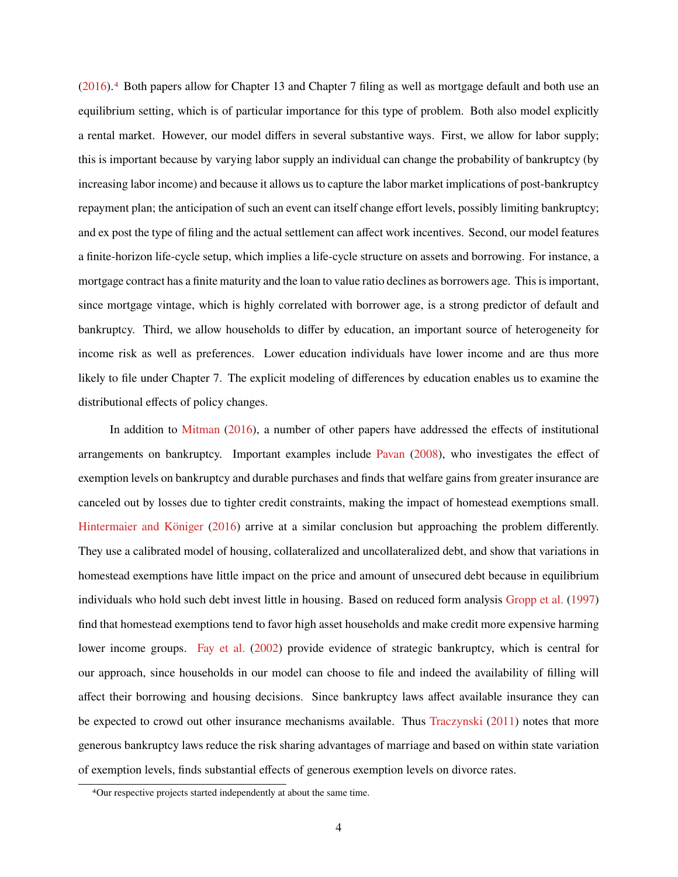[\(2016\)](#page-38-0).[4](#page-1-0) Both papers allow for Chapter 13 and Chapter 7 filing as well as mortgage default and both use an equilibrium setting, which is of particular importance for this type of problem. Both also model explicitly a rental market. However, our model differs in several substantive ways. First, we allow for labor supply; this is important because by varying labor supply an individual can change the probability of bankruptcy (by increasing labor income) and because it allows us to capture the labor market implications of post-bankruptcy repayment plan; the anticipation of such an event can itself change effort levels, possibly limiting bankruptcy; and ex post the type of filing and the actual settlement can affect work incentives. Second, our model features a finite-horizon life-cycle setup, which implies a life-cycle structure on assets and borrowing. For instance, a mortgage contract has a finite maturity and the loan to value ratio declines as borrowers age. This is important, since mortgage vintage, which is highly correlated with borrower age, is a strong predictor of default and bankruptcy. Third, we allow households to differ by education, an important source of heterogeneity for income risk as well as preferences. Lower education individuals have lower income and are thus more likely to file under Chapter 7. The explicit modeling of differences by education enables us to examine the distributional effects of policy changes.

In addition to [Mitman](#page-38-0) [\(2016\)](#page-38-0), a number of other papers have addressed the effects of institutional arrangements on bankruptcy. Important examples include [Pavan](#page-38-5) [\(2008\)](#page-38-5), who investigates the effect of exemption levels on bankruptcy and durable purchases and finds that welfare gains from greater insurance are canceled out by losses due to tighter credit constraints, making the impact of homestead exemptions small. [Hintermaier and Königer](#page-37-2) [\(2016\)](#page-37-2) arrive at a similar conclusion but approaching the problem differently. They use a calibrated model of housing, collateralized and uncollateralized debt, and show that variations in homestead exemptions have little impact on the price and amount of unsecured debt because in equilibrium individuals who hold such debt invest little in housing. Based on reduced form analysis [Gropp et al.](#page-37-3) [\(1997\)](#page-37-3) find that homestead exemptions tend to favor high asset households and make credit more expensive harming lower income groups. [Fay et al.](#page-37-4) [\(2002\)](#page-37-4) provide evidence of strategic bankruptcy, which is central for our approach, since households in our model can choose to file and indeed the availability of filling will affect their borrowing and housing decisions. Since bankruptcy laws affect available insurance they can be expected to crowd out other insurance mechanisms available. Thus [Traczynski](#page-38-6) [\(2011\)](#page-38-6) notes that more generous bankruptcy laws reduce the risk sharing advantages of marriage and based on within state variation of exemption levels, finds substantial effects of generous exemption levels on divorce rates.

<sup>4</sup>Our respective projects started independently at about the same time.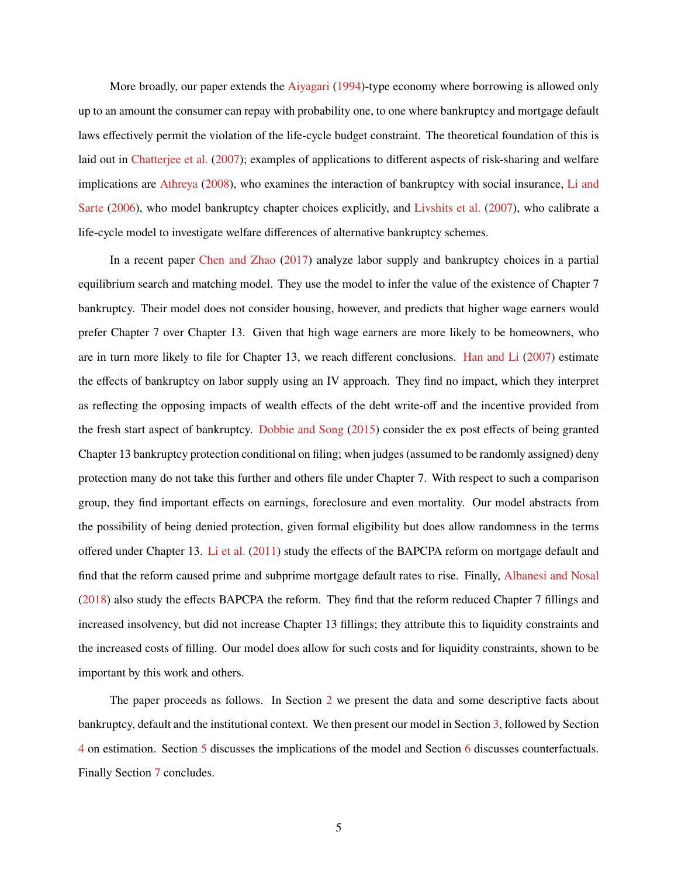More broadly, our paper extends the [Aiyagari](#page-37-0) [\(1994\)](#page-37-0)-type economy where borrowing is allowed only up to an amount the consumer can repay with probability one, to one where bankruptcy and mortgage default laws effectively permit the violation of the life-cycle budget constraint. The theoretical foundation of this is laid out in [Chatterjee et al.](#page-37-5) [\(2007\)](#page-37-5); examples of applications to different aspects of risk-sharing and welfare implications are [Athreya](#page-37-6) [\(2008\)](#page-37-6), who examines the interaction of bankruptcy with social insurance, [Li and](#page-38-7) [Sarte](#page-38-7) [\(2006\)](#page-38-7), who model bankruptcy chapter choices explicitly, and [Livshits et al.](#page-38-8) [\(2007\)](#page-38-8), who calibrate a life-cycle model to investigate welfare differences of alternative bankruptcy schemes.

In a recent paper [Chen and Zhao](#page-37-7) [\(2017\)](#page-37-7) analyze labor supply and bankruptcy choices in a partial equilibrium search and matching model. They use the model to infer the value of the existence of Chapter 7 bankruptcy. Their model does not consider housing, however, and predicts that higher wage earners would prefer Chapter 7 over Chapter 13. Given that high wage earners are more likely to be homeowners, who are in turn more likely to file for Chapter 13, we reach different conclusions. [Han and Li](#page-37-8) [\(2007\)](#page-37-8) estimate the effects of bankruptcy on labor supply using an IV approach. They find no impact, which they interpret as reflecting the opposing impacts of wealth effects of the debt write-off and the incentive provided from the fresh start aspect of bankruptcy. [Dobbie and Song](#page-37-9) [\(2015\)](#page-37-9) consider the ex post effects of being granted Chapter 13 bankruptcy protection conditional on filing; when judges (assumed to be randomly assigned) deny protection many do not take this further and others file under Chapter 7. With respect to such a comparison group, they find important effects on earnings, foreclosure and even mortality. Our model abstracts from the possibility of being denied protection, given formal eligibility but does allow randomness in the terms offered under Chapter 13. [Li et al.](#page-38-9) [\(2011\)](#page-38-9) study the effects of the BAPCPA reform on mortgage default and find that the reform caused prime and subprime mortgage default rates to rise. Finally, [Albanesi and Nosal](#page-37-10) [\(2018\)](#page-37-10) also study the effects BAPCPA the reform. They find that the reform reduced Chapter 7 fillings and increased insolvency, but did not increase Chapter 13 fillings; they attribute this to liquidity constraints and the increased costs of filling. Our model does allow for such costs and for liquidity constraints, shown to be important by this work and others.

The paper proceeds as follows. In Section [2](#page-6-0) we present the data and some descriptive facts about bankruptcy, default and the institutional context. We then present our model in Section [3,](#page-12-0) followed by Section [4](#page-21-0) on estimation. Section [5](#page-23-0) discusses the implications of the model and Section [6](#page-31-0) discusses counterfactuals. Finally Section [7](#page-35-0) concludes.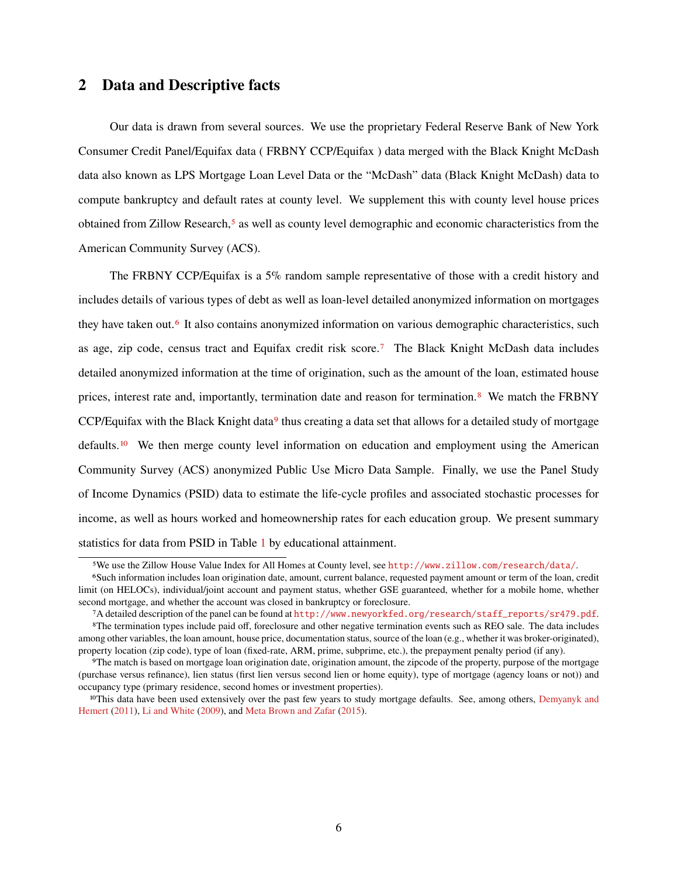### <span id="page-6-0"></span>**2 Data and Descriptive facts**

Our data is drawn from several sources. We use the proprietary Federal Reserve Bank of New York Consumer Credit Panel/Equifax data ( FRBNY CCP/Equifax ) data merged with the Black Knight McDash data also known as LPS Mortgage Loan Level Data or the "McDash" data (Black Knight McDash) data to compute bankruptcy and default rates at county level. We supplement this with county level house prices obtained from Zillow Research,<sup>[5](#page-1-0)</sup> as well as county level demographic and economic characteristics from the American Community Survey (ACS).

The FRBNY CCP/Equifax is a 5% random sample representative of those with a credit history and includes details of various types of debt as well as loan-level detailed anonymized information on mortgages they have taken out.[6](#page-1-0) It also contains anonymized information on various demographic characteristics, such as age, zip code, census tract and Equifax credit risk score.[7](#page-1-0) The Black Knight McDash data includes detailed anonymized information at the time of origination, such as the amount of the loan, estimated house prices, interest rate and, importantly, termination date and reason for termination.[8](#page-1-0) We match the FRBNY CCP/Equifax with the Black Knight data $9$  thus creating a data set that allows for a detailed study of mortgage defaults.[10](#page-1-0) We then merge county level information on education and employment using the American Community Survey (ACS) anonymized Public Use Micro Data Sample. Finally, we use the Panel Study of Income Dynamics (PSID) data to estimate the life-cycle profiles and associated stochastic processes for income, as well as hours worked and homeownership rates for each education group. We present summary statistics for data from PSID in Table [1](#page-7-0) by educational attainment.

<sup>5</sup>We use the Zillow House Value Index for All Homes at County level, see <http://www.zillow.com/research/data/>.

<sup>6</sup>Such information includes loan origination date, amount, current balance, requested payment amount or term of the loan, credit limit (on HELOCs), individual/joint account and payment status, whether GSE guaranteed, whether for a mobile home, whether second mortgage, and whether the account was closed in bankruptcy or foreclosure.

<sup>7</sup>A detailed description of the panel can be found at [http://www.newyorkfed.org/research/staff\\_reports/sr479.pdf](http://www.newyorkfed.org/research/staff_reports/sr479.pdf).

<sup>8</sup>The termination types include paid off, foreclosure and other negative termination events such as REO sale. The data includes among other variables, the loan amount, house price, documentation status, source of the loan (e.g., whether it was broker-originated), property location (zip code), type of loan (fixed-rate, ARM, prime, subprime, etc.), the prepayment penalty period (if any).

<sup>9</sup>The match is based on mortgage loan origination date, origination amount, the zipcode of the property, purpose of the mortgage (purchase versus refinance), lien status (first lien versus second lien or home equity), type of mortgage (agency loans or not)) and occupancy type (primary residence, second homes or investment properties).

<sup>&</sup>lt;sup>10</sup>This data have been used extensively over the past few years to study mortgage defaults. See, among others, [Demyanyk and](#page-37-11) [Hemert](#page-37-11) [\(2011\)](#page-37-11), [Li and White](#page-38-10) [\(2009\)](#page-38-10), and [Meta Brown and Zafar](#page-37-12) [\(2015\)](#page-37-12).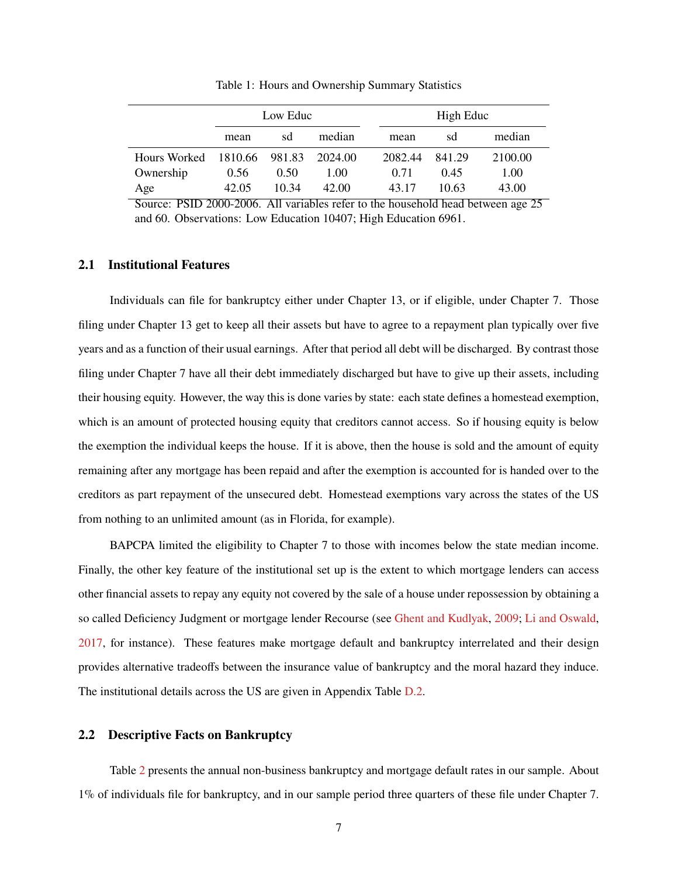<span id="page-7-0"></span>

|                             | Low Educ |       |         | High Educ |         |        |         |
|-----------------------------|----------|-------|---------|-----------|---------|--------|---------|
|                             | mean     | sd    | median  |           | mean    | sd     | median  |
| Hours Worked 1810.66 981.83 |          |       | 2024.00 |           | 2082.44 | 841.29 | 2100.00 |
| Ownership                   | 0.56     | 0.50  | 1.00    |           | 0.71    | 0.45   | 1.00    |
| Age                         | 42.05    | 10.34 | 42.00   |           | 43.17   | 10.63  | 43.00   |

Table 1: Hours and Ownership Summary Statistics

Source: PSID 2000-2006. All variables refer to the household head between age 25 and 60. Observations: Low Education 10407; High Education 6961.

### **2.1 Institutional Features**

Individuals can file for bankruptcy either under Chapter 13, or if eligible, under Chapter 7. Those filing under Chapter 13 get to keep all their assets but have to agree to a repayment plan typically over five years and as a function of their usual earnings. After that period all debt will be discharged. By contrast those filing under Chapter 7 have all their debt immediately discharged but have to give up their assets, including their housing equity. However, the way this is done varies by state: each state defines a homestead exemption, which is an amount of protected housing equity that creditors cannot access. So if housing equity is below the exemption the individual keeps the house. If it is above, then the house is sold and the amount of equity remaining after any mortgage has been repaid and after the exemption is accounted for is handed over to the creditors as part repayment of the unsecured debt. Homestead exemptions vary across the states of the US from nothing to an unlimited amount (as in Florida, for example).

BAPCPA limited the eligibility to Chapter 7 to those with incomes below the state median income. Finally, the other key feature of the institutional set up is the extent to which mortgage lenders can access other financial assets to repay any equity not covered by the sale of a house under repossession by obtaining a so called Deficiency Judgment or mortgage lender Recourse (see [Ghent and Kudlyak,](#page-37-13) [2009;](#page-37-13) [Li and Oswald,](#page-38-11) [2017,](#page-38-11) for instance). These features make mortgage default and bankruptcy interrelated and their design provides alternative tradeoffs between the insurance value of bankruptcy and the moral hazard they induce. The institutional details across the US are given in Appendix Table [D.2.](#page-49-0)

#### **2.2 Descriptive Facts on Bankruptcy**

Table [2](#page-8-0) presents the annual non-business bankruptcy and mortgage default rates in our sample. About 1% of individuals file for bankruptcy, and in our sample period three quarters of these file under Chapter 7.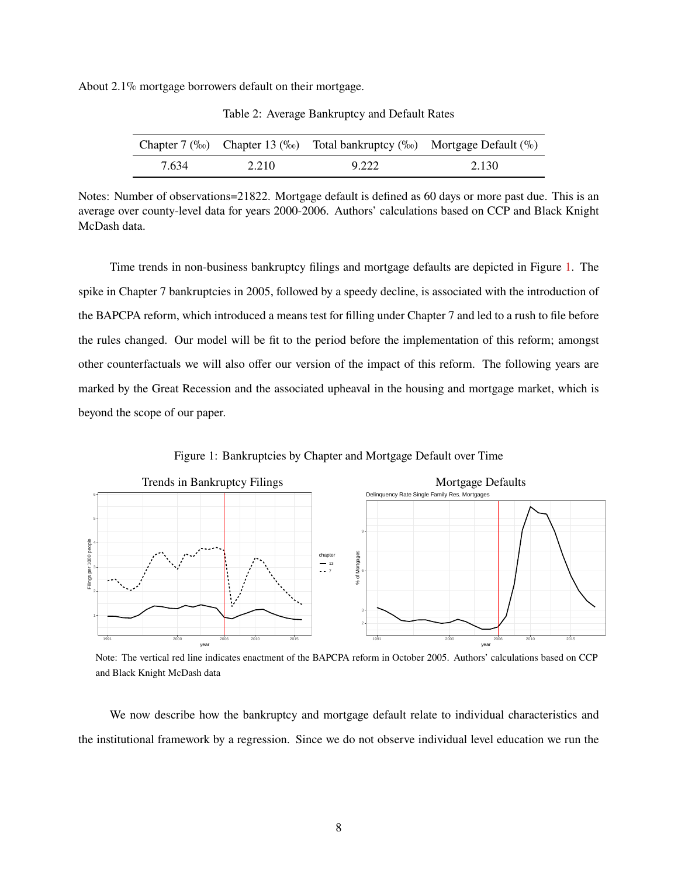<span id="page-8-0"></span>About 2.1% mortgage borrowers default on their mortgage.

|       |       | Chapter 7 (‰) Chapter 13 (‰) Total bankruptcy (‰) Mortgage Default (%) |       |
|-------|-------|------------------------------------------------------------------------|-------|
| 7.634 | 2.210 | 9.222                                                                  | 2.130 |

Table 2: Average Bankruptcy and Default Rates

Notes: Number of observations=21822. Mortgage default is defined as 60 days or more past due. This is an average over county-level data for years 2000-2006. Authors' calculations based on CCP and Black Knight McDash data.

Time trends in non-business bankruptcy filings and mortgage defaults are depicted in Figure [1.](#page-8-1) The spike in Chapter 7 bankruptcies in 2005, followed by a speedy decline, is associated with the introduction of the BAPCPA reform, which introduced a means test for filling under Chapter 7 and led to a rush to file before the rules changed. Our model will be fit to the period before the implementation of this reform; amongst other counterfactuals we will also offer our version of the impact of this reform. The following years are marked by the Great Recession and the associated upheaval in the housing and mortgage market, which is beyond the scope of our paper.

<span id="page-8-1"></span>

Figure 1: Bankruptcies by Chapter and Mortgage Default over Time

Note: The vertical red line indicates enactment of the BAPCPA reform in October 2005. Authors' calculations based on CCP and Black Knight McDash data

We now describe how the bankruptcy and mortgage default relate to individual characteristics and the institutional framework by a regression. Since we do not observe individual level education we run the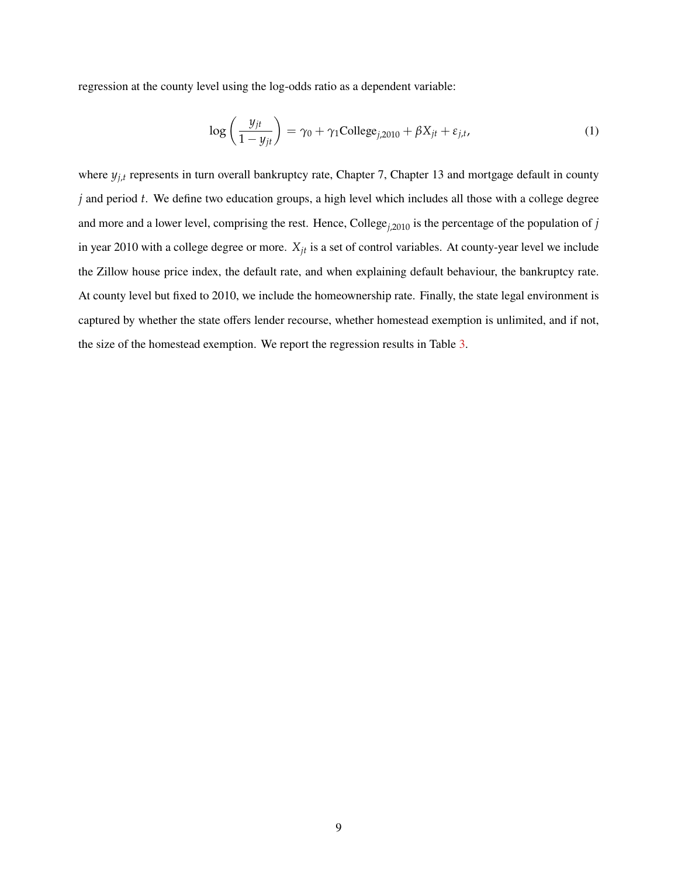regression at the county level using the log-odds ratio as a dependent variable:

<span id="page-9-0"></span>
$$
\log\left(\frac{y_{jt}}{1 - y_{jt}}\right) = \gamma_0 + \gamma_1 \text{College}_{j,2010} + \beta X_{jt} + \varepsilon_{j,t},\tag{1}
$$

where  $y_{j,t}$  represents in turn overall bankruptcy rate, Chapter 7, Chapter 13 and mortgage default in county *j* and period *t*. We define two education groups, a high level which includes all those with a college degree and more and a lower level, comprising the rest. Hence, College*j*,2010 is the percentage of the population of *j* in year 2010 with a college degree or more. *Xjt* is a set of control variables. At county-year level we include the Zillow house price index, the default rate, and when explaining default behaviour, the bankruptcy rate. At county level but fixed to 2010, we include the homeownership rate. Finally, the state legal environment is captured by whether the state offers lender recourse, whether homestead exemption is unlimited, and if not, the size of the homestead exemption. We report the regression results in Table [3.](#page-10-0)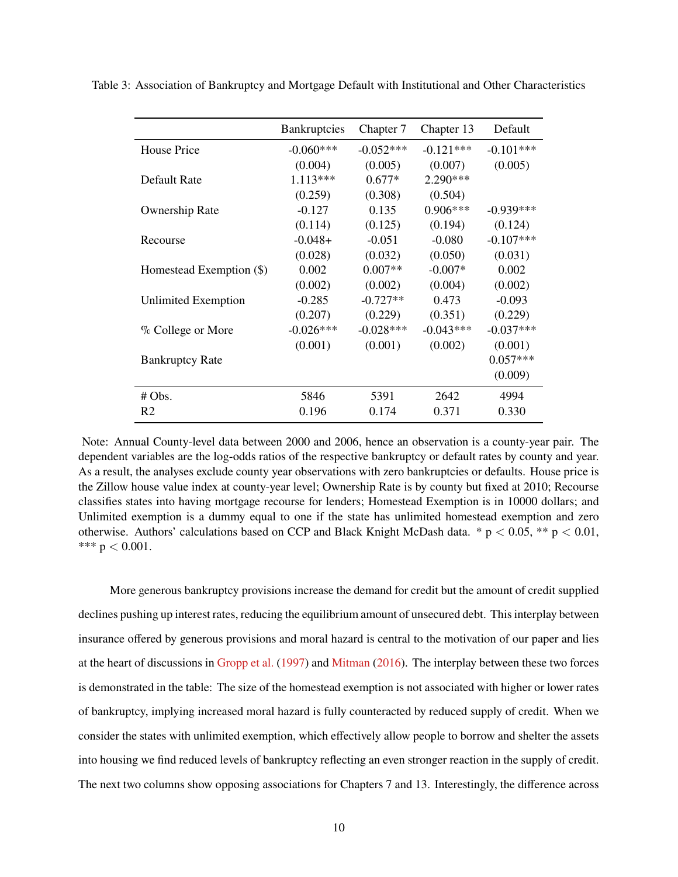|                          | <b>Bankruptcies</b> | Chapter 7   | Chapter 13  | Default     |
|--------------------------|---------------------|-------------|-------------|-------------|
| House Price              | $-0.060***$         | $-0.052***$ | $-0.121***$ | $-0.101***$ |
|                          | (0.004)             | (0.005)     | (0.007)     | (0.005)     |
| Default Rate             | $1.113***$          | $0.677*$    | $2.290***$  |             |
|                          | (0.259)             | (0.308)     | (0.504)     |             |
| Ownership Rate           | $-0.127$            | 0.135       | $0.906***$  | $-0.939***$ |
|                          | (0.114)             | (0.125)     | (0.194)     | (0.124)     |
| Recourse                 | $-0.048+$           | $-0.051$    | $-0.080$    | $-0.107***$ |
|                          | (0.028)             | (0.032)     | (0.050)     | (0.031)     |
| Homestead Exemption (\$) | 0.002               | $0.007**$   | $-0.007*$   | 0.002       |
|                          | (0.002)             | (0.002)     | (0.004)     | (0.002)     |
| Unlimited Exemption      | $-0.285$            | $-0.727**$  | 0.473       | $-0.093$    |
|                          | (0.207)             | (0.229)     | (0.351)     | (0.229)     |
| $\%$ College or More     | $-0.026***$         | $-0.028***$ | $-0.043***$ | $-0.037***$ |
|                          | (0.001)             | (0.001)     | (0.002)     | (0.001)     |
| <b>Bankruptcy Rate</b>   |                     |             |             | $0.057***$  |
|                          |                     |             |             | (0.009)     |
| # Obs.                   | 5846                | 5391        | 2642        | 4994        |
| R <sub>2</sub>           | 0.196               | 0.174       | 0.371       | 0.330       |

<span id="page-10-0"></span>Table 3: Association of Bankruptcy and Mortgage Default with Institutional and Other Characteristics

Note: Annual County-level data between 2000 and 2006, hence an observation is a county-year pair. The dependent variables are the log-odds ratios of the respective bankruptcy or default rates by county and year. As a result, the analyses exclude county year observations with zero bankruptcies or defaults. House price is the Zillow house value index at county-year level; Ownership Rate is by county but fixed at 2010; Recourse classifies states into having mortgage recourse for lenders; Homestead Exemption is in 10000 dollars; and Unlimited exemption is a dummy equal to one if the state has unlimited homestead exemption and zero otherwise. Authors' calculations based on CCP and Black Knight McDash data.  $* p < 0.05$ ,  $** p < 0.01$ , \*\*\*  $p < 0.001$ .

More generous bankruptcy provisions increase the demand for credit but the amount of credit supplied declines pushing up interest rates, reducing the equilibrium amount of unsecured debt. This interplay between insurance offered by generous provisions and moral hazard is central to the motivation of our paper and lies at the heart of discussions in [Gropp et al.](#page-37-3) [\(1997\)](#page-37-3) and [Mitman](#page-38-0) [\(2016\)](#page-38-0). The interplay between these two forces is demonstrated in the table: The size of the homestead exemption is not associated with higher or lower rates of bankruptcy, implying increased moral hazard is fully counteracted by reduced supply of credit. When we consider the states with unlimited exemption, which effectively allow people to borrow and shelter the assets into housing we find reduced levels of bankruptcy reflecting an even stronger reaction in the supply of credit. The next two columns show opposing associations for Chapters 7 and 13. Interestingly, the difference across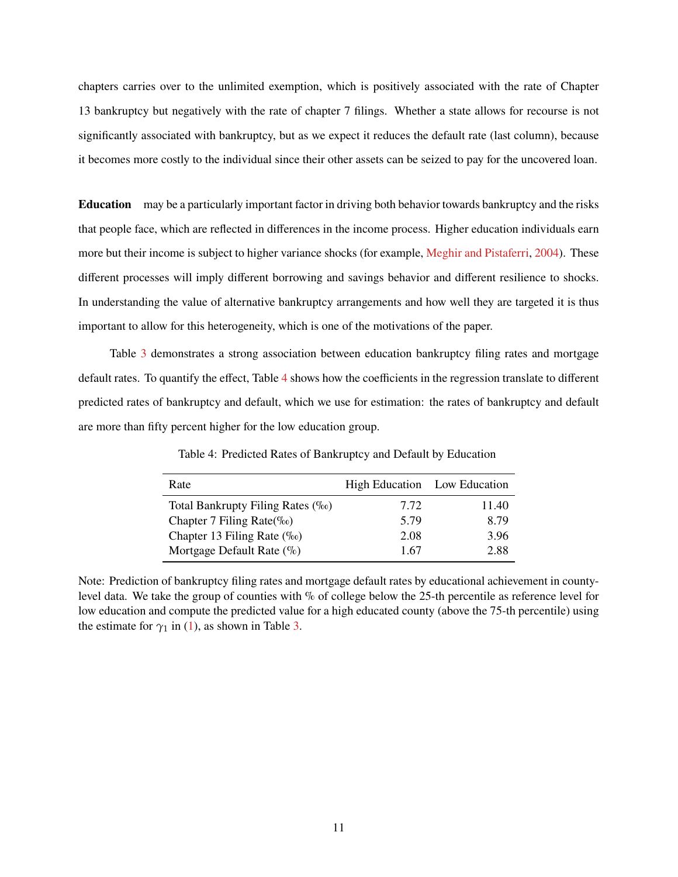chapters carries over to the unlimited exemption, which is positively associated with the rate of Chapter 13 bankruptcy but negatively with the rate of chapter 7 filings. Whether a state allows for recourse is not significantly associated with bankruptcy, but as we expect it reduces the default rate (last column), because it becomes more costly to the individual since their other assets can be seized to pay for the uncovered loan.

**Education** may be a particularly important factor in driving both behavior towards bankruptcy and the risks that people face, which are reflected in differences in the income process. Higher education individuals earn more but their income is subject to higher variance shocks (for example, [Meghir and Pistaferri,](#page-38-12) [2004\)](#page-38-12). These different processes will imply different borrowing and savings behavior and different resilience to shocks. In understanding the value of alternative bankruptcy arrangements and how well they are targeted it is thus important to allow for this heterogeneity, which is one of the motivations of the paper.

<span id="page-11-0"></span>Table [3](#page-10-0) demonstrates a strong association between education bankruptcy filing rates and mortgage default rates. To quantify the effect, Table [4](#page-11-0) shows how the coefficients in the regression translate to different predicted rates of bankruptcy and default, which we use for estimation: the rates of bankruptcy and default are more than fifty percent higher for the low education group.

| Rate                                       | High Education Low Education |       |
|--------------------------------------------|------------------------------|-------|
| Total Bankrupty Filing Rates (‰)           | 7.72                         | 11.40 |
| Chapter 7 Filing Rate( $\%$ <sup>o</sup> ) | 5.79                         | 8.79  |
| Chapter 13 Filing Rate $(\%_0)$            | 2.08                         | 3.96  |
| Mortgage Default Rate $(\%)$               | 1 67                         | 2.88  |

Table 4: Predicted Rates of Bankruptcy and Default by Education

Note: Prediction of bankruptcy filing rates and mortgage default rates by educational achievement in countylevel data. We take the group of counties with % of college below the 25-th percentile as reference level for low education and compute the predicted value for a high educated county (above the 75-th percentile) using the estimate for  $\gamma_1$  in [\(1\)](#page-9-0), as shown in Table [3.](#page-10-0)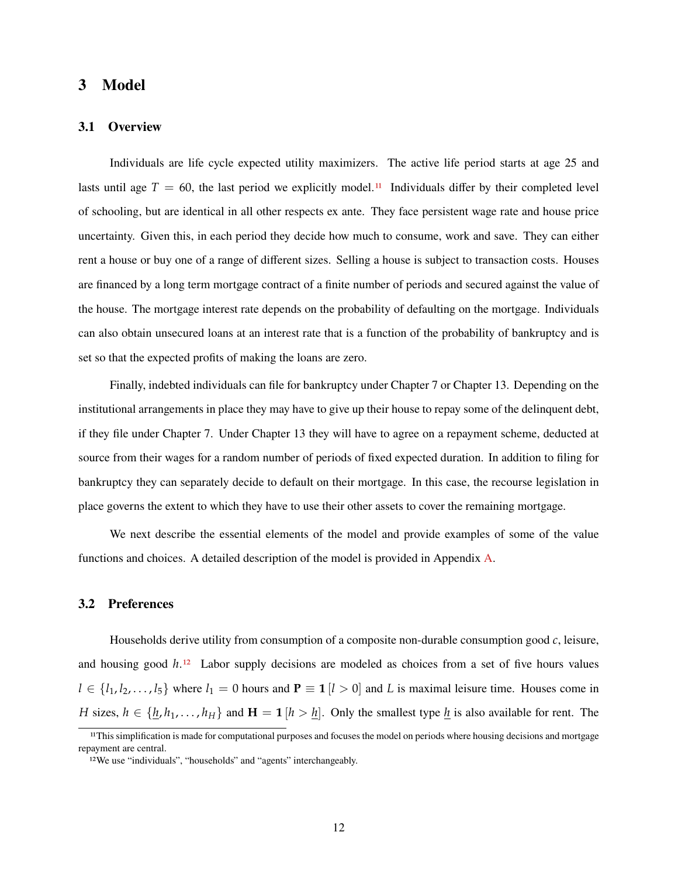### <span id="page-12-0"></span>**3 Model**

### **3.1 Overview**

Individuals are life cycle expected utility maximizers. The active life period starts at age 25 and lasts until age  $T = 60$ , the last period we explicitly model.<sup>[11](#page-1-0)</sup> Individuals differ by their completed level of schooling, but are identical in all other respects ex ante. They face persistent wage rate and house price uncertainty. Given this, in each period they decide how much to consume, work and save. They can either rent a house or buy one of a range of different sizes. Selling a house is subject to transaction costs. Houses are financed by a long term mortgage contract of a finite number of periods and secured against the value of the house. The mortgage interest rate depends on the probability of defaulting on the mortgage. Individuals can also obtain unsecured loans at an interest rate that is a function of the probability of bankruptcy and is set so that the expected profits of making the loans are zero.

Finally, indebted individuals can file for bankruptcy under Chapter 7 or Chapter 13. Depending on the institutional arrangements in place they may have to give up their house to repay some of the delinquent debt, if they file under Chapter 7. Under Chapter 13 they will have to agree on a repayment scheme, deducted at source from their wages for a random number of periods of fixed expected duration. In addition to filing for bankruptcy they can separately decide to default on their mortgage. In this case, the recourse legislation in place governs the extent to which they have to use their other assets to cover the remaining mortgage.

We next describe the essential elements of the model and provide examples of some of the value functions and choices. A detailed description of the model is provided in Appendix [A.](#page-39-0)

### **3.2 Preferences**

Households derive utility from consumption of a composite non-durable consumption good *c*, leisure, and housing good *h*.[12](#page-1-0) Labor supply decisions are modeled as choices from a set of five hours values  $l \in \{l_1, l_2, \ldots, l_5\}$  where  $l_1 = 0$  hours and  $P \equiv 1 \, [l > 0]$  and *L* is maximal leisure time. Houses come in *H* sizes,  $h \in \{\underline{h}, h_1, \ldots, h_H\}$  and  $H = 1$  [ $h > \underline{h}$ ]. Only the smallest type  $\underline{h}$  is also available for rent. The

<sup>&</sup>lt;sup>11</sup>This simplification is made for computational purposes and focuses the model on periods where housing decisions and mortgage repayment are central.

<sup>12</sup>We use "individuals", "households" and "agents" interchangeably.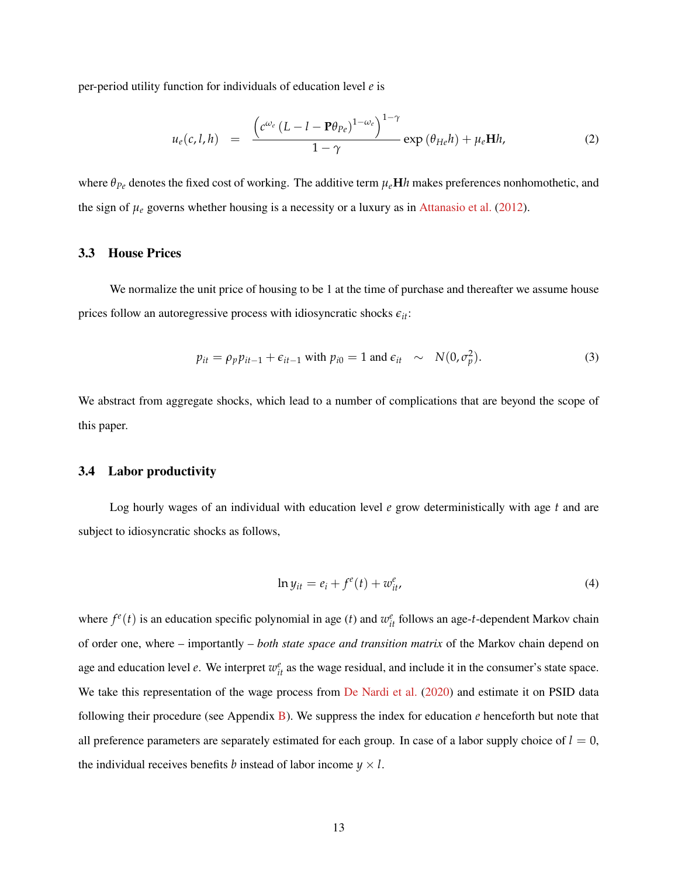per-period utility function for individuals of education level *e* is

$$
u_e(c,l,h) = \frac{\left(c^{\omega_e} (L-l - \mathbf{P}\theta_{Pe})^{1-\omega_e}\right)^{1-\gamma}}{1-\gamma} \exp\left(\theta_{He}h\right) + \mu_e \mathbf{H}h,
$$
\n(2)

where *θPe* denotes the fixed cost of working. The additive term *µe***H***h* makes preferences nonhomothetic, and the sign of  $\mu_e$  governs whether housing is a necessity or a luxury as in [Attanasio et al.](#page-37-14) [\(2012\)](#page-37-14).

#### **3.3 House Prices**

We normalize the unit price of housing to be 1 at the time of purchase and thereafter we assume house prices follow an autoregressive process with idiosyncratic shocks  $\epsilon_{it}$ :

<span id="page-13-1"></span>
$$
p_{it} = \rho_p p_{it-1} + \epsilon_{it-1} \text{ with } p_{i0} = 1 \text{ and } \epsilon_{it} \sim N(0, \sigma_p^2). \tag{3}
$$

We abstract from aggregate shocks, which lead to a number of complications that are beyond the scope of this paper.

#### **3.4 Labor productivity**

Log hourly wages of an individual with education level *e* grow deterministically with age *t* and are subject to idiosyncratic shocks as follows,

<span id="page-13-0"></span>
$$
\ln y_{it} = e_i + f^e(t) + w^e_{it}, \tag{4}
$$

where  $f^e(t)$  is an education specific polynomial in age (*t*) and  $w^e_{it}$  follows an age-*t*-dependent Markov chain of order one, where – importantly – *both state space and transition matrix* of the Markov chain depend on age and education level *e*. We interpret  $w_{it}^e$  as the wage residual, and include it in the consumer's state space. We take this representation of the wage process from [De Nardi et al.](#page-38-13) [\(2020\)](#page-38-13) and estimate it on PSID data following their procedure (see Appendix [B\)](#page-44-0). We suppress the index for education *e* henceforth but note that all preference parameters are separately estimated for each group. In case of a labor supply choice of  $l = 0$ , the individual receives benefits *b* instead of labor income  $y \times l$ .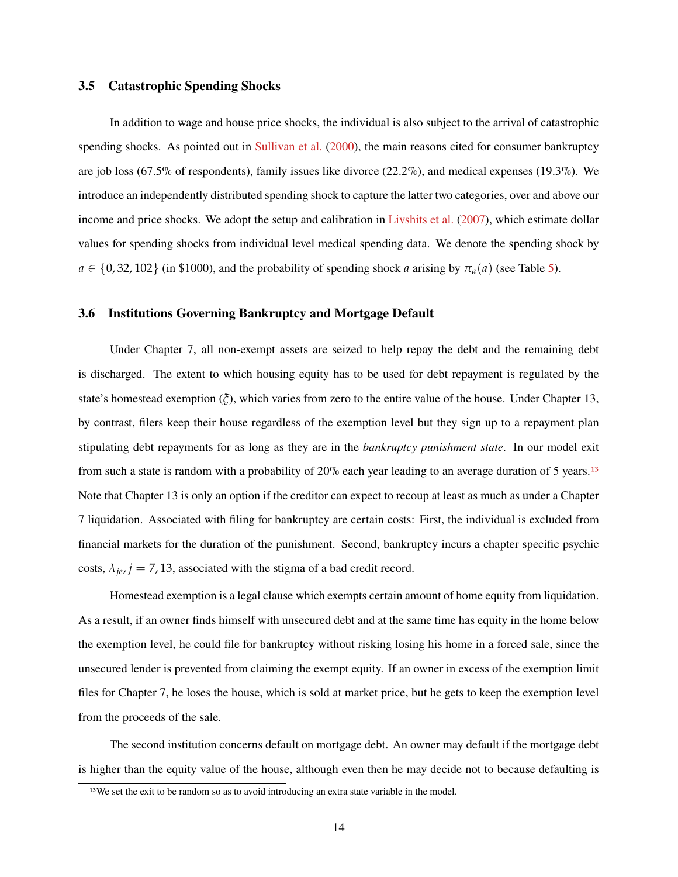#### **3.5 Catastrophic Spending Shocks**

In addition to wage and house price shocks, the individual is also subject to the arrival of catastrophic spending shocks. As pointed out in [Sullivan et al.](#page-38-14) [\(2000\)](#page-38-14), the main reasons cited for consumer bankruptcy are job loss (67.5% of respondents), family issues like divorce (22.2%), and medical expenses (19.3%). We introduce an independently distributed spending shock to capture the latter two categories, over and above our income and price shocks. We adopt the setup and calibration in [Livshits et al.](#page-38-8) [\(2007\)](#page-38-8), which estimate dollar values for spending shocks from individual level medical spending data. We denote the spending shock by  $a \in \{0, 32, 102\}$  (in \$1000), and the probability of spending shock *a* arising by  $\pi_a(\underline{a})$  (see Table [5\)](#page-22-0).

### **3.6 Institutions Governing Bankruptcy and Mortgage Default**

Under Chapter 7, all non-exempt assets are seized to help repay the debt and the remaining debt is discharged. The extent to which housing equity has to be used for debt repayment is regulated by the state's homestead exemption (*ξ*), which varies from zero to the entire value of the house. Under Chapter 13, by contrast, filers keep their house regardless of the exemption level but they sign up to a repayment plan stipulating debt repayments for as long as they are in the *bankruptcy punishment state*. In our model exit from such a state is random with a probability of 20% each year leading to an average duration of 5 years.[13](#page-1-0) Note that Chapter 13 is only an option if the creditor can expect to recoup at least as much as under a Chapter 7 liquidation. Associated with filing for bankruptcy are certain costs: First, the individual is excluded from financial markets for the duration of the punishment. Second, bankruptcy incurs a chapter specific psychic costs,  $\lambda_{je}$ ,  $j = 7$ , 13, associated with the stigma of a bad credit record.

Homestead exemption is a legal clause which exempts certain amount of home equity from liquidation. As a result, if an owner finds himself with unsecured debt and at the same time has equity in the home below the exemption level, he could file for bankruptcy without risking losing his home in a forced sale, since the unsecured lender is prevented from claiming the exempt equity. If an owner in excess of the exemption limit files for Chapter 7, he loses the house, which is sold at market price, but he gets to keep the exemption level from the proceeds of the sale.

The second institution concerns default on mortgage debt. An owner may default if the mortgage debt is higher than the equity value of the house, although even then he may decide not to because defaulting is

<sup>&</sup>lt;sup>13</sup>We set the exit to be random so as to avoid introducing an extra state variable in the model.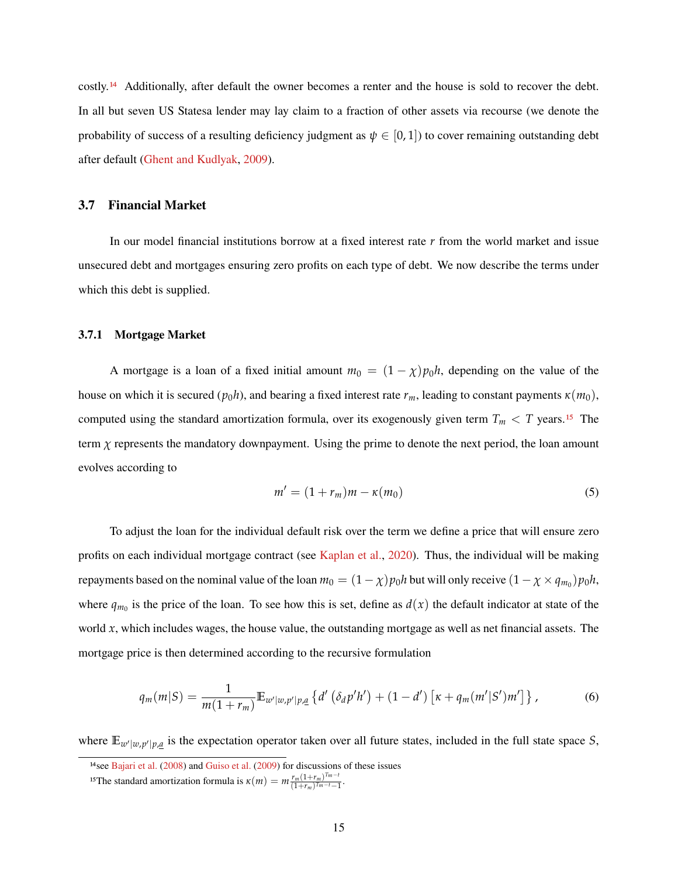costly.[14](#page-1-0) Additionally, after default the owner becomes a renter and the house is sold to recover the debt. In all but seven US Statesa lender may lay claim to a fraction of other assets via recourse (we denote the probability of success of a resulting deficiency judgment as  $\psi \in [0,1]$ ) to cover remaining outstanding debt after default [\(Ghent and Kudlyak,](#page-37-13) [2009\)](#page-37-13).

#### **3.7 Financial Market**

In our model financial institutions borrow at a fixed interest rate *r* from the world market and issue unsecured debt and mortgages ensuring zero profits on each type of debt. We now describe the terms under which this debt is supplied.

#### **3.7.1 Mortgage Market**

A mortgage is a loan of a fixed initial amount  $m_0 = (1 - \chi)p_0h$ , depending on the value of the house on which it is secured ( $p_0h$ ), and bearing a fixed interest rate  $r_m$ , leading to constant payments  $\kappa(m_0)$ , computed using the standard amortization formula, over its exogenously given term  $T_m < T$  years.<sup>[15](#page-1-0)</sup> The term  $\chi$  represents the mandatory downpayment. Using the prime to denote the next period, the loan amount evolves according to

$$
m' = (1 + r_m)m - \kappa(m_0)
$$
\n<sup>(5)</sup>

To adjust the loan for the individual default risk over the term we define a price that will ensure zero profits on each individual mortgage contract (see [Kaplan et al.,](#page-38-15) [2020\)](#page-38-15). Thus, the individual will be making repayments based on the nominal value of the loan  $m_0 = (1 - \chi)p_0h$  but will only receive  $(1 - \chi \times q_{m_0})p_0h$ , where  $q_{m_0}$  is the price of the loan. To see how this is set, define as  $d(x)$  the default indicator at state of the world *x*, which includes wages, the house value, the outstanding mortgage as well as net financial assets. The mortgage price is then determined according to the recursive formulation

<span id="page-15-0"></span>
$$
q_m(m|S) = \frac{1}{m(1+r_m)} \mathbb{E}_{w'|w,p'|p,\underline{a}} \left\{ d' \left( \delta_d p'h' \right) + (1-d') \left[ \kappa + q_m(m'|S')m' \right] \right\},\tag{6}
$$

where  $\mathbb{E}_{w'|w,p'|p,q}$  is the expectation operator taken over all future states, included in the full state space *S*,

<sup>&</sup>lt;sup>14</sup>see [Bajari et al.](#page-37-15) [\(2008\)](#page-37-15) and [Guiso et al.](#page-37-16) [\(2009\)](#page-37-16) for discussions of these issues

<sup>&</sup>lt;sup>15</sup>The standard amortization formula is  $\kappa(m) = m \frac{r_m (1+r_m)^{T_m-t}}{(1+r_m)^{T_m-t}-1}$  $\frac{r_m(1+r_m)}{(1+r_m)^{T_m-t}-1}$ .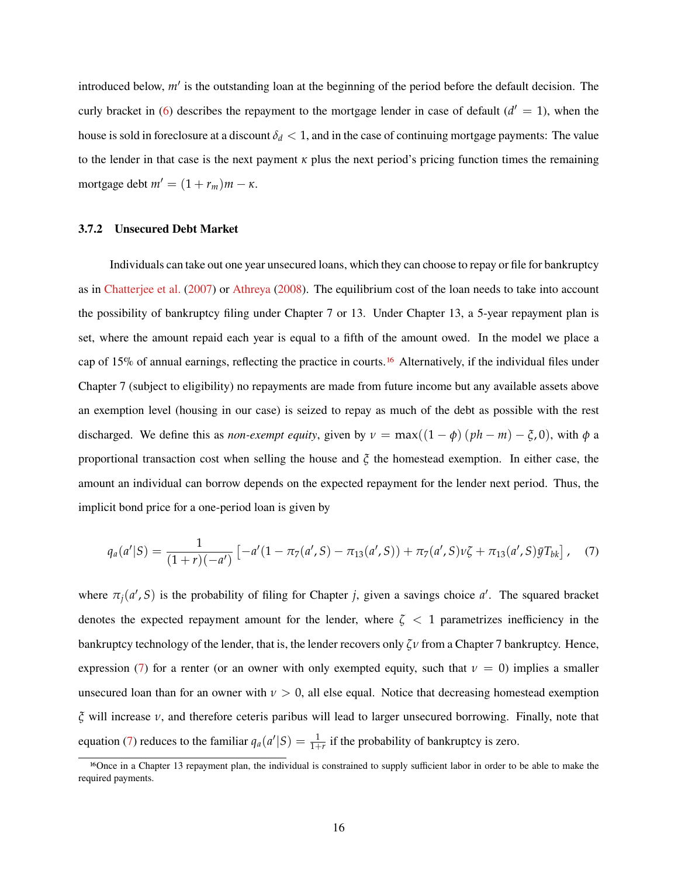introduced below,  $m'$  is the outstanding loan at the beginning of the period before the default decision. The curly bracket in [\(6\)](#page-15-0) describes the repayment to the mortgage lender in case of default  $(d' = 1)$ , when the house is sold in foreclosure at a discount  $\delta_d < 1$ , and in the case of continuing mortgage payments: The value to the lender in that case is the next payment  $\kappa$  plus the next period's pricing function times the remaining mortgage debt  $m' = (1 + r_m)m - \kappa$ .

#### **3.7.2 Unsecured Debt Market**

Individuals can take out one year unsecured loans, which they can choose to repay or file for bankruptcy as in [Chatterjee et al.](#page-37-5) [\(2007\)](#page-37-5) or [Athreya](#page-37-6) [\(2008\)](#page-37-6). The equilibrium cost of the loan needs to take into account the possibility of bankruptcy filing under Chapter 7 or 13. Under Chapter 13, a 5-year repayment plan is set, where the amount repaid each year is equal to a fifth of the amount owed. In the model we place a cap of 15% of annual earnings, reflecting the practice in courts.[16](#page-1-0) Alternatively, if the individual files under Chapter 7 (subject to eligibility) no repayments are made from future income but any available assets above an exemption level (housing in our case) is seized to repay as much of the debt as possible with the rest discharged. We define this as *non-exempt equity*, given by  $\nu = \max((1 - \phi)(ph - m) - \xi, 0)$ , with  $\phi$  a proportional transaction cost when selling the house and *ξ* the homestead exemption. In either case, the amount an individual can borrow depends on the expected repayment for the lender next period. Thus, the implicit bond price for a one-period loan is given by

<span id="page-16-0"></span>
$$
q_a(a'|S) = \frac{1}{(1+r)(-a')} \left[ -a'(1-\pi_7(a',S)-\pi_{13}(a',S)) + \pi_7(a',S)\nu\zeta + \pi_{13}(a',S)\bar{y}T_{bk} \right], \quad (7)
$$

where  $\pi_j(a', S)$  is the probability of filing for Chapter *j*, given a savings choice *a'*. The squared bracket denotes the expected repayment amount for the lender, where  $\zeta$  < 1 parametrizes inefficiency in the bankruptcy technology of the lender, that is, the lender recovers only *ζν* from a Chapter 7 bankruptcy. Hence, expression [\(7\)](#page-16-0) for a renter (or an owner with only exempted equity, such that  $\nu = 0$ ) implies a smaller unsecured loan than for an owner with  $\nu > 0$ , all else equal. Notice that decreasing homestead exemption *ξ* will increase *ν*, and therefore ceteris paribus will lead to larger unsecured borrowing. Finally, note that equation [\(7\)](#page-16-0) reduces to the familiar  $q_a(a' | S) = \frac{1}{1+r}$  if the probability of bankruptcy is zero.

<sup>16</sup>Once in a Chapter 13 repayment plan, the individual is constrained to supply sufficient labor in order to be able to make the required payments.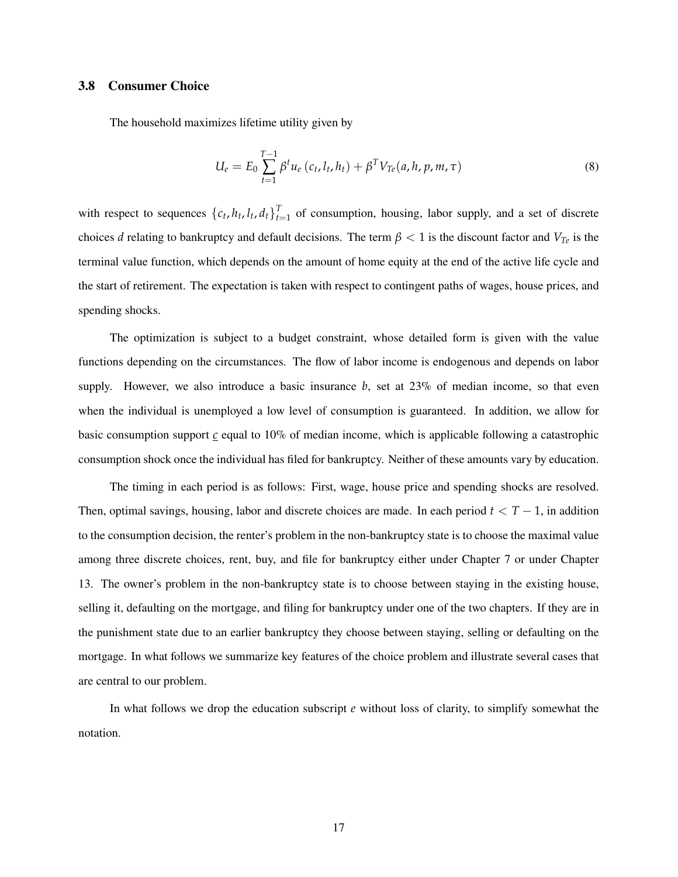### **3.8 Consumer Choice**

The household maximizes lifetime utility given by

$$
U_e = E_0 \sum_{t=1}^{T-1} \beta^t u_e (c_t, l_t, h_t) + \beta^T V_{Te}(a, h, p, m, \tau)
$$
\n(8)

with respect to sequences  $\{c_t, h_t, l_t, d_t\}_{t=1}^T$  of consumption, housing, labor supply, and a set of discrete choices *d* relating to bankruptcy and default decisions. The term  $\beta$  < 1 is the discount factor and  $V_{Te}$  is the terminal value function, which depends on the amount of home equity at the end of the active life cycle and the start of retirement. The expectation is taken with respect to contingent paths of wages, house prices, and spending shocks.

The optimization is subject to a budget constraint, whose detailed form is given with the value functions depending on the circumstances. The flow of labor income is endogenous and depends on labor supply. However, we also introduce a basic insurance  $b$ , set at  $23\%$  of median income, so that even when the individual is unemployed a low level of consumption is guaranteed. In addition, we allow for basic consumption support *c* equal to 10% of median income, which is applicable following a catastrophic consumption shock once the individual has filed for bankruptcy. Neither of these amounts vary by education.

The timing in each period is as follows: First, wage, house price and spending shocks are resolved. Then, optimal savings, housing, labor and discrete choices are made. In each period *t* < *T* − 1, in addition to the consumption decision, the renter's problem in the non-bankruptcy state is to choose the maximal value among three discrete choices, rent, buy, and file for bankruptcy either under Chapter 7 or under Chapter 13. The owner's problem in the non-bankruptcy state is to choose between staying in the existing house, selling it, defaulting on the mortgage, and filing for bankruptcy under one of the two chapters. If they are in the punishment state due to an earlier bankruptcy they choose between staying, selling or defaulting on the mortgage. In what follows we summarize key features of the choice problem and illustrate several cases that are central to our problem.

In what follows we drop the education subscript *e* without loss of clarity, to simplify somewhat the notation.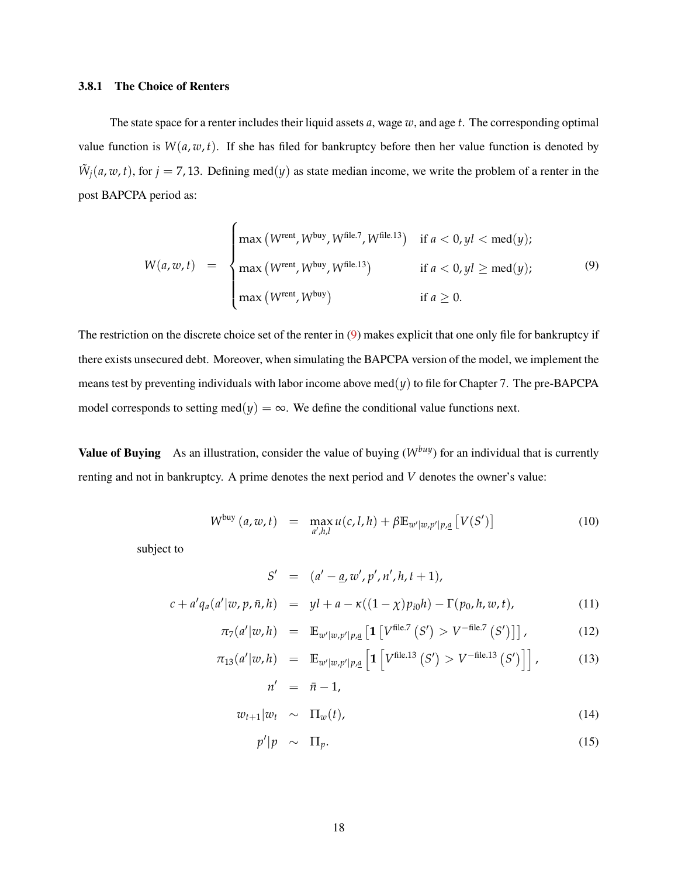#### **3.8.1 The Choice of Renters**

The state space for a renter includes their liquid assets *a*, wage *w*, and age *t*. The corresponding optimal value function is  $W(a, w, t)$ . If she has filed for bankruptcy before then her value function is denoted by  $\tilde{W}_j(a, w, t)$ , for  $j = 7, 13$ . Defining med(*y*) as state median income, we write the problem of a renter in the post BAPCPA period as:

<span id="page-18-0"></span>
$$
W(a, w, t) = \begin{cases} \max (W^{\text{rent}}, W^{\text{buy}}, W^{\text{file.7}}, W^{\text{file.13}}) & \text{if } a < 0, yl < \text{med}(y); \\ \max (W^{\text{rent}}, W^{\text{buy}}, W^{\text{file.13}}) & \text{if } a < 0, yl \ge \text{med}(y); \\ \max (W^{\text{rent}}, W^{\text{buy}}) & \text{if } a \ge 0. \end{cases} \tag{9}
$$

The restriction on the discrete choice set of the renter in [\(9\)](#page-18-0) makes explicit that one only file for bankruptcy if there exists unsecured debt. Moreover, when simulating the BAPCPA version of the model, we implement the means test by preventing individuals with labor income above med $(y)$  to file for Chapter 7. The pre-BAPCPA model corresponds to setting med $(y) = \infty$ . We define the conditional value functions next.

**Value of Buying** As an illustration, consider the value of buying  $(W^{buy})$  for an individual that is currently renting and not in bankruptcy. A prime denotes the next period and *V* denotes the owner's value:

<span id="page-18-1"></span>
$$
W^{\text{buy}}(a, w, t) = \max_{a', h, l} u(c, l, h) + \beta \mathbb{E}_{w'|w, p'|p, \underline{a}} \left[ V(S') \right] \tag{10}
$$

subject to

$$
S' = (a' - \underline{a}, w', p', n', h, t + 1),
$$
  

$$
c + a'q_a(a'|w, p, \bar{n}, h) = yl + a - \kappa((1 - \chi)p_{i0}h) - \Gamma(p_0, h, w, t),
$$
 (11)

$$
\pi_7(a'|w,h) = \mathbb{E}_{w'|w,p'|p,\underline{a}} \left[ \mathbf{1} \left[ V^{\text{file}.7} \left( S' \right) > V^{-\text{file}.7} \left( S' \right) \right] \right],\tag{12}
$$

$$
\pi_{13}(a'|w,h) = \mathbb{E}_{w'|w,p'|p,\underline{a}} \left[ \mathbf{1} \left[ V^{\text{file}.13} \left( S' \right) > V^{-\text{file}.13} \left( S' \right) \right] \right],\tag{13}
$$
\n
$$
n' = \bar{n} - 1,
$$

$$
w_{t+1}|w_t \sim \Pi_w(t), \qquad (14)
$$

$$
\mathcal{L}(\mathcal{L}) = \mathcal{L}(\mathcal{L})
$$

$$
p'|p \sim \Pi_p. \tag{15}
$$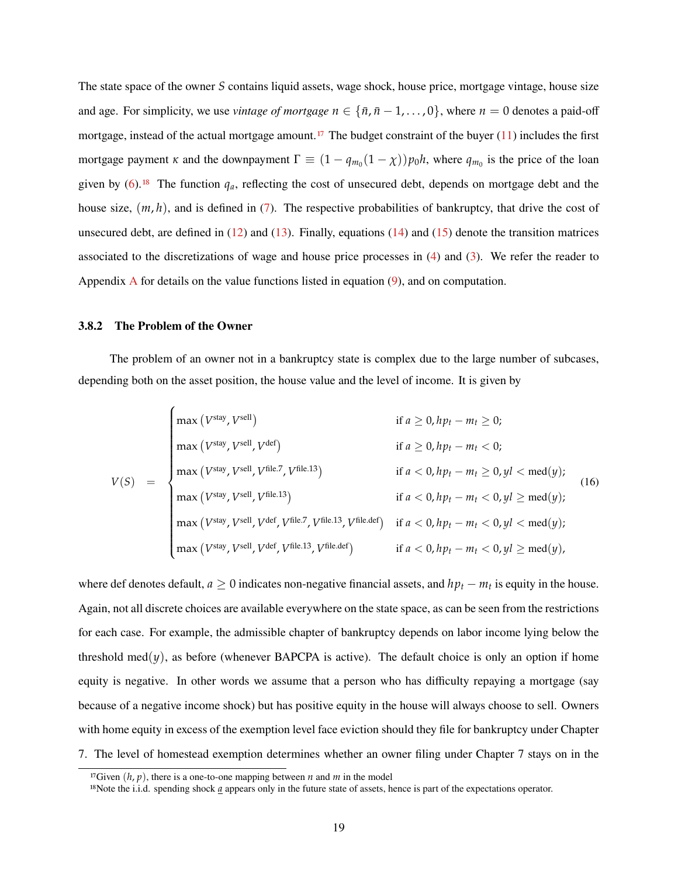The state space of the owner *S* contains liquid assets, wage shock, house price, mortgage vintage, house size and age. For simplicity, we use *vintage* of mortgage  $n \in \{\bar{n}, \bar{n} - 1, \ldots, 0\}$ , where  $n = 0$  denotes a paid-off mortgage, instead of the actual mortgage amount.<sup>[17](#page-1-0)</sup> The budget constraint of the buyer  $(11)$  includes the first mortgage payment *κ* and the downpayment  $\Gamma \equiv (1 - q_{m_0}(1 - \chi))p_0h$ , where  $q_{m_0}$  is the price of the loan given by  $(6)$ .<sup>[18](#page-1-0)</sup> The function  $q_a$ , reflecting the cost of unsecured debt, depends on mortgage debt and the house size,  $(m, h)$ , and is defined in [\(7\)](#page-16-0). The respective probabilities of bankruptcy, that drive the cost of unsecured debt, are defined in  $(12)$  and  $(13)$ . Finally, equations  $(14)$  and  $(15)$  denote the transition matrices associated to the discretizations of wage and house price processes in [\(4\)](#page-13-0) and [\(3\)](#page-13-1). We refer the reader to [A](#page-39-0)ppendix  $\overline{A}$  for details on the value functions listed in equation [\(9\)](#page-18-0), and on computation.

#### **3.8.2 The Problem of the Owner**

The problem of an owner not in a bankruptcy state is complex due to the large number of subcases, depending both on the asset position, the house value and the level of income. It is given by

$$
V(S) = \begin{cases} \max (V^{\text{stay}}, V^{\text{sell}}) & \text{if } a \ge 0, h p_t - m_t \ge 0; \\ \max (V^{\text{stay}}, V^{\text{sell}}, V^{\text{del}}) & \text{if } a \ge 0, h p_t - m_t < 0; \\ \max (V^{\text{stay}}, V^{\text{sell}}, V^{\text{file.13}}) & \text{if } a < 0, h p_t - m_t \ge 0, yl < \text{med}(y); \\ \max (V^{\text{stay}}, V^{\text{sell}}, V^{\text{file.13}}) & \text{if } a < 0, h p_t - m_t < 0, yl \ge \text{med}(y); \\ \max (V^{\text{stay}}, V^{\text{sell}}, V^{\text{def}}, V^{\text{file.13}}, V^{\text{file.14}}, V^{\text{file.15}}, V^{\text{file.16}}) & \text{if } a < 0, h p_t - m_t < 0, yl \ge \text{med}(y); \\ \max (V^{\text{stay}}, V^{\text{sell}}, V^{\text{def}}, V^{\text{file.13}}, V^{\text{file.16}}) & \text{if } a < 0, h p_t - m_t < 0, yl \ge \text{med}(y), \end{cases} \tag{16}
$$

where def denotes default,  $a \geq 0$  indicates non-negative financial assets, and  $hp_t - m_t$  is equity in the house. Again, not all discrete choices are available everywhere on the state space, as can be seen from the restrictions for each case. For example, the admissible chapter of bankruptcy depends on labor income lying below the threshold med $(y)$ , as before (whenever BAPCPA is active). The default choice is only an option if home equity is negative. In other words we assume that a person who has difficulty repaying a mortgage (say because of a negative income shock) but has positive equity in the house will always choose to sell. Owners with home equity in excess of the exemption level face eviction should they file for bankruptcy under Chapter 7. The level of homestead exemption determines whether an owner filing under Chapter 7 stays on in the

<sup>&</sup>lt;sup>17</sup>Given  $(h, p)$ , there is a one-to-one mapping between *n* and *m* in the model

<sup>18</sup>Note the i.i.d. spending shock *a* appears only in the future state of assets, hence is part of the expectations operator.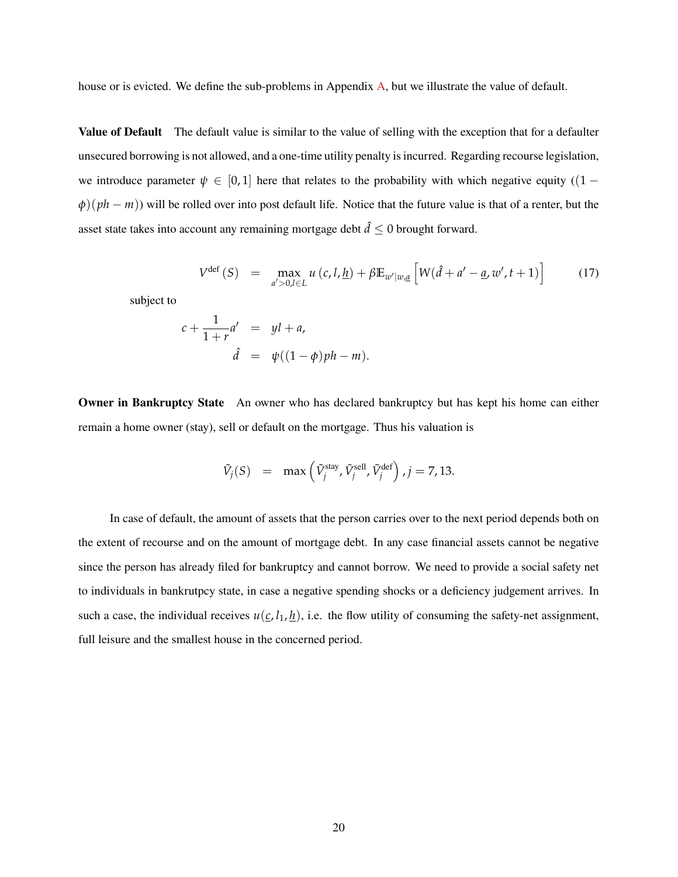house or is evicted. We define the sub-problems in Appendix [A,](#page-39-0) but we illustrate the value of default.

**Value of Default** The default value is similar to the value of selling with the exception that for a defaulter unsecured borrowing is not allowed, and a one-time utility penalty is incurred. Regarding recourse legislation, we introduce parameter  $\psi \in [0,1]$  here that relates to the probability with which negative equity ((1 –  $\varphi$ )( $ph - m$ )) will be rolled over into post default life. Notice that the future value is that of a renter, but the asset state takes into account any remaining mortgage debt  $\hat{d} \leq 0$  brought forward.

$$
V^{\text{def}}(S) = \max_{a' > 0, l \in L} u(c, l, \underline{h}) + \beta \mathbb{E}_{w'|w, \underline{a}} \left[ W(\hat{d} + a' - \underline{a}, w', t + 1) \right] \tag{17}
$$

subject to

$$
c + \frac{1}{1+r}a' = yl + a,
$$
  

$$
\hat{d} = \psi((1-\phi)ph - m).
$$

**Owner in Bankruptcy State** An owner who has declared bankruptcy but has kept his home can either remain a home owner (stay), sell or default on the mortgage. Thus his valuation is

$$
\tilde{V}_j(S) = \max\left(\tilde{V}_j^{\text{stay}}, \tilde{V}_j^{\text{sell}}, \tilde{V}_j^{\text{def}}\right), j = 7, 13.
$$

In case of default, the amount of assets that the person carries over to the next period depends both on the extent of recourse and on the amount of mortgage debt. In any case financial assets cannot be negative since the person has already filed for bankruptcy and cannot borrow. We need to provide a social safety net to individuals in bankrutpcy state, in case a negative spending shocks or a deficiency judgement arrives. In such a case, the individual receives  $u(c, l_1, h)$ , i.e. the flow utility of consuming the safety-net assignment, full leisure and the smallest house in the concerned period.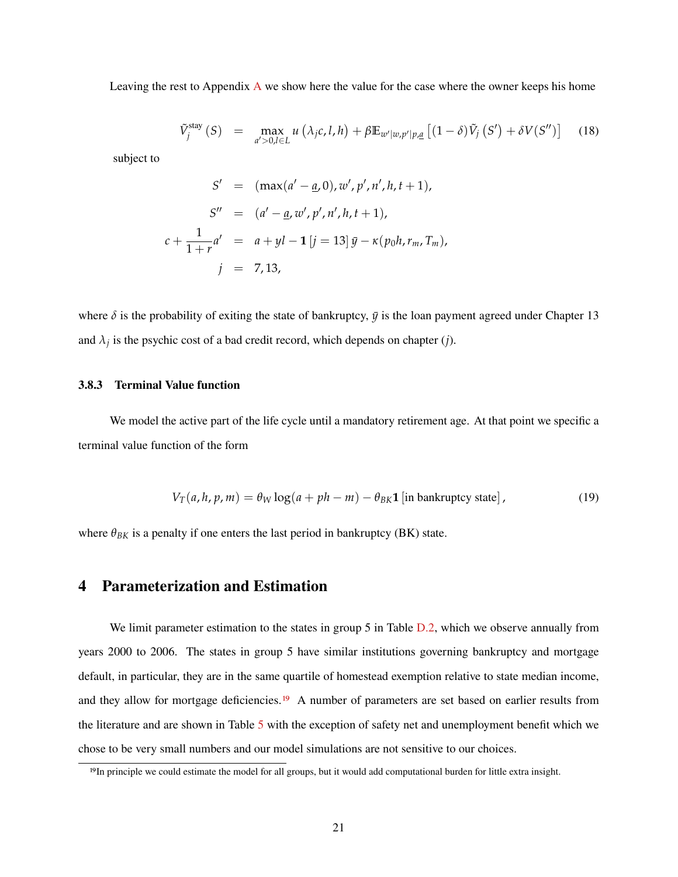Leaving the rest to Appendix [A](#page-39-0) we show here the value for the case where the owner keeps his home

$$
\tilde{V}_j^{\text{stay}}(S) = \max_{a' > 0, l \in L} u(\lambda_j c, l, h) + \beta \mathbb{E}_{w'|w, p'|p, \underline{a}} [(1 - \delta) \tilde{V}_j(S') + \delta V(S'')]
$$
(18)

subject to

$$
S' = (\max(a' - \underline{a}, 0), w', p', n', h, t + 1),
$$
  
\n
$$
S'' = (a' - \underline{a}, w', p', n', h, t + 1),
$$
  
\n
$$
c + \frac{1}{1+r}a' = a + yl - 1 [j = 13] \bar{y} - \kappa(p_0 h, r_m, T_m),
$$
  
\n
$$
j = 7, 13,
$$

where  $\delta$  is the probability of exiting the state of bankruptcy,  $\bar{y}$  is the loan payment agreed under Chapter 13 and  $\lambda_j$  is the psychic cost of a bad credit record, which depends on chapter (*j*).

### **3.8.3 Terminal Value function**

We model the active part of the life cycle until a mandatory retirement age. At that point we specific a terminal value function of the form

$$
V_T(a, h, p, m) = \theta_W \log(a + ph - m) - \theta_{BK} \mathbf{1} \left[ \text{in bankruptcy state} \right],
$$
 (19)

where  $\theta_{BK}$  is a penalty if one enters the last period in bankruptcy (BK) state.

### <span id="page-21-0"></span>**4 Parameterization and Estimation**

We limit parameter estimation to the states in group 5 in Table  $D.2$ , which we observe annually from years 2000 to 2006. The states in group 5 have similar institutions governing bankruptcy and mortgage default, in particular, they are in the same quartile of homestead exemption relative to state median income, and they allow for mortgage deficiencies.<sup>[19](#page-1-0)</sup> A number of parameters are set based on earlier results from the literature and are shown in Table [5](#page-22-0) with the exception of safety net and unemployment benefit which we chose to be very small numbers and our model simulations are not sensitive to our choices.

<sup>&</sup>lt;sup>19</sup>In principle we could estimate the model for all groups, but it would add computational burden for little extra insight.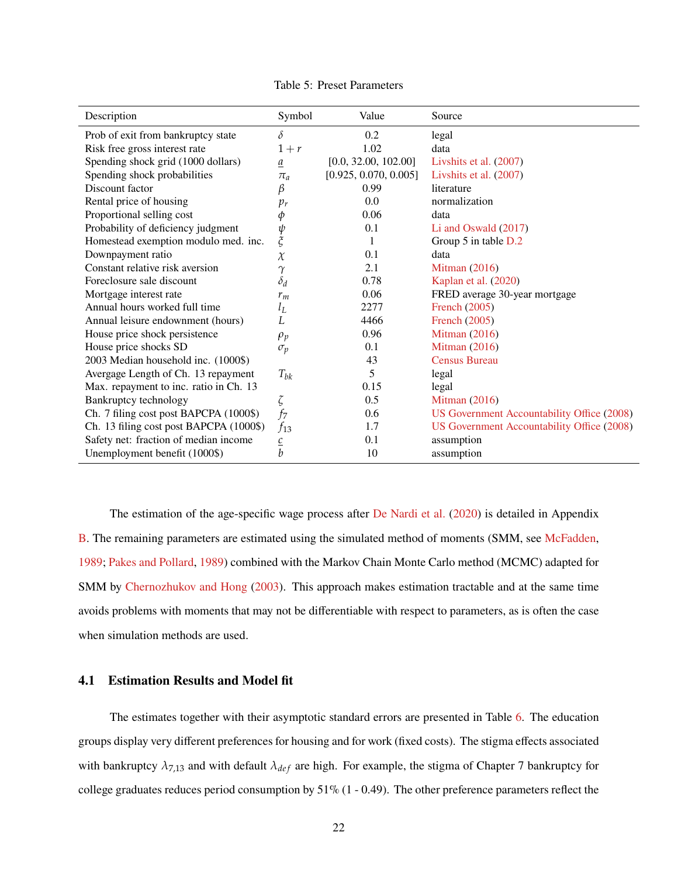<span id="page-22-0"></span>

| Description                             | Symbol                       | Value                 | Source                                     |
|-----------------------------------------|------------------------------|-----------------------|--------------------------------------------|
| Prob of exit from bankruptcy state      | δ                            | 0.2                   | legal                                      |
| Risk free gross interest rate           | $1+r$                        | 1.02                  | data                                       |
| Spending shock grid (1000 dollars)      | $\underline{a}$              | [0.0, 32.00, 102.00]  | Livshits et al. (2007)                     |
| Spending shock probabilities            | $\pi_a$                      | [0.925, 0.070, 0.005] | Livshits et al. (2007)                     |
| Discount factor                         | β                            | 0.99                  | literature                                 |
| Rental price of housing                 | $p_r$                        | 0.0                   | normalization                              |
| Proportional selling cost               | φ                            | 0.06                  | data                                       |
| Probability of deficiency judgment      | ψ                            | 0.1                   | Li and Oswald $(2017)$                     |
| Homestead exemption modulo med. inc.    | $\boldsymbol{\tilde{\zeta}}$ | 1                     | Group 5 in table D.2                       |
| Downpayment ratio                       | $\chi$                       | 0.1                   | data                                       |
| Constant relative risk aversion         | $\gamma$                     | 2.1                   | <b>Mitman</b> (2016)                       |
| Foreclosure sale discount               | $\delta_d$                   | 0.78                  | Kaplan et al. (2020)                       |
| Mortgage interest rate                  | $r_m$                        | 0.06                  | FRED average 30-year mortgage              |
| Annual hours worked full time           | $l_L$                        | 2277                  | French (2005)                              |
| Annual leisure endownment (hours)       | L.                           | 4466                  | French (2005)                              |
| House price shock persistence           | $\rho_p$                     | 0.96                  | <b>Mitman</b> (2016)                       |
| House price shocks SD                   | $\sigma_p$                   | 0.1                   | Mitman $(2016)$                            |
| 2003 Median household inc. (1000\$)     |                              | 43                    | <b>Census Bureau</b>                       |
| Avergage Length of Ch. 13 repayment     | $T_{bk}$                     | 5                     | legal                                      |
| Max. repayment to inc. ratio in Ch. 13  |                              | 0.15                  | legal                                      |
| Bankruptcy technology                   | ζ                            | 0.5                   | <b>Mitman</b> (2016)                       |
| Ch. 7 filing cost post BAPCPA (1000\$)  | $f_7$                        | 0.6                   | US Government Accountability Office (2008) |
| Ch. 13 filing cost post BAPCPA (1000\$) | $f_{13}$                     | 1.7                   | US Government Accountability Office (2008) |
| Safety net: fraction of median income   | $\underline{c}$              | 0.1                   | assumption                                 |
| Unemployment benefit (1000\$)           | b                            | 10                    | assumption                                 |

Table 5: Preset Parameters

The estimation of the age-specific wage process after [De Nardi et al.](#page-38-13) [\(2020\)](#page-38-13) is detailed in Appendix [B.](#page-44-0) The remaining parameters are estimated using the simulated method of moments (SMM, see [McFadden,](#page-38-1) [1989;](#page-38-1) [Pakes and Pollard,](#page-38-2) [1989\)](#page-38-2) combined with the Markov Chain Monte Carlo method (MCMC) adapted for SMM by [Chernozhukov and Hong](#page-37-1) [\(2003\)](#page-37-1). This approach makes estimation tractable and at the same time avoids problems with moments that may not be differentiable with respect to parameters, as is often the case when simulation methods are used.

### **4.1 Estimation Results and Model fit**

The estimates together with their asymptotic standard errors are presented in Table [6.](#page-23-1) The education groups display very different preferences for housing and for work (fixed costs). The stigma effects associated with bankruptcy  $\lambda_{7,13}$  and with default  $\lambda_{def}$  are high. For example, the stigma of Chapter 7 bankruptcy for college graduates reduces period consumption by  $51\%$  (1 - 0.49). The other preference parameters reflect the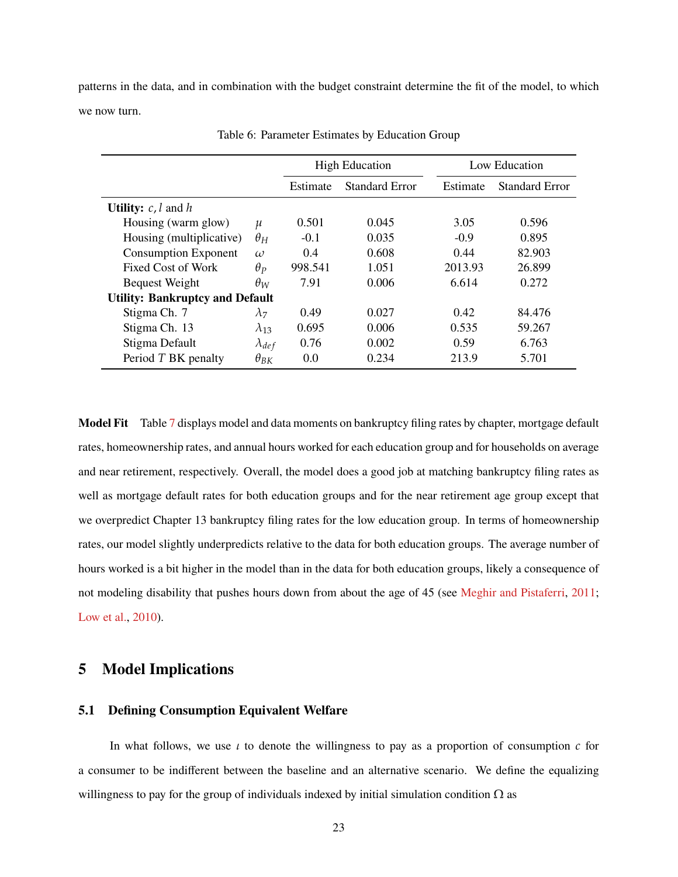patterns in the data, and in combination with the budget constraint determine the fit of the model, to which we now turn.

<span id="page-23-1"></span>

|                                        |                    | <b>High Education</b> |                       |          | Low Education         |
|----------------------------------------|--------------------|-----------------------|-----------------------|----------|-----------------------|
|                                        |                    | Estimate              | <b>Standard Error</b> | Estimate | <b>Standard Error</b> |
| <b>Utility:</b> $c, l$ and $h$         |                    |                       |                       |          |                       |
| Housing (warm glow)                    | $\boldsymbol{\mu}$ | 0.501                 | 0.045                 | 3.05     | 0.596                 |
| Housing (multiplicative)               | $\theta_H$         | $-0.1$                | 0.035                 | $-0.9$   | 0.895                 |
| <b>Consumption Exponent</b>            | $\omega$           | 0.4                   | 0.608                 | 0.44     | 82.903                |
| Fixed Cost of Work                     | $\theta_P$         | 998.541               | 1.051                 | 2013.93  | 26.899                |
| <b>Bequest Weight</b>                  | $\theta_W$         | 7.91                  | 0.006                 | 6.614    | 0.272                 |
| <b>Utility: Bankruptcy and Default</b> |                    |                       |                       |          |                       |
| Stigma Ch. 7                           | $\lambda_7$        | 0.49                  | 0.027                 | 0.42     | 84.476                |
| Stigma Ch. 13                          | $\lambda_{13}$     | 0.695                 | 0.006                 | 0.535    | 59.267                |
| Stigma Default                         | $\lambda_{def}$    | 0.76                  | 0.002                 | 0.59     | 6.763                 |
| Period T BK penalty                    | $\theta_{BK}$      | 0.0                   | 0.234                 | 213.9    | 5.701                 |

Table 6: Parameter Estimates by Education Group

**Model Fit** Table [7](#page-24-0) displays model and data moments on bankruptcy filing rates by chapter, mortgage default rates, homeownership rates, and annual hours worked for each education group and for households on average and near retirement, respectively. Overall, the model does a good job at matching bankruptcy filing rates as well as mortgage default rates for both education groups and for the near retirement age group except that we overpredict Chapter 13 bankruptcy filing rates for the low education group. In terms of homeownership rates, our model slightly underpredicts relative to the data for both education groups. The average number of hours worked is a bit higher in the model than in the data for both education groups, likely a consequence of not modeling disability that pushes hours down from about the age of 45 (see [Meghir and Pistaferri,](#page-38-17) [2011;](#page-38-17) [Low et al.,](#page-38-18) [2010\)](#page-38-18).

### <span id="page-23-0"></span>**5 Model Implications**

#### **5.1 Defining Consumption Equivalent Welfare**

In what follows, we use *ι* to denote the willingness to pay as a proportion of consumption *c* for a consumer to be indifferent between the baseline and an alternative scenario. We define the equalizing willingness to pay for the group of individuals indexed by initial simulation condition  $\Omega$  as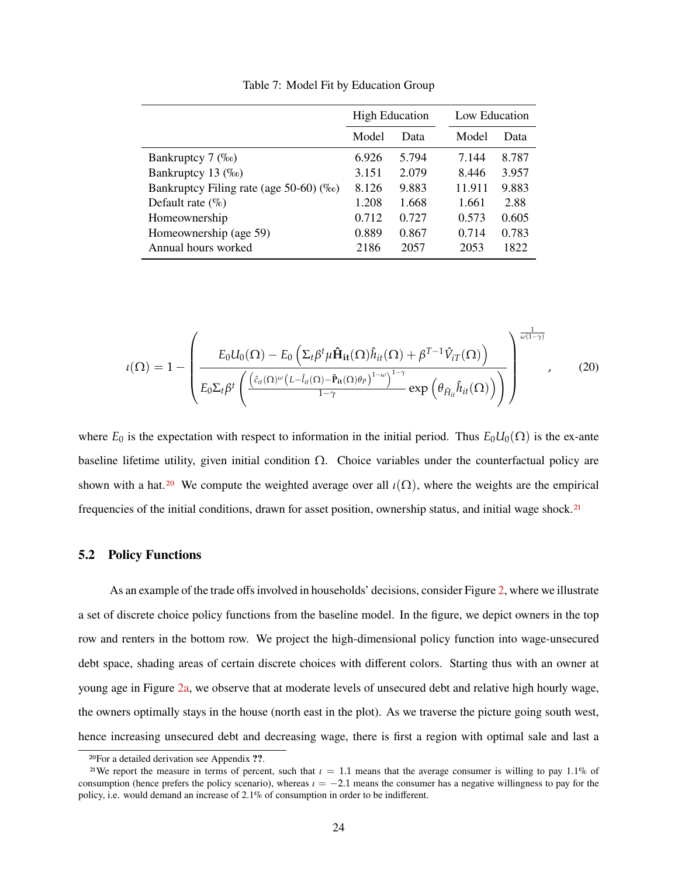<span id="page-24-0"></span>

|                                             | <b>High Education</b> |       | Low Education |       |
|---------------------------------------------|-----------------------|-------|---------------|-------|
|                                             | Model                 | Data  | Model         | Data  |
| Bankruptcy $7 \ (\%o)$                      | 6.926                 | 5.794 | 7.144         | 8.787 |
| Bankruptcy 13 $(\%$ <sub>0</sub> )          | 3.151                 | 2.079 | 8.446         | 3.957 |
| Bankruptcy Filing rate (age 50-60) $(\%_0)$ | 8.126                 | 9.883 | 11.911        | 9.883 |
| Default rate $(\% )$                        | 1.208                 | 1.668 | 1.661         | 2.88  |
| Homeownership                               | 0.712                 | 0.727 | 0.573         | 0.605 |
| Homeownership (age 59)                      | 0.889                 | 0.867 | 0.714         | 0.783 |
| Annual hours worked                         | 2186                  | 2057  | 2053          | 1822  |

Table 7: Model Fit by Education Group

$$
\iota(\Omega) = 1 - \left( \frac{E_0 U_0(\Omega) - E_0 \left( \Sigma_t \beta^t \mu \hat{\mathbf{H}}_{it}(\Omega) \hat{h}_{it}(\Omega) + \beta^{T-1} \hat{V}_{iT}(\Omega) \right)}{E_0 \Sigma_t \beta^t \left( \frac{\left( \hat{c}_{it}(\Omega) \omega \left( L - \hat{I}_{it}(\Omega) - \hat{P}_{it}(\Omega) \theta_P \right)^{1-\omega} \right)^{1-\gamma}}{1-\gamma} \exp \left( \theta_{\hat{H}_{it}} \hat{h}_{it}(\Omega) \right) \right)} \right)^{\frac{1}{\omega(1-\gamma)}}
$$
(20)

where  $E_0$  is the expectation with respect to information in the initial period. Thus  $E_0U_0(\Omega)$  is the ex-ante baseline lifetime utility, given initial condition  $\Omega$ . Choice variables under the counterfactual policy are shown with a hat.<sup>[20](#page-1-0)</sup> We compute the weighted average over all  $\iota(\Omega)$ , where the weights are the empirical frequencies of the initial conditions, drawn for asset position, ownership status, and initial wage shock.[21](#page-1-0)

### **5.2 Policy Functions**

As an example of the trade offs involved in households' decisions, consider Figure [2,](#page-26-0) where we illustrate a set of discrete choice policy functions from the baseline model. In the figure, we depict owners in the top row and renters in the bottom row. We project the high-dimensional policy function into wage-unsecured debt space, shading areas of certain discrete choices with different colors. Starting thus with an owner at young age in Figure [2a,](#page-26-0) we observe that at moderate levels of unsecured debt and relative high hourly wage, the owners optimally stays in the house (north east in the plot). As we traverse the picture going south west, hence increasing unsecured debt and decreasing wage, there is first a region with optimal sale and last a

<sup>20</sup>For a detailed derivation see Appendix **??**.

<sup>&</sup>lt;sup>21</sup>We report the measure in terms of percent, such that  $\iota = 1.1$  means that the average consumer is willing to pay 1.1% of consumption (hence prefers the policy scenario), whereas *ι* = −2.1 means the consumer has a negative willingness to pay for the policy, i.e. would demand an increase of 2.1% of consumption in order to be indifferent.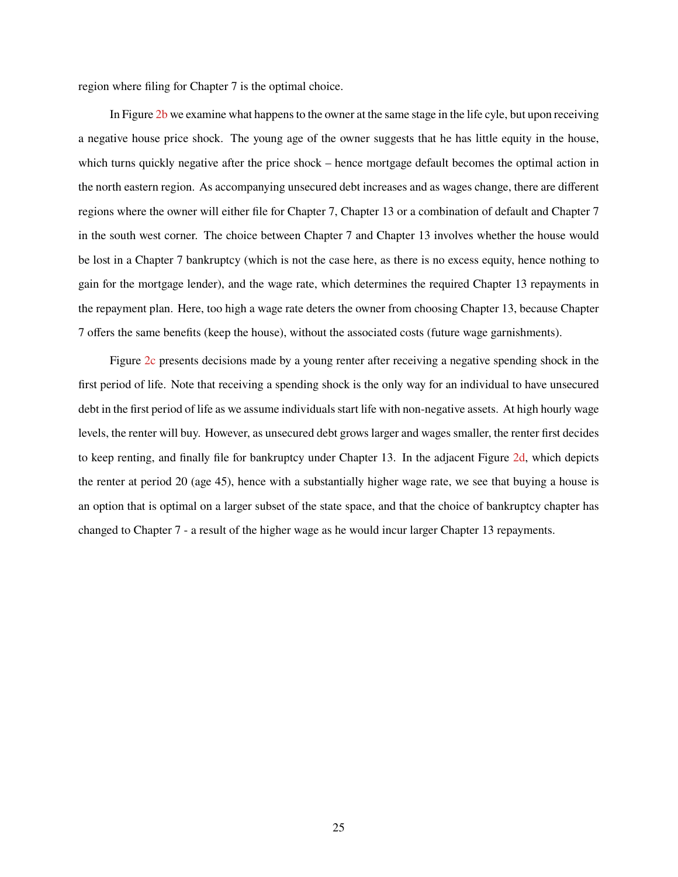region where filing for Chapter 7 is the optimal choice.

In Figure [2b](#page-26-0) we examine what happens to the owner at the same stage in the life cyle, but upon receiving a negative house price shock. The young age of the owner suggests that he has little equity in the house, which turns quickly negative after the price shock – hence mortgage default becomes the optimal action in the north eastern region. As accompanying unsecured debt increases and as wages change, there are different regions where the owner will either file for Chapter 7, Chapter 13 or a combination of default and Chapter 7 in the south west corner. The choice between Chapter 7 and Chapter 13 involves whether the house would be lost in a Chapter 7 bankruptcy (which is not the case here, as there is no excess equity, hence nothing to gain for the mortgage lender), and the wage rate, which determines the required Chapter 13 repayments in the repayment plan. Here, too high a wage rate deters the owner from choosing Chapter 13, because Chapter 7 offers the same benefits (keep the house), without the associated costs (future wage garnishments).

Figure [2c](#page-26-0) presents decisions made by a young renter after receiving a negative spending shock in the first period of life. Note that receiving a spending shock is the only way for an individual to have unsecured debt in the first period of life as we assume individuals start life with non-negative assets. At high hourly wage levels, the renter will buy. However, as unsecured debt grows larger and wages smaller, the renter first decides to keep renting, and finally file for bankruptcy under Chapter 13. In the adjacent Figure [2d,](#page-26-0) which depicts the renter at period 20 (age 45), hence with a substantially higher wage rate, we see that buying a house is an option that is optimal on a larger subset of the state space, and that the choice of bankruptcy chapter has changed to Chapter 7 - a result of the higher wage as he would incur larger Chapter 13 repayments.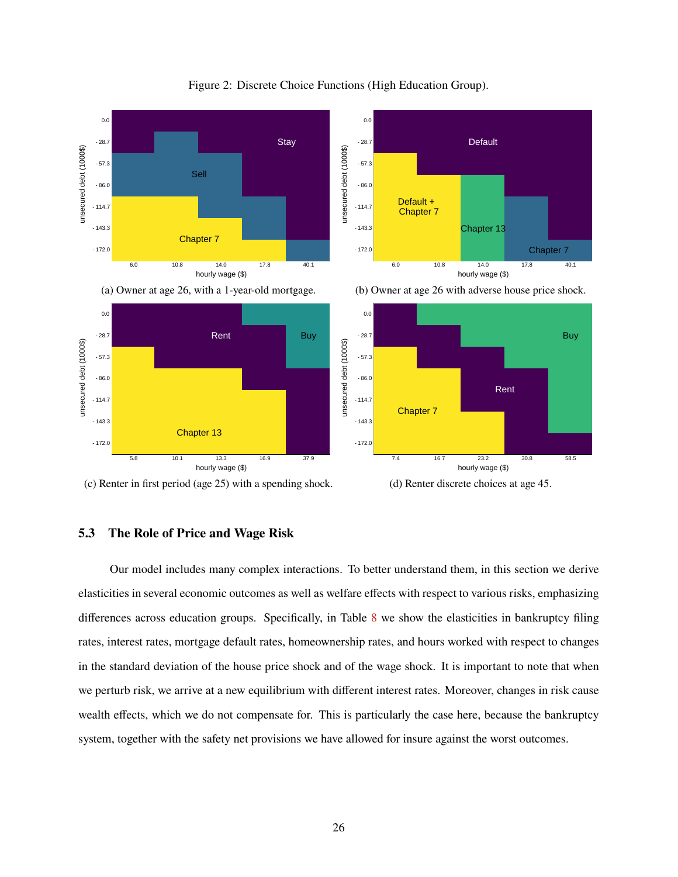<span id="page-26-0"></span>

Figure 2: Discrete Choice Functions (High Education Group).



(d) Renter discrete choices at age 45.

### **5.3 The Role of Price and Wage Risk**

Our model includes many complex interactions. To better understand them, in this section we derive elasticities in several economic outcomes as well as welfare effects with respect to various risks, emphasizing differences across education groups. Specifically, in Table [8](#page-27-0) we show the elasticities in bankruptcy filing rates, interest rates, mortgage default rates, homeownership rates, and hours worked with respect to changes in the standard deviation of the house price shock and of the wage shock. It is important to note that when we perturb risk, we arrive at a new equilibrium with different interest rates. Moreover, changes in risk cause wealth effects, which we do not compensate for. This is particularly the case here, because the bankruptcy system, together with the safety net provisions we have allowed for insure against the worst outcomes.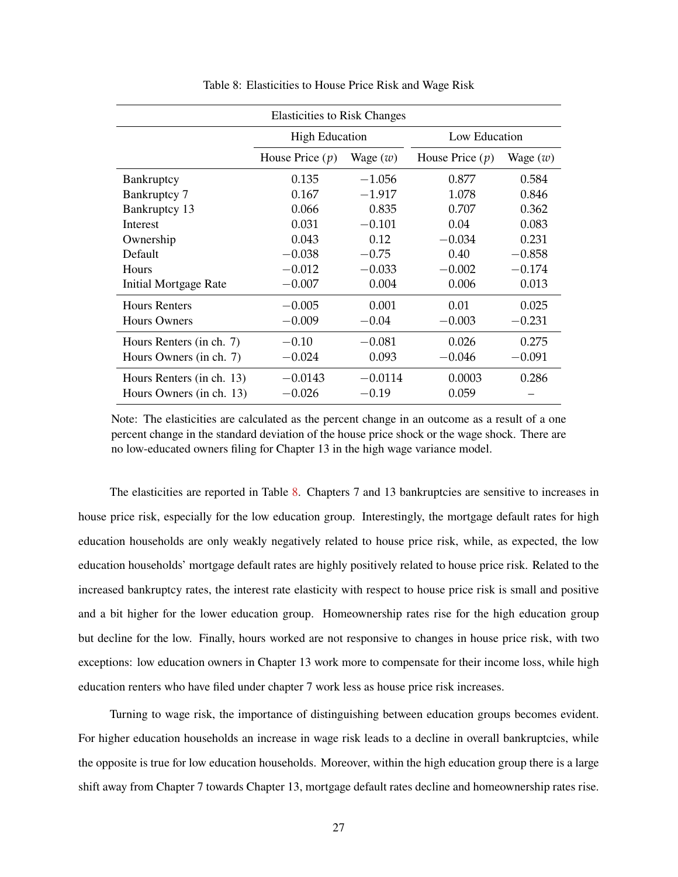<span id="page-27-0"></span>

| <b>Elasticities to Risk Changes</b> |                       |            |                   |            |  |  |  |
|-------------------------------------|-----------------------|------------|-------------------|------------|--|--|--|
|                                     | <b>High Education</b> |            | Low Education     |            |  |  |  |
|                                     | House Price $(p)$     | Wage $(w)$ | House Price $(p)$ | Wage $(w)$ |  |  |  |
| Bankruptcy                          | 0.135                 | $-1.056$   | 0.877             | 0.584      |  |  |  |
| Bankruptcy 7                        | 0.167                 | $-1.917$   | 1.078             | 0.846      |  |  |  |
| Bankruptcy 13                       | 0.066                 | 0.835      | 0.707             | 0.362      |  |  |  |
| <b>Interest</b>                     | 0.031                 | $-0.101$   | 0.04              | 0.083      |  |  |  |
| Ownership                           | 0.043                 | 0.12       | $-0.034$          | 0.231      |  |  |  |
| Default                             | $-0.038$              | $-0.75$    | 0.40              | $-0.858$   |  |  |  |
| Hours                               | $-0.012$              | $-0.033$   | $-0.002$          | $-0.174$   |  |  |  |
| <b>Initial Mortgage Rate</b>        | $-0.007$              | 0.004      | 0.006             | 0.013      |  |  |  |
| <b>Hours Renters</b>                | $-0.005$              | 0.001      | 0.01              | 0.025      |  |  |  |
| <b>Hours Owners</b>                 | $-0.009$              | $-0.04$    | $-0.003$          | $-0.231$   |  |  |  |
| Hours Renters (in ch. 7)            | $-0.10$               | $-0.081$   | 0.026             | 0.275      |  |  |  |
| Hours Owners (in ch. 7)             | $-0.024$              | 0.093      | $-0.046$          | $-0.091$   |  |  |  |
| Hours Renters (in ch. 13)           | $-0.0143$             | $-0.0114$  | 0.0003            | 0.286      |  |  |  |
| Hours Owners (in ch. 13)            | $-0.026$              | $-0.19$    | 0.059             |            |  |  |  |

Table 8: Elasticities to House Price Risk and Wage Risk

Note: The elasticities are calculated as the percent change in an outcome as a result of a one percent change in the standard deviation of the house price shock or the wage shock. There are no low-educated owners filing for Chapter 13 in the high wage variance model.

The elasticities are reported in Table [8.](#page-27-0) Chapters 7 and 13 bankruptcies are sensitive to increases in house price risk, especially for the low education group. Interestingly, the mortgage default rates for high education households are only weakly negatively related to house price risk, while, as expected, the low education households' mortgage default rates are highly positively related to house price risk. Related to the increased bankruptcy rates, the interest rate elasticity with respect to house price risk is small and positive and a bit higher for the lower education group. Homeownership rates rise for the high education group but decline for the low. Finally, hours worked are not responsive to changes in house price risk, with two exceptions: low education owners in Chapter 13 work more to compensate for their income loss, while high education renters who have filed under chapter 7 work less as house price risk increases.

Turning to wage risk, the importance of distinguishing between education groups becomes evident. For higher education households an increase in wage risk leads to a decline in overall bankruptcies, while the opposite is true for low education households. Moreover, within the high education group there is a large shift away from Chapter 7 towards Chapter 13, mortgage default rates decline and homeownership rates rise.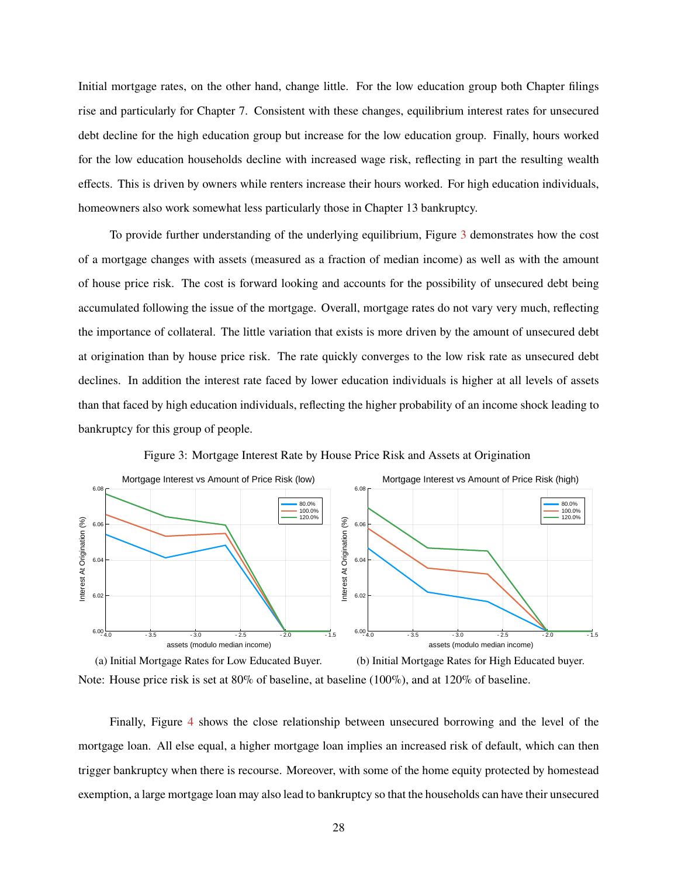Initial mortgage rates, on the other hand, change little. For the low education group both Chapter filings rise and particularly for Chapter 7. Consistent with these changes, equilibrium interest rates for unsecured debt decline for the high education group but increase for the low education group. Finally, hours worked for the low education households decline with increased wage risk, reflecting in part the resulting wealth effects. This is driven by owners while renters increase their hours worked. For high education individuals, homeowners also work somewhat less particularly those in Chapter 13 bankruptcy.

To provide further understanding of the underlying equilibrium, Figure [3](#page-28-0) demonstrates how the cost of a mortgage changes with assets (measured as a fraction of median income) as well as with the amount of house price risk. The cost is forward looking and accounts for the possibility of unsecured debt being accumulated following the issue of the mortgage. Overall, mortgage rates do not vary very much, reflecting the importance of collateral. The little variation that exists is more driven by the amount of unsecured debt at origination than by house price risk. The rate quickly converges to the low risk rate as unsecured debt declines. In addition the interest rate faced by lower education individuals is higher at all levels of assets than that faced by high education individuals, reflecting the higher probability of an income shock leading to bankruptcy for this group of people.

<span id="page-28-0"></span>

Figure 3: Mortgage Interest Rate by House Price Risk and Assets at Origination



Finally, Figure [4](#page-29-0) shows the close relationship between unsecured borrowing and the level of the mortgage loan. All else equal, a higher mortgage loan implies an increased risk of default, which can then trigger bankruptcy when there is recourse. Moreover, with some of the home equity protected by homestead exemption, a large mortgage loan may also lead to bankruptcy so that the households can have their unsecured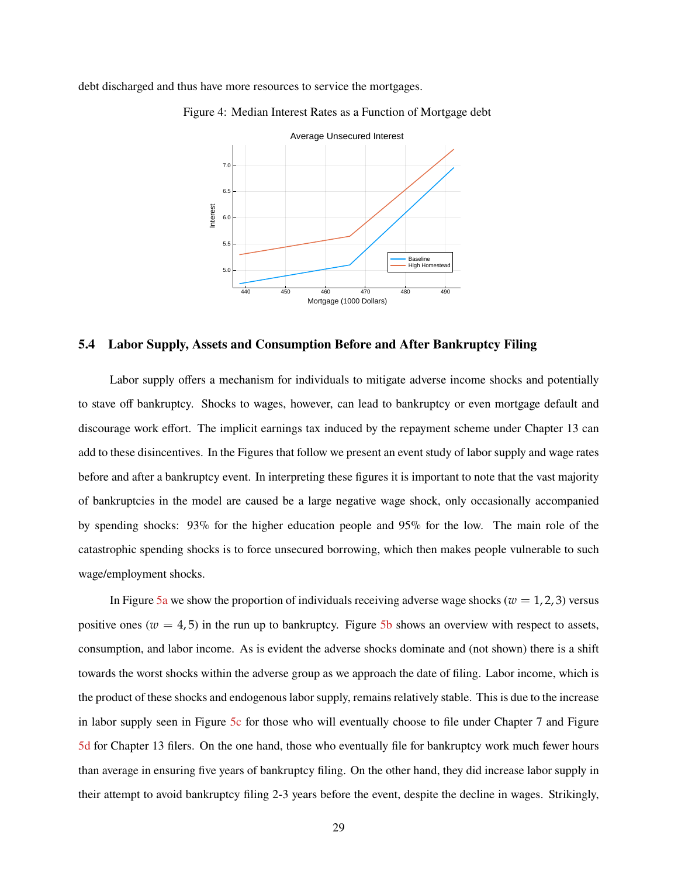<span id="page-29-0"></span>debt discharged and thus have more resources to service the mortgages.



Figure 4: Median Interest Rates as a Function of Mortgage debt

#### **5.4 Labor Supply, Assets and Consumption Before and After Bankruptcy Filing**

Labor supply offers a mechanism for individuals to mitigate adverse income shocks and potentially to stave off bankruptcy. Shocks to wages, however, can lead to bankruptcy or even mortgage default and discourage work effort. The implicit earnings tax induced by the repayment scheme under Chapter 13 can add to these disincentives. In the Figures that follow we present an event study of labor supply and wage rates before and after a bankruptcy event. In interpreting these figures it is important to note that the vast majority of bankruptcies in the model are caused be a large negative wage shock, only occasionally accompanied by spending shocks: 93% for the higher education people and 95% for the low. The main role of the catastrophic spending shocks is to force unsecured borrowing, which then makes people vulnerable to such wage/employment shocks.

In Figure [5a](#page-30-0) we show the proportion of individuals receiving adverse wage shocks ( $w = 1, 2, 3$ ) versus positive ones ( $w = 4.5$ ) in the run up to bankruptcy. Figure [5b](#page-30-0) shows an overview with respect to assets, consumption, and labor income. As is evident the adverse shocks dominate and (not shown) there is a shift towards the worst shocks within the adverse group as we approach the date of filing. Labor income, which is the product of these shocks and endogenous labor supply, remains relatively stable. This is due to the increase in labor supply seen in Figure [5c](#page-30-0) for those who will eventually choose to file under Chapter 7 and Figure [5d](#page-30-0) for Chapter 13 filers. On the one hand, those who eventually file for bankruptcy work much fewer hours than average in ensuring five years of bankruptcy filing. On the other hand, they did increase labor supply in their attempt to avoid bankruptcy filing 2-3 years before the event, despite the decline in wages. Strikingly,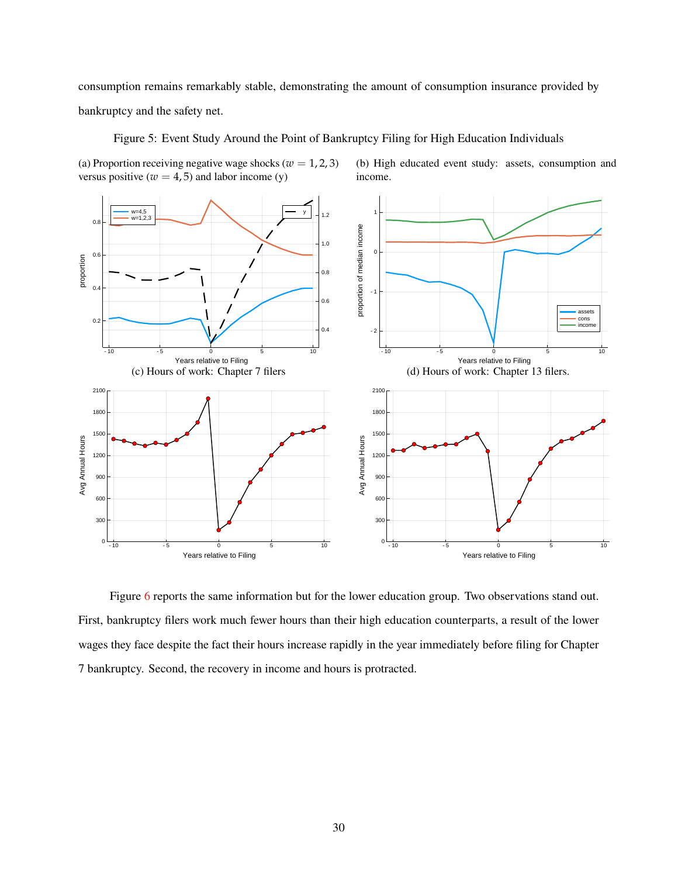consumption remains remarkably stable, demonstrating the amount of consumption insurance provided by bankruptcy and the safety net.

w=4,5 w=1,2,3  $1.2$ 1 H  $0.8$ proportion of median income proportion of median income 1.0 아  $0.6$ proportion 0.8 7  $0.4 \,|\cdot|$ -1 0.6 assets 0.2 cons income  $0.4$ -2 -10 -5 0 5 10 -10 -5 0 5 10 Years relative to Filing Years relative to Filing (d) Hours of work: Chapter 13 filers. (c) Hours of work: Chapter 7 filers  $2100<sub>0</sub>$ 2100 1800 1800 1500 1500 Avg Annual Hours Avg Annual Hours 1200 1200 900 900 600 600 300 300  $0 - 10$  $0 - 10$ -10 -5 0 5 10 -10 -5 0 5 10 Years relative to Filing Years relative to Filing

Figure 5: Event Study Around the Point of Bankruptcy Filing for High Education Individuals

<span id="page-30-0"></span>(a) Proportion receiving negative wage shocks ( $w = 1, 2, 3$ ) versus positive ( $w = 4, 5$ ) and labor income (y)

(b) High educated event study: assets, consumption and income.

Figure [6](#page-31-1) reports the same information but for the lower education group. Two observations stand out. First, bankruptcy filers work much fewer hours than their high education counterparts, a result of the lower wages they face despite the fact their hours increase rapidly in the year immediately before filing for Chapter 7 bankruptcy. Second, the recovery in income and hours is protracted.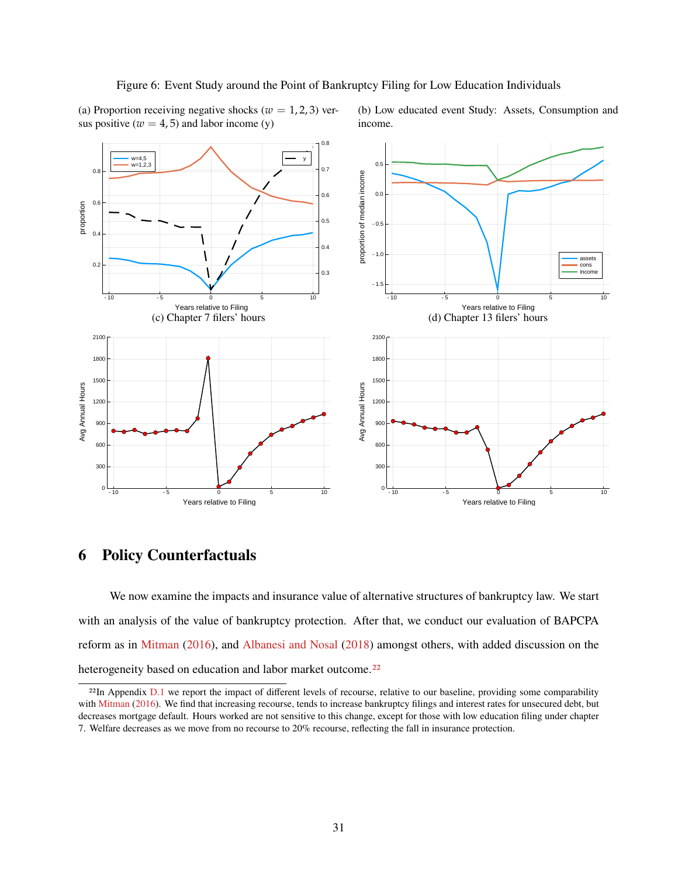#### Figure 6: Event Study around the Point of Bankruptcy Filing for Low Education Individuals

<span id="page-31-1"></span>(a) Proportion receiving negative shocks ( $w = 1, 2, 3$ ) versus positive ( $w = 4, 5$ ) and labor income (y)

(b) Low educated event Study: Assets, Consumption and income.



## <span id="page-31-0"></span>**6 Policy Counterfactuals**

We now examine the impacts and insurance value of alternative structures of bankruptcy law. We start with an analysis of the value of bankruptcy protection. After that, we conduct our evaluation of BAPCPA reform as in [Mitman](#page-38-0) [\(2016\)](#page-38-0), and [Albanesi and Nosal](#page-37-10) [\(2018\)](#page-37-10) amongst others, with added discussion on the heterogeneity based on education and labor market outcome.<sup>[22](#page-1-0)</sup>

<sup>&</sup>lt;sup>22</sup>In Appendix [D.1](#page-50-0) we report the impact of different levels of recourse, relative to our baseline, providing some comparability with [Mitman](#page-38-0) [\(2016\)](#page-38-0). We find that increasing recourse, tends to increase bankruptcy filings and interest rates for unsecured debt, but decreases mortgage default. Hours worked are not sensitive to this change, except for those with low education filing under chapter 7. Welfare decreases as we move from no recourse to 20% recourse, reflecting the fall in insurance protection.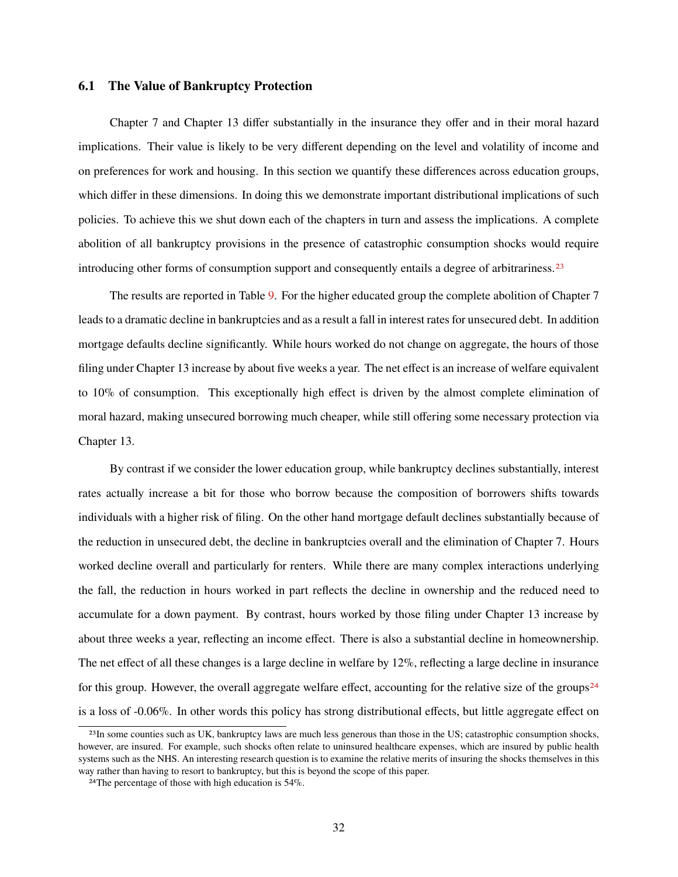#### **6.1 The Value of Bankruptcy Protection**

Chapter 7 and Chapter 13 differ substantially in the insurance they offer and in their moral hazard implications. Their value is likely to be very different depending on the level and volatility of income and on preferences for work and housing. In this section we quantify these differences across education groups, which differ in these dimensions. In doing this we demonstrate important distributional implications of such policies. To achieve this we shut down each of the chapters in turn and assess the implications. A complete abolition of all bankruptcy provisions in the presence of catastrophic consumption shocks would require introducing other forms of consumption support and consequently entails a degree of arbitrariness.<sup>[23](#page-1-0)</sup>

The results are reported in Table [9.](#page-33-0) For the higher educated group the complete abolition of Chapter 7 leads to a dramatic decline in bankruptcies and as a result a fall in interest rates for unsecured debt. In addition mortgage defaults decline significantly. While hours worked do not change on aggregate, the hours of those filing under Chapter 13 increase by about five weeks a year. The net effect is an increase of welfare equivalent to 10% of consumption. This exceptionally high effect is driven by the almost complete elimination of moral hazard, making unsecured borrowing much cheaper, while still offering some necessary protection via Chapter 13.

By contrast if we consider the lower education group, while bankruptcy declines substantially, interest rates actually increase a bit for those who borrow because the composition of borrowers shifts towards individuals with a higher risk of filing. On the other hand mortgage default declines substantially because of the reduction in unsecured debt, the decline in bankruptcies overall and the elimination of Chapter 7. Hours worked decline overall and particularly for renters. While there are many complex interactions underlying the fall, the reduction in hours worked in part reflects the decline in ownership and the reduced need to accumulate for a down payment. By contrast, hours worked by those filing under Chapter 13 increase by about three weeks a year, reflecting an income effect. There is also a substantial decline in homeownership. The net effect of all these changes is a large decline in welfare by 12%, reflecting a large decline in insurance for this group. However, the overall aggregate welfare effect, accounting for the relative size of the groups<sup>[24](#page-1-0)</sup> is a loss of -0.06%. In other words this policy has strong distributional effects, but little aggregate effect on

<sup>&</sup>lt;sup>23</sup>In some counties such as UK, bankruptcy laws are much less generous than those in the US; catastrophic consumption shocks, however, are insured. For example, such shocks often relate to uninsured healthcare expenses, which are insured by public health systems such as the NHS. An interesting research question is to examine the relative merits of insuring the shocks themselves in this way rather than having to resort to bankruptcy, but this is beyond the scope of this paper.

<sup>24</sup>The percentage of those with high education is 54%.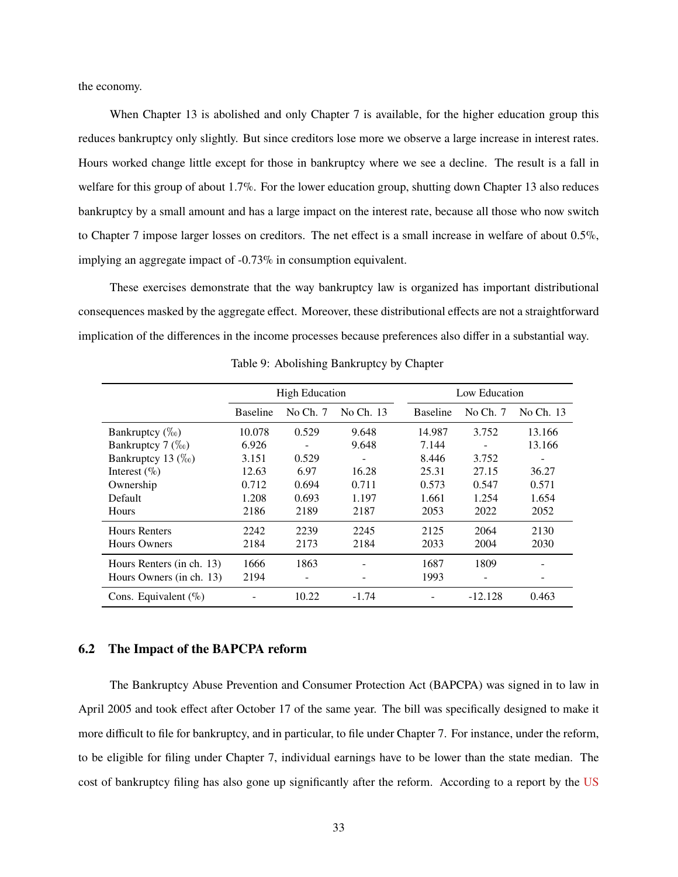the economy.

When Chapter 13 is abolished and only Chapter 7 is available, for the higher education group this reduces bankruptcy only slightly. But since creditors lose more we observe a large increase in interest rates. Hours worked change little except for those in bankruptcy where we see a decline. The result is a fall in welfare for this group of about 1.7%. For the lower education group, shutting down Chapter 13 also reduces bankruptcy by a small amount and has a large impact on the interest rate, because all those who now switch to Chapter 7 impose larger losses on creditors. The net effect is a small increase in welfare of about 0.5%, implying an aggregate impact of -0.73% in consumption equivalent.

These exercises demonstrate that the way bankruptcy law is organized has important distributional consequences masked by the aggregate effect. Moreover, these distributional effects are not a straightforward implication of the differences in the income processes because preferences also differ in a substantial way.

<span id="page-33-0"></span>

|                                  | <b>High Education</b> |                   |           |                 | Low Education |           |
|----------------------------------|-----------------------|-------------------|-----------|-----------------|---------------|-----------|
|                                  | <b>Baseline</b>       | No Ch. $7$        | No Ch. 13 | <b>Baseline</b> | No $Ch. 7$    | No Ch. 13 |
| Bankruptcy $(\%_0)$              | 10.078                | 0.529             | 9.648     | 14.987          | 3.752         | 13.166    |
| Bankruptcy $7 \left( \% \right)$ | 6.926                 | $\qquad \qquad -$ | 9.648     | 7.144           |               | 13.166    |
| Bankruptcy 13 $(\%_0)$           | 3.151                 | 0.529             |           | 8.446           | 3.752         |           |
| Interest $(\% )$                 | 12.63                 | 6.97              | 16.28     | 25.31           | 27.15         | 36.27     |
| Ownership                        | 0.712                 | 0.694             | 0.711     | 0.573           | 0.547         | 0.571     |
| Default                          | 1.208                 | 0.693             | 1.197     | 1.661           | 1.254         | 1.654     |
| <b>Hours</b>                     | 2186                  | 2189              | 2187      | 2053            | 2022          | 2052      |
| <b>Hours Renters</b>             | 2242                  | 2239              | 2245      | 2125            | 2064          | 2130      |
| <b>Hours Owners</b>              | 2184                  | 2173              | 2184      | 2033            | 2004          | 2030      |
| Hours Renters (in ch. 13)        | 1666                  | 1863              |           | 1687            | 1809          |           |
| Hours Owners (in ch. 13)         | 2194                  | -                 |           | 1993            |               |           |
| Cons. Equivalent $(\% )$         |                       | 10.22             | $-1.74$   |                 | -12.128       | 0.463     |

Table 9: Abolishing Bankruptcy by Chapter

#### **6.2 The Impact of the BAPCPA reform**

The Bankruptcy Abuse Prevention and Consumer Protection Act (BAPCPA) was signed in to law in April 2005 and took effect after October 17 of the same year. The bill was specifically designed to make it more difficult to file for bankruptcy, and in particular, to file under Chapter 7. For instance, under the reform, to be eligible for filing under Chapter 7, individual earnings have to be lower than the state median. The cost of bankruptcy filing has also gone up significantly after the reform. According to a report by the [US](#page-38-16)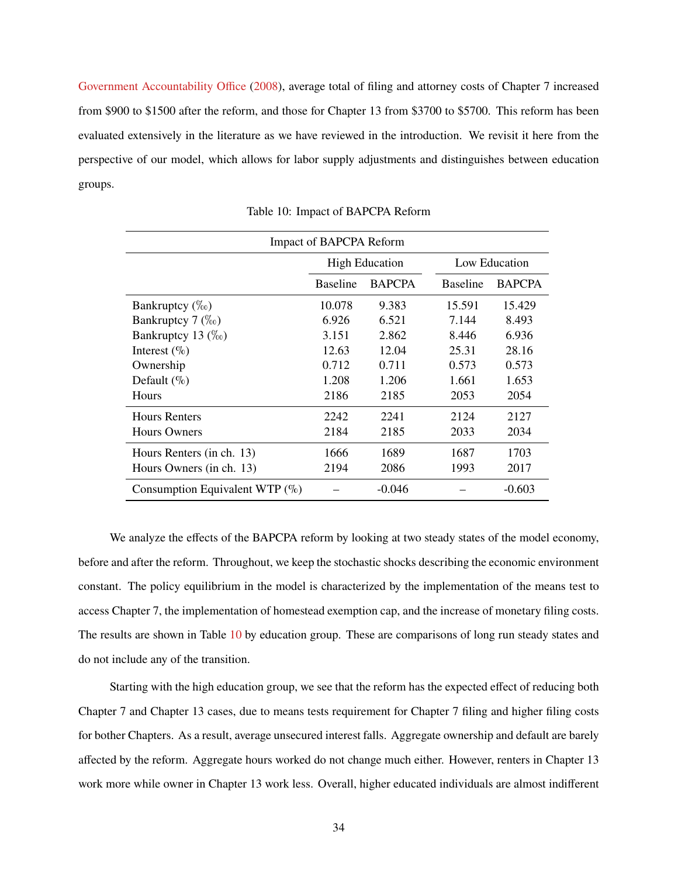[Government Accountability Office](#page-38-16) [\(2008\)](#page-38-16), average total of filing and attorney costs of Chapter 7 increased from \$900 to \$1500 after the reform, and those for Chapter 13 from \$3700 to \$5700. This reform has been evaluated extensively in the literature as we have reviewed in the introduction. We revisit it here from the perspective of our model, which allows for labor supply adjustments and distinguishes between education groups.

<span id="page-34-0"></span>

| Impact of BAPCPA Reform              |                 |                       |                 |               |  |
|--------------------------------------|-----------------|-----------------------|-----------------|---------------|--|
|                                      |                 | <b>High Education</b> |                 | Low Education |  |
|                                      | <b>Baseline</b> | <b>BAPCPA</b>         | <b>Baseline</b> | <b>BAPCPA</b> |  |
| Bankruptcy $(\%_0)$                  | 10.078          | 9.383                 | 15.591          | 15.429        |  |
| Bankruptcy $7 \left( \%_{0} \right)$ | 6.926           | 6.521                 | 7.144           | 8.493         |  |
| Bankruptcy 13 $(\%_0)$               | 3.151           | 2.862                 | 8.446           | 6.936         |  |
| Interest $(\%$                       | 12.63           | 12.04                 | 25.31           | 28.16         |  |
| Ownership                            | 0.712           | 0.711                 | 0.573           | 0.573         |  |
| Default $(\%)$                       | 1.208           | 1.206                 | 1.661           | 1.653         |  |
| Hours                                | 2186            | 2185                  | 2053            | 2054          |  |
| <b>Hours Renters</b>                 | 2242            | 2241                  | 2124            | 2127          |  |
| <b>Hours Owners</b>                  | 2184            | 2185                  | 2033            | 2034          |  |
| Hours Renters (in ch. 13)            | 1666            | 1689                  | 1687            | 1703          |  |
| Hours Owners (in ch. 13)             | 2194            | 2086                  | 1993            | 2017          |  |
| Consumption Equivalent WTP (%)       |                 | $-0.046$              |                 | $-0.603$      |  |

Table 10: Impact of BAPCPA Reform

We analyze the effects of the BAPCPA reform by looking at two steady states of the model economy, before and after the reform. Throughout, we keep the stochastic shocks describing the economic environment constant. The policy equilibrium in the model is characterized by the implementation of the means test to access Chapter 7, the implementation of homestead exemption cap, and the increase of monetary filing costs. The results are shown in Table [10](#page-34-0) by education group. These are comparisons of long run steady states and do not include any of the transition.

Starting with the high education group, we see that the reform has the expected effect of reducing both Chapter 7 and Chapter 13 cases, due to means tests requirement for Chapter 7 filing and higher filing costs for bother Chapters. As a result, average unsecured interest falls. Aggregate ownership and default are barely affected by the reform. Aggregate hours worked do not change much either. However, renters in Chapter 13 work more while owner in Chapter 13 work less. Overall, higher educated individuals are almost indifferent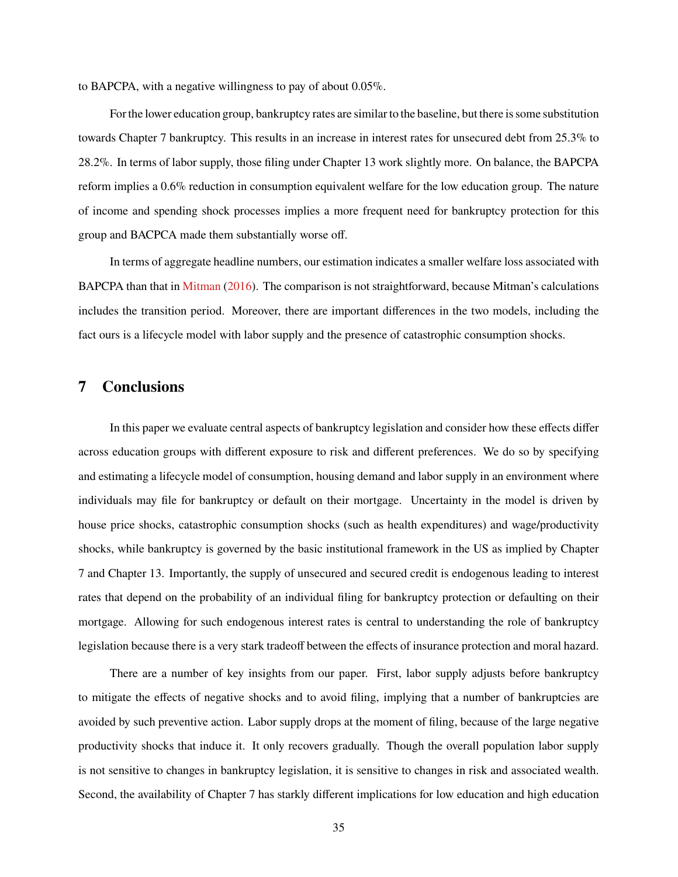to BAPCPA, with a negative willingness to pay of about 0.05%.

For the lower education group, bankruptcy rates are similar to the baseline, but there is some substitution towards Chapter 7 bankruptcy. This results in an increase in interest rates for unsecured debt from 25.3% to 28.2%. In terms of labor supply, those filing under Chapter 13 work slightly more. On balance, the BAPCPA reform implies a 0.6% reduction in consumption equivalent welfare for the low education group. The nature of income and spending shock processes implies a more frequent need for bankruptcy protection for this group and BACPCA made them substantially worse off.

In terms of aggregate headline numbers, our estimation indicates a smaller welfare loss associated with BAPCPA than that in [Mitman](#page-38-0) [\(2016\)](#page-38-0). The comparison is not straightforward, because Mitman's calculations includes the transition period. Moreover, there are important differences in the two models, including the fact ours is a lifecycle model with labor supply and the presence of catastrophic consumption shocks.

### <span id="page-35-0"></span>**7 Conclusions**

In this paper we evaluate central aspects of bankruptcy legislation and consider how these effects differ across education groups with different exposure to risk and different preferences. We do so by specifying and estimating a lifecycle model of consumption, housing demand and labor supply in an environment where individuals may file for bankruptcy or default on their mortgage. Uncertainty in the model is driven by house price shocks, catastrophic consumption shocks (such as health expenditures) and wage/productivity shocks, while bankruptcy is governed by the basic institutional framework in the US as implied by Chapter 7 and Chapter 13. Importantly, the supply of unsecured and secured credit is endogenous leading to interest rates that depend on the probability of an individual filing for bankruptcy protection or defaulting on their mortgage. Allowing for such endogenous interest rates is central to understanding the role of bankruptcy legislation because there is a very stark tradeoff between the effects of insurance protection and moral hazard.

There are a number of key insights from our paper. First, labor supply adjusts before bankruptcy to mitigate the effects of negative shocks and to avoid filing, implying that a number of bankruptcies are avoided by such preventive action. Labor supply drops at the moment of filing, because of the large negative productivity shocks that induce it. It only recovers gradually. Though the overall population labor supply is not sensitive to changes in bankruptcy legislation, it is sensitive to changes in risk and associated wealth. Second, the availability of Chapter 7 has starkly different implications for low education and high education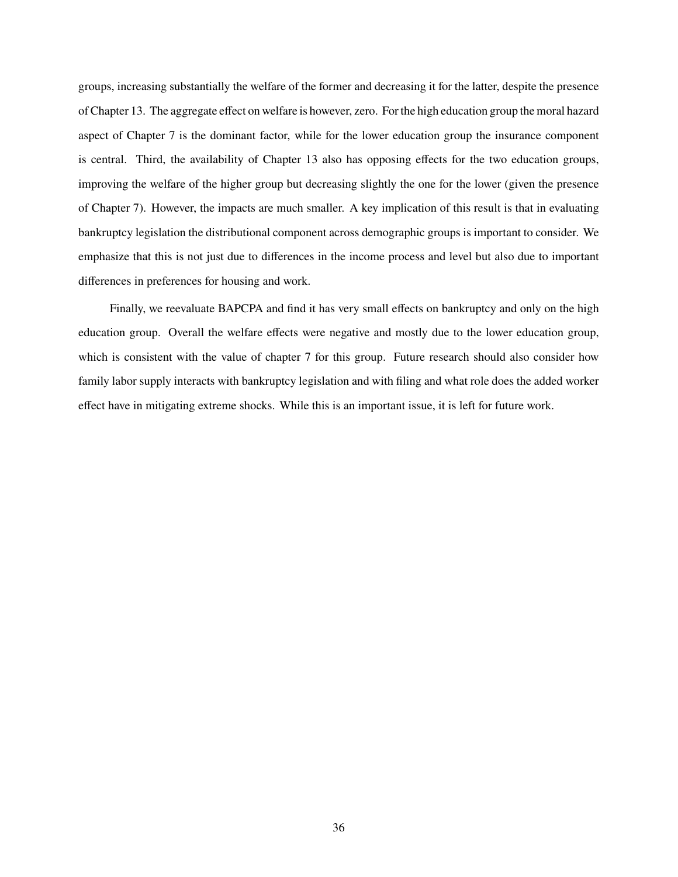groups, increasing substantially the welfare of the former and decreasing it for the latter, despite the presence of Chapter 13. The aggregate effect on welfare is however, zero. For the high education group the moral hazard aspect of Chapter 7 is the dominant factor, while for the lower education group the insurance component is central. Third, the availability of Chapter 13 also has opposing effects for the two education groups, improving the welfare of the higher group but decreasing slightly the one for the lower (given the presence of Chapter 7). However, the impacts are much smaller. A key implication of this result is that in evaluating bankruptcy legislation the distributional component across demographic groups is important to consider. We emphasize that this is not just due to differences in the income process and level but also due to important differences in preferences for housing and work.

Finally, we reevaluate BAPCPA and find it has very small effects on bankruptcy and only on the high education group. Overall the welfare effects were negative and mostly due to the lower education group, which is consistent with the value of chapter 7 for this group. Future research should also consider how family labor supply interacts with bankruptcy legislation and with filing and what role does the added worker effect have in mitigating extreme shocks. While this is an important issue, it is left for future work.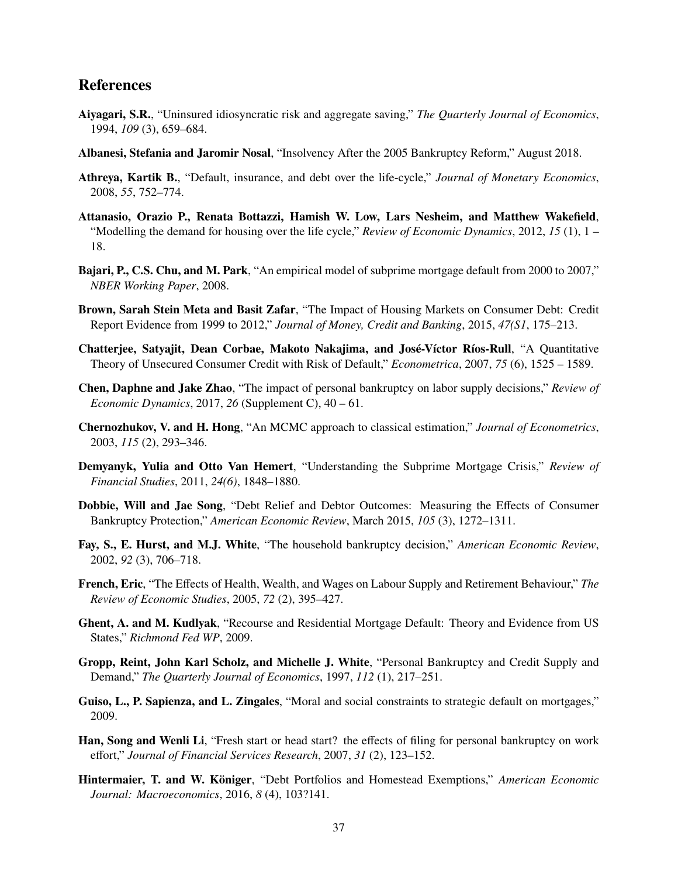### **References**

- <span id="page-37-0"></span>**Aiyagari, S.R.**, "Uninsured idiosyncratic risk and aggregate saving," *The Quarterly Journal of Economics*, 1994, *109* (3), 659–684.
- <span id="page-37-10"></span>**Albanesi, Stefania and Jaromir Nosal**, "Insolvency After the 2005 Bankruptcy Reform," August 2018.
- <span id="page-37-6"></span>**Athreya, Kartik B.**, "Default, insurance, and debt over the life-cycle," *Journal of Monetary Economics*, 2008, *55*, 752–774.
- <span id="page-37-14"></span>**Attanasio, Orazio P., Renata Bottazzi, Hamish W. Low, Lars Nesheim, and Matthew Wakefield**, "Modelling the demand for housing over the life cycle," *Review of Economic Dynamics*, 2012, *15* (1), 1 – 18.
- <span id="page-37-15"></span>**Bajari, P., C.S. Chu, and M. Park**, "An empirical model of subprime mortgage default from 2000 to 2007," *NBER Working Paper*, 2008.
- <span id="page-37-12"></span>**Brown, Sarah Stein Meta and Basit Zafar**, "The Impact of Housing Markets on Consumer Debt: Credit Report Evidence from 1999 to 2012," *Journal of Money, Credit and Banking*, 2015, *47(S1*, 175–213.
- <span id="page-37-5"></span>**Chatterjee, Satyajit, Dean Corbae, Makoto Nakajima, and José-Víctor Ríos-Rull**, "A Quantitative Theory of Unsecured Consumer Credit with Risk of Default," *Econometrica*, 2007, *75* (6), 1525 – 1589.
- <span id="page-37-7"></span>**Chen, Daphne and Jake Zhao**, "The impact of personal bankruptcy on labor supply decisions," *Review of Economic Dynamics*, 2017, *26* (Supplement C), 40 – 61.
- <span id="page-37-1"></span>**Chernozhukov, V. and H. Hong**, "An MCMC approach to classical estimation," *Journal of Econometrics*, 2003, *115* (2), 293–346.
- <span id="page-37-11"></span>**Demyanyk, Yulia and Otto Van Hemert**, "Understanding the Subprime Mortgage Crisis," *Review of Financial Studies*, 2011, *24(6)*, 1848–1880.
- <span id="page-37-9"></span>**Dobbie, Will and Jae Song**, "Debt Relief and Debtor Outcomes: Measuring the Effects of Consumer Bankruptcy Protection," *American Economic Review*, March 2015, *105* (3), 1272–1311.
- <span id="page-37-4"></span>**Fay, S., E. Hurst, and M.J. White**, "The household bankruptcy decision," *American Economic Review*, 2002, *92* (3), 706–718.
- <span id="page-37-17"></span>**French, Eric**, "The Effects of Health, Wealth, and Wages on Labour Supply and Retirement Behaviour," *The Review of Economic Studies*, 2005, *72* (2), 395–427.
- <span id="page-37-13"></span>**Ghent, A. and M. Kudlyak**, "Recourse and Residential Mortgage Default: Theory and Evidence from US States," *Richmond Fed WP*, 2009.
- <span id="page-37-3"></span>**Gropp, Reint, John Karl Scholz, and Michelle J. White**, "Personal Bankruptcy and Credit Supply and Demand," *The Quarterly Journal of Economics*, 1997, *112* (1), 217–251.
- <span id="page-37-16"></span>**Guiso, L., P. Sapienza, and L. Zingales**, "Moral and social constraints to strategic default on mortgages," 2009.
- <span id="page-37-8"></span>**Han, Song and Wenli Li**, "Fresh start or head start? the effects of filing for personal bankruptcy on work effort," *Journal of Financial Services Research*, 2007, *31* (2), 123–152.
- <span id="page-37-2"></span>**Hintermaier, T. and W. Königer**, "Debt Portfolios and Homestead Exemptions," *American Economic Journal: Macroeconomics*, 2016, *8* (4), 103?141.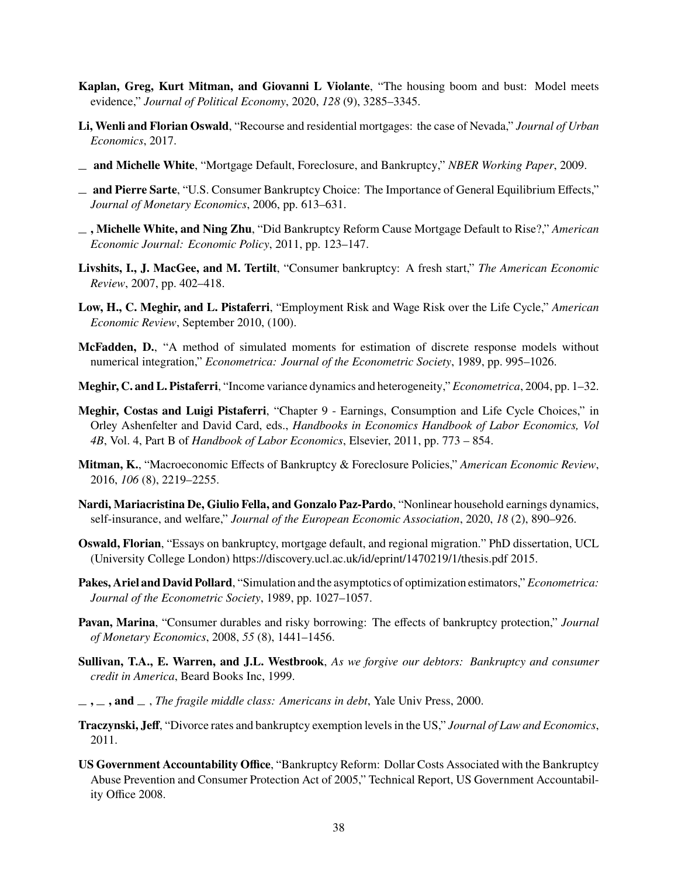- <span id="page-38-15"></span>**Kaplan, Greg, Kurt Mitman, and Giovanni L Violante**, "The housing boom and bust: Model meets evidence," *Journal of Political Economy*, 2020, *128* (9), 3285–3345.
- <span id="page-38-11"></span>**Li, Wenli and Florian Oswald**, "Recourse and residential mortgages: the case of Nevada," *Journal of Urban Economics*, 2017.
- <span id="page-38-10"></span>**and Michelle White**, "Mortgage Default, Foreclosure, and Bankruptcy," *NBER Working Paper*, 2009.
- <span id="page-38-7"></span>**and Pierre Sarte**, "U.S. Consumer Bankruptcy Choice: The Importance of General Equilibrium Effects," *Journal of Monetary Economics*, 2006, pp. 613–631.
- <span id="page-38-9"></span>**, Michelle White, and Ning Zhu**, "Did Bankruptcy Reform Cause Mortgage Default to Rise?," *American Economic Journal: Economic Policy*, 2011, pp. 123–147.
- <span id="page-38-8"></span>**Livshits, I., J. MacGee, and M. Tertilt**, "Consumer bankruptcy: A fresh start," *The American Economic Review*, 2007, pp. 402–418.
- <span id="page-38-18"></span>**Low, H., C. Meghir, and L. Pistaferri**, "Employment Risk and Wage Risk over the Life Cycle," *American Economic Review*, September 2010, (100).
- <span id="page-38-1"></span>**McFadden, D.**, "A method of simulated moments for estimation of discrete response models without numerical integration," *Econometrica: Journal of the Econometric Society*, 1989, pp. 995–1026.
- <span id="page-38-12"></span>**Meghir, C. and L. Pistaferri**, "Income variance dynamics and heterogeneity," *Econometrica*, 2004, pp. 1–32.
- <span id="page-38-17"></span>**Meghir, Costas and Luigi Pistaferri**, "Chapter 9 - Earnings, Consumption and Life Cycle Choices," in Orley Ashenfelter and David Card, eds., *Handbooks in Economics Handbook of Labor Economics, Vol 4B*, Vol. 4, Part B of *Handbook of Labor Economics*, Elsevier, 2011, pp. 773 – 854.
- <span id="page-38-0"></span>**Mitman, K.**, "Macroeconomic Effects of Bankruptcy & Foreclosure Policies," *American Economic Review*, 2016, *106* (8), 2219–2255.
- <span id="page-38-13"></span>**Nardi, Mariacristina De, Giulio Fella, and Gonzalo Paz-Pardo**, "Nonlinear household earnings dynamics, self-insurance, and welfare," *Journal of the European Economic Association*, 2020, *18* (2), 890–926.
- <span id="page-38-3"></span>**Oswald, Florian**, "Essays on bankruptcy, mortgage default, and regional migration." PhD dissertation, UCL (University College London) https://discovery.ucl.ac.uk/id/eprint/1470219/1/thesis.pdf 2015.
- <span id="page-38-2"></span>**Pakes, Ariel and David Pollard**, "Simulation and the asymptotics of optimization estimators," *Econometrica: Journal of the Econometric Society*, 1989, pp. 1027–1057.
- <span id="page-38-5"></span>**Pavan, Marina**, "Consumer durables and risky borrowing: The effects of bankruptcy protection," *Journal of Monetary Economics*, 2008, *55* (8), 1441–1456.
- <span id="page-38-4"></span>**Sullivan, T.A., E. Warren, and J.L. Westbrook**, *As we forgive our debtors: Bankruptcy and consumer credit in America*, Beard Books Inc, 1999.
- <span id="page-38-14"></span>**, , and** , *The fragile middle class: Americans in debt*, Yale Univ Press, 2000.
- <span id="page-38-6"></span>**Traczynski, Jeff**, "Divorce rates and bankruptcy exemption levels in the US," *Journal of Law and Economics*, 2011.
- <span id="page-38-16"></span>**US Government Accountability Office**, "Bankruptcy Reform: Dollar Costs Associated with the Bankruptcy Abuse Prevention and Consumer Protection Act of 2005," Technical Report, US Government Accountability Office 2008.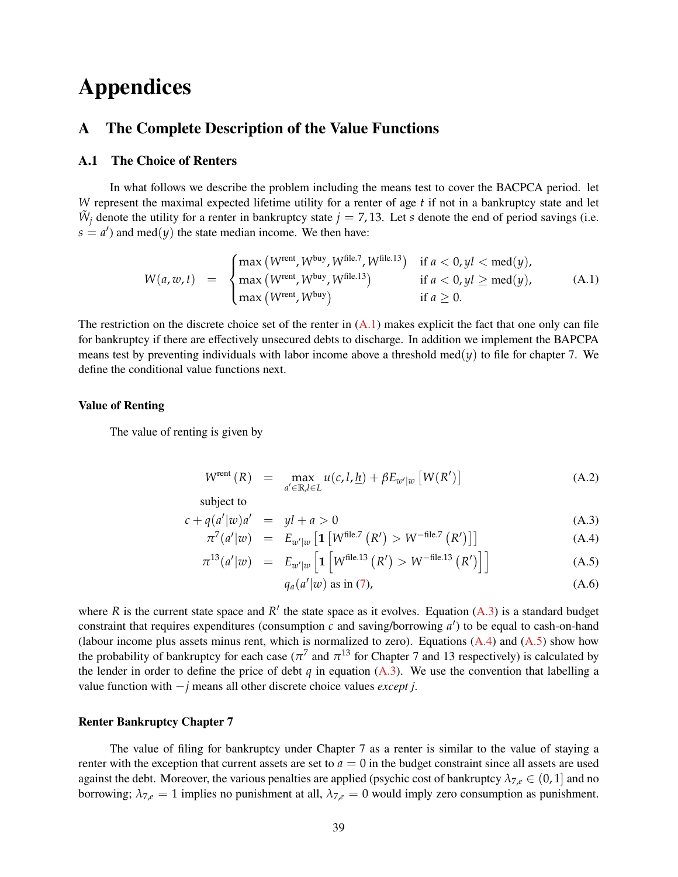# **Appendices**

### <span id="page-39-0"></span>**A The Complete Description of the Value Functions**

### **A.1 The Choice of Renters**

In what follows we describe the problem including the means test to cover the BACPCA period. let *W* represent the maximal expected lifetime utility for a renter of age *t* if not in a bankruptcy state and let  $\tilde{W}_j$  denote the utility for a renter in bankruptcy state  $j = 7, 13$ . Let *s* denote the end of period savings (i.e.  $s = a'$ ) and med(*y*) the state median income. We then have:

<span id="page-39-1"></span>
$$
W(a, w, t) = \begin{cases} \max(W^{\text{rent}}, W^{\text{buy}}, W^{\text{file.7}}, W^{\text{file.13}}) & \text{if } a < 0, yl < \text{med}(y), \\ \max(W^{\text{rent}}, W^{\text{buy}}, W^{\text{file.13}}) & \text{if } a < 0, yl \ge \text{med}(y), \\ \max(W^{\text{rent}}, W^{\text{buy}}) & \text{if } a \ge 0. \end{cases} \tag{A.1}
$$

The restriction on the discrete choice set of the renter in  $(A.1)$  makes explicit the fact that one only can file for bankruptcy if there are effectively unsecured debts to discharge. In addition we implement the BAPCPA means test by preventing individuals with labor income above a threshold med $(y)$  to file for chapter 7. We define the conditional value functions next.

#### **Value of Renting**

The value of renting is given by

<span id="page-39-2"></span>
$$
W^{\text{rent}}\left(R\right) = \max_{a' \in \mathbb{R}, l \in L} u(c, l, \underline{h}) + \beta E_{w'|w} \left[W(R')\right] \tag{A.2}
$$

subject to

$$
c + q(a'|w)a' = yl + a > 0
$$
\n(A.3)

$$
\pi^{7}(a'|w) = E_{w'|w} \left[ \mathbf{1} \left[ W^{\text{file},7} \left( R' \right) > W^{-\text{file},7} \left( R' \right) \right] \right] \tag{A.4}
$$

$$
\pi^{13}(a'|w) = E_{w'|w} \left[ \mathbf{1} \left[ W^{\text{file.13}}\left( R' \right) > W^{-\text{file.13}}\left( R' \right) \right] \right] \tag{A.5}
$$

$$
q_a(a'|w) \text{ as in (7),} \tag{A.6}
$$

where  $R$  is the current state space and  $R'$  the state space as it evolves. Equation  $(A.3)$  is a standard budget constraint that requires expenditures (consumption  $c$  and saving/borrowing  $a'$ ) to be equal to cash-on-hand (labour income plus assets minus rent, which is normalized to zero). Equations  $(A.4)$  and  $(A.5)$  show how the probability of bankruptcy for each case ( $\pi^7$  and  $\pi^{13}$  for Chapter 7 and 13 respectively) is calculated by the lender in order to define the price of debt  $q$  in equation [\(A.3\)](#page-39-2). We use the convention that labelling a value function with −*j* means all other discrete choice values *except j*.

#### **Renter Bankruptcy Chapter 7**

The value of filing for bankruptcy under Chapter 7 as a renter is similar to the value of staying a renter with the exception that current assets are set to  $a = 0$  in the budget constraint since all assets are used against the debt. Moreover, the various penalties are applied (psychic cost of bankruptcy  $\lambda_{7,e} \in (0,1]$  and no borrowing;  $\lambda_{7,e} = 1$  implies no punishment at all,  $\lambda_{7,e} = 0$  would imply zero consumption as punishment.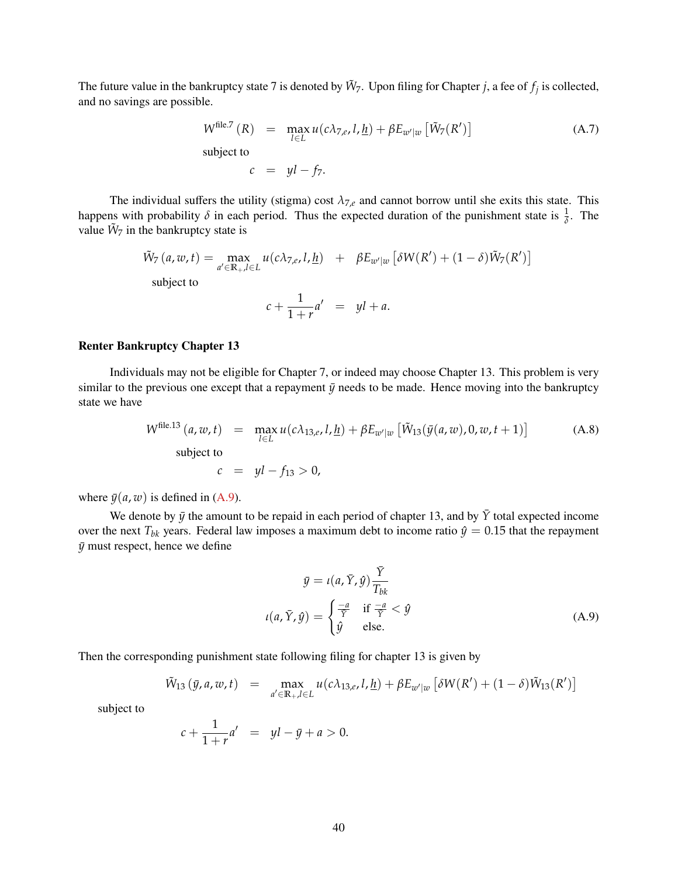The future value in the bankruptcy state 7 is denoted by  $\tilde{W}_7$ . Upon filing for Chapter *j*, a fee of  $f_j$  is collected, and no savings are possible.

$$
W^{\text{file.7}}(R) = \max_{l \in L} u(c\lambda_{7,e}, l, \underline{h}) + \beta E_{w'|w} \left[ \tilde{W}_7(R') \right]
$$
\nsubject to

\n
$$
c_{\text{old}} = u! \quad \text{if}
$$

 $c = yl - f_7.$ 

The individual suffers the utility (stigma) cost  $\lambda_{7,e}$  and cannot borrow until she exits this state. This happens with probability  $\delta$  in each period. Thus the expected duration of the punishment state is  $\frac{1}{\delta}$ . The value  $\tilde{W}_7$  in the bankruptcy state is

$$
\tilde{W}_7(a, w, t) = \max_{a' \in \mathbb{R}_+, l \in L} u(c\lambda_{7,e}, l, \underline{h}) + \beta E_{w'|w} \left[ \delta W(R') + (1 - \delta) \tilde{W}_7(R') \right]
$$
  
subject to

$$
c + \frac{1}{1+r}a' = yl + a.
$$

#### **Renter Bankruptcy Chapter 13**

Individuals may not be eligible for Chapter 7, or indeed may choose Chapter 13. This problem is very similar to the previous one except that a repayment  $\bar{y}$  needs to be made. Hence moving into the bankruptcy state we have

$$
W^{\text{file.13}}(a, w, t) = \max_{l \in L} u(c\lambda_{13,e}, l, \underline{h}) + \beta E_{w'|w} \left[ \tilde{W}_{13}(\bar{y}(a, w), 0, w, t + 1) \right]
$$
(A.8)  
subject to  

$$
c = yl - f_{13} > 0,
$$

where  $\bar{y}(a, w)$  is defined in [\(A.9\)](#page-40-0).

We denote by  $\bar{y}$  the amount to be repaid in each period of chapter 13, and by  $\bar{Y}$  total expected income over the next  $T_{bk}$  years. Federal law imposes a maximum debt to income ratio  $\hat{y} = 0.15$  that the repayment  $\bar{y}$  must respect, hence we define

<span id="page-40-0"></span>
$$
\bar{y} = \iota(a, \bar{Y}, \hat{y}) \frac{\bar{Y}}{T_{bk}}
$$

$$
\iota(a, \bar{Y}, \hat{y}) = \begin{cases} \frac{-a}{\bar{Y}} & \text{if } \frac{-a}{\bar{Y}} < \hat{y} \\ \hat{y} & \text{else.} \end{cases}
$$
(A.9)

Then the corresponding punishment state following filing for chapter 13 is given by

$$
\tilde{W}_{13}(\bar{y}, a, w, t) = \max_{a' \in \mathbb{R}_+, l \in L} u(c\lambda_{13, e}, l, \underline{h}) + \beta E_{w'|w} [\delta W(R') + (1 - \delta)\tilde{W}_{13}(R')]
$$

subject to

$$
c + \frac{1}{1+r}a' = yl - \bar{y} + a > 0.
$$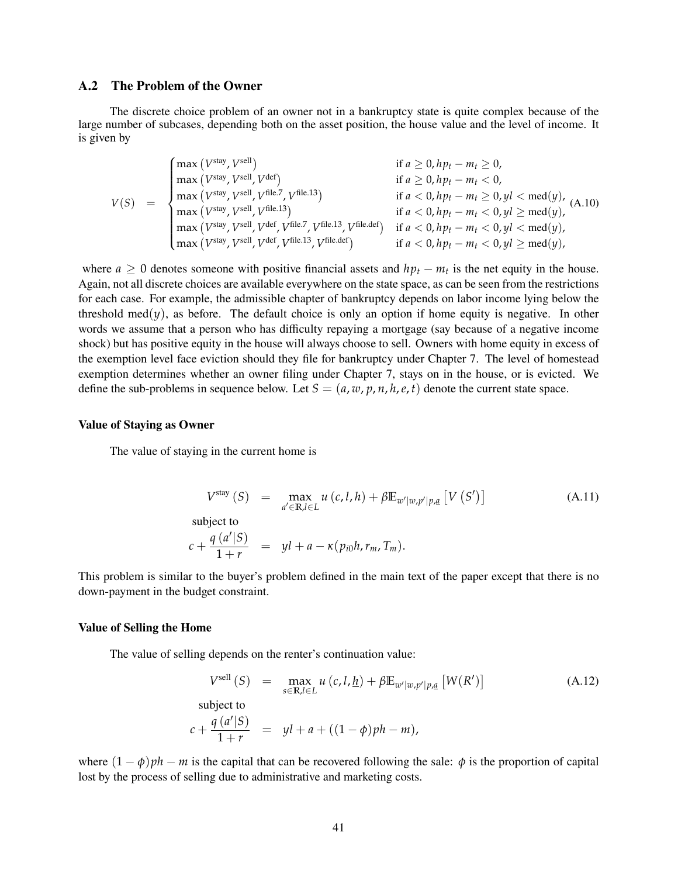#### **A.2 The Problem of the Owner**

The discrete choice problem of an owner not in a bankruptcy state is quite complex because of the large number of subcases, depending both on the asset position, the house value and the level of income. It is given by

$$
V(S) = \begin{cases} \max\left(V^{\text{stay}}, V^{\text{sell}}\right) & \text{if } a \geq 0, h p_t - m_t \geq 0, \\ \max\left(V^{\text{stay}}, V^{\text{sell}}, V^{\text{del}}, V^{\text{file.13}}\right) & \text{if } a < 0, h p_t - m_t < 0, \\ \max\left(V^{\text{stay}}, V^{\text{sell}}, V^{\text{file.13}}\right) & \text{if } a < 0, h p_t - m_t \geq 0, yl < \text{med}(y), \\ \max\left(V^{\text{stay}}, V^{\text{sell}}, V^{\text{file.13}}\right) & \text{if } a < 0, h p_t - m_t < 0, yl \geq \text{med}(y), \\ \max\left(V^{\text{stay}}, V^{\text{sell}}, V^{\text{del}}, V^{\text{file.13}}, V^{\text{file.13}}, V^{\text{file.14}}\right) & \text{if } a < 0, h p_t - m_t < 0, yl < \text{med}(y), \\ \max\left(V^{\text{stay}}, V^{\text{sell}}, V^{\text{del}}, V^{\text{file.13}}, V^{\text{file.15}}, V^{\text{file.16}}\right) & \text{if } a < 0, h p_t - m_t < 0, yl \geq \text{med}(y), \end{cases} \tag{A.10}
$$

where  $a \geq 0$  denotes someone with positive financial assets and  $hp_t - m_t$  is the net equity in the house. Again, not all discrete choices are available everywhere on the state space, as can be seen from the restrictions for each case. For example, the admissible chapter of bankruptcy depends on labor income lying below the threshold med $(y)$ , as before. The default choice is only an option if home equity is negative. In other words we assume that a person who has difficulty repaying a mortgage (say because of a negative income shock) but has positive equity in the house will always choose to sell. Owners with home equity in excess of the exemption level face eviction should they file for bankruptcy under Chapter 7. The level of homestead exemption determines whether an owner filing under Chapter 7, stays on in the house, or is evicted. We define the sub-problems in sequence below. Let  $S = (a, w, p, n, h, e, t)$  denote the current state space.

#### **Value of Staying as Owner**

The value of staying in the current home is

$$
V^{\text{stay}}(S) = \max_{a' \in \mathbb{R}, l \in L} u(c, l, h) + \beta \mathbb{E}_{w'|w, p'|p, \underline{a}} [V(S')]
$$
\nsubject to

\n
$$
c + \frac{q(a'|S)}{1+r} = yl + a - \kappa(p_{i0}h, r_m, T_m).
$$
\n(A.11)

This problem is similar to the buyer's problem defined in the main text of the paper except that there is no down-payment in the budget constraint.

#### **Value of Selling the Home**

The value of selling depends on the renter's continuation value:

$$
V^{\text{sell}}(S) = \max_{s \in \mathbb{R}, l \in L} u(c, l, \underline{h}) + \beta \mathbb{E}_{w'|w, p'|p, \underline{a}} \left[ W(R') \right]
$$
\nsubject to

\n
$$
c + \frac{q(a'|S)}{1+r} = yl + a + ((1-\phi)ph - m),
$$
\n(A.12)

where  $(1 - \phi)ph - m$  is the capital that can be recovered following the sale:  $\phi$  is the proportion of capital lost by the process of selling due to administrative and marketing costs.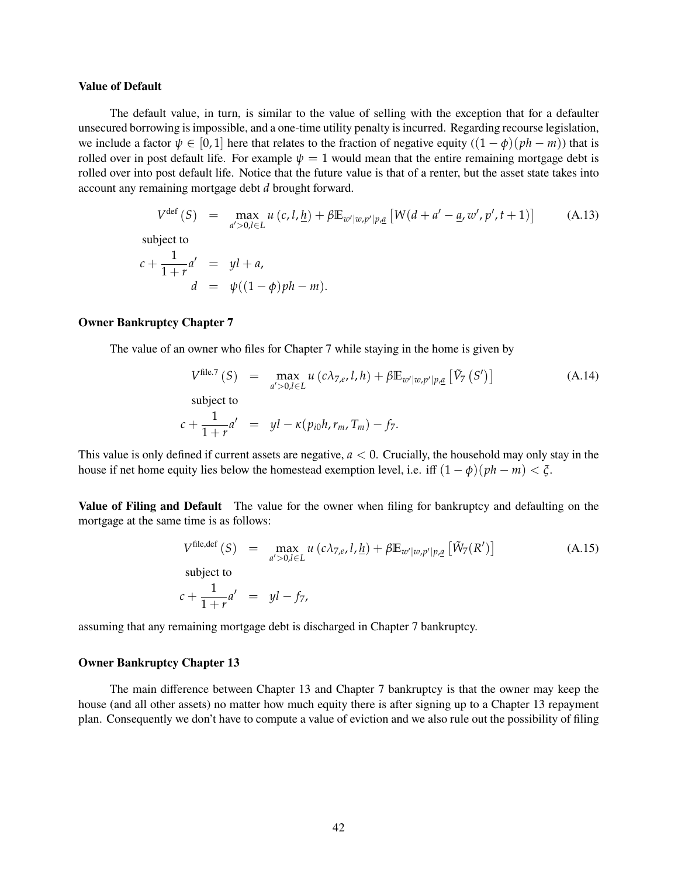#### **Value of Default**

The default value, in turn, is similar to the value of selling with the exception that for a defaulter unsecured borrowing is impossible, and a one-time utility penalty is incurred. Regarding recourse legislation, we include a factor  $\psi \in [0, 1]$  here that relates to the fraction of negative equity  $((1 - \phi)(ph - m))$  that is rolled over in post default life. For example  $\psi = 1$  would mean that the entire remaining mortgage debt is rolled over into post default life. Notice that the future value is that of a renter, but the asset state takes into account any remaining mortgage debt *d* brought forward.

$$
V^{\text{def}}(S) = \max_{a' > 0, l \in L} u(c, l, \underline{h}) + \beta \mathbb{E}_{w'|w, p'|p, \underline{a}} \left[ W(d + a' - \underline{a}, w', p', t + 1) \right] \tag{A.13}
$$

subject to

$$
c + \frac{1}{1+r}a' = yl + a,
$$
  
\n
$$
d = \psi((1-\phi)ph - m).
$$

### **Owner Bankruptcy Chapter 7**

The value of an owner who files for Chapter 7 while staying in the home is given by

$$
V^{\text{file.7}}(S) = \max_{a' > 0, l \in L} u(c\lambda_{7,e}, l, h) + \beta \mathbb{E}_{w'|w, p'|p, \underline{a}} \left[ \tilde{V}_7(S') \right]
$$
\nsubject to

\n
$$
c + \frac{1}{1+r} a' = yl - \kappa(p_{i0}h, r_m, T_m) - f_7.
$$
\n(A.14)

This value is only defined if current assets are negative,  $a < 0$ . Crucially, the household may only stay in the house if net home equity lies below the homestead exemption level, i.e. iff  $(1 - \phi)(ph - m) < \xi$ .

**Value of Filing and Default** The value for the owner when filing for bankruptcy and defaulting on the mortgage at the same time is as follows:

$$
V^{\text{file,def}}(S) = \max_{a' > 0, l \in L} u(c\lambda_{7,e}, l, \underline{h}) + \beta \mathbb{E}_{w'|w, p'|p, \underline{a}} \left[ \tilde{W}_7(R') \right]
$$
\nsubject to

\n
$$
c + \frac{1}{1+r} a' = yl - f_7,
$$
\n(A.15)

assuming that any remaining mortgage debt is discharged in Chapter 7 bankruptcy.

#### **Owner Bankruptcy Chapter 13**

The main difference between Chapter 13 and Chapter 7 bankruptcy is that the owner may keep the house (and all other assets) no matter how much equity there is after signing up to a Chapter 13 repayment plan. Consequently we don't have to compute a value of eviction and we also rule out the possibility of filing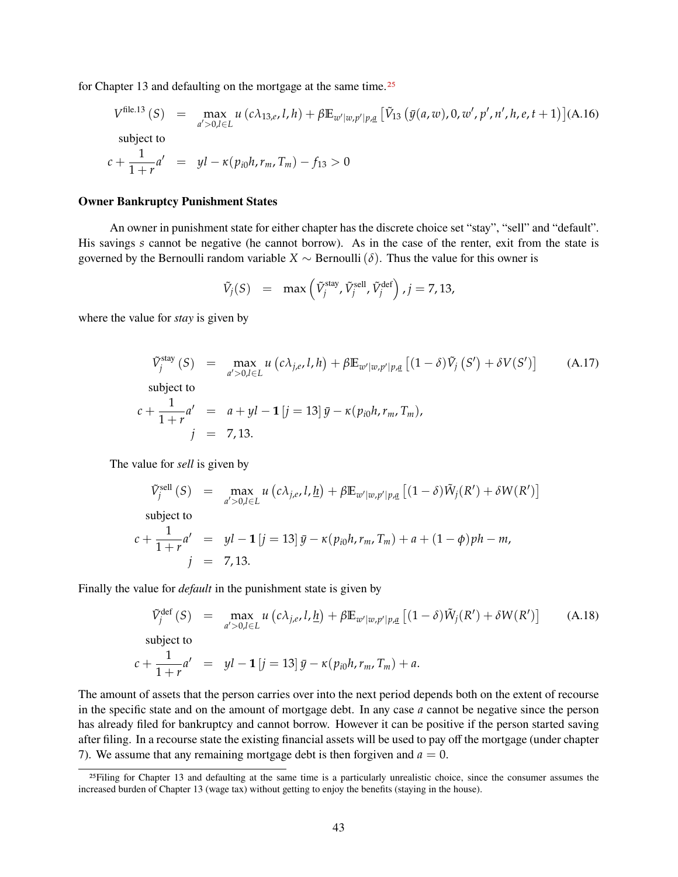for Chapter 13 and defaulting on the mortgage at the same time.<sup>[25](#page-1-0)</sup>

$$
V^{\text{file.13}}(S) = \max_{a' > 0, l \in L} u(c\lambda_{13,e}, l, h) + \beta \mathbb{E}_{w'|w, p'|p, \underline{a}} \left[ \tilde{V}_{13} \left( \bar{y}(a, w), 0, w', p', n', h, e, t + 1 \right) \right] (A.16)
$$
\n
$$
\text{subject to}
$$
\n
$$
c + \frac{1}{1+r} a' = yl - \kappa(p_{i0}h, r_m, T_m) - f_{13} > 0
$$

#### **Owner Bankruptcy Punishment States**

An owner in punishment state for either chapter has the discrete choice set "stay", "sell" and "default". His savings *s* cannot be negative (he cannot borrow). As in the case of the renter, exit from the state is governed by the Bernoulli random variable  $X \sim$  Bernoulli ( $\delta$ ). Thus the value for this owner is

$$
\tilde{V}_j(S) = \max\left(\tilde{V}_j^{\text{stay}}, \tilde{V}_j^{\text{sell}}, \tilde{V}_j^{\text{def}}\right), j = 7, 13,
$$

where the value for *stay* is given by

$$
\tilde{V}_j^{\text{stay}}(S) = \max_{a' > 0, l \in L} u(c\lambda_{j,e}, l, h) + \beta \mathbb{E}_{w'|w, p'|p, \underline{a}} [(1 - \delta)\tilde{V}_j(S') + \delta V(S')] \quad (A.17)
$$
\nsubject to\n
$$
c + \frac{1}{1+r}a' = a + yl - 1[j = 13]\bar{y} - \kappa(p_{i0}h, r_m, T_m),
$$
\n
$$
j = 7, 13.
$$

The value for *sell* is given by

$$
\tilde{V}_{j}^{\text{sell}}(S) = \max_{a' > 0, l \in L} u\left(c\lambda_{j,e}, l, \underline{h}\right) + \beta \mathbb{E}_{w'|w, p'|p, \underline{a}}\left[(1-\delta)\tilde{W}_{j}(R') + \delta W(R')\right]
$$
\nsubject to

$$
c + \frac{1}{1+r}a' = yl - 1 [j = 13] \bar{y} - \kappa (p_{i0}h, r_m, T_m) + a + (1-\phi)ph - m,
$$
  
\n
$$
j = 7, 13.
$$

Finally the value for *default* in the punishment state is given by

$$
\tilde{V}_j^{\text{def}}(S) = \max_{a' > 0, l \in L} u(c\lambda_{j,e}, l, \underline{h}) + \beta \mathbb{E}_{w'|w, p'|p, \underline{a}} [(1 - \delta)\tilde{W}_j(R') + \delta W(R')] \quad (A.18)
$$
\n
$$
\text{subject to}
$$
\n
$$
c + \frac{1}{1+r}a' = yl - 1[j = 13]\bar{y} - \kappa(p_{i0}h, r_m, T_m) + a.
$$

The amount of assets that the person carries over into the next period depends both on the extent of recourse in the specific state and on the amount of mortgage debt. In any case *a* cannot be negative since the person has already filed for bankruptcy and cannot borrow. However it can be positive if the person started saving after filing. In a recourse state the existing financial assets will be used to pay off the mortgage (under chapter 7). We assume that any remaining mortgage debt is then forgiven and  $a = 0$ .

<sup>&</sup>lt;sup>25</sup>Filing for Chapter 13 and defaulting at the same time is a particularly unrealistic choice, since the consumer assumes the increased burden of Chapter 13 (wage tax) without getting to enjoy the benefits (staying in the house).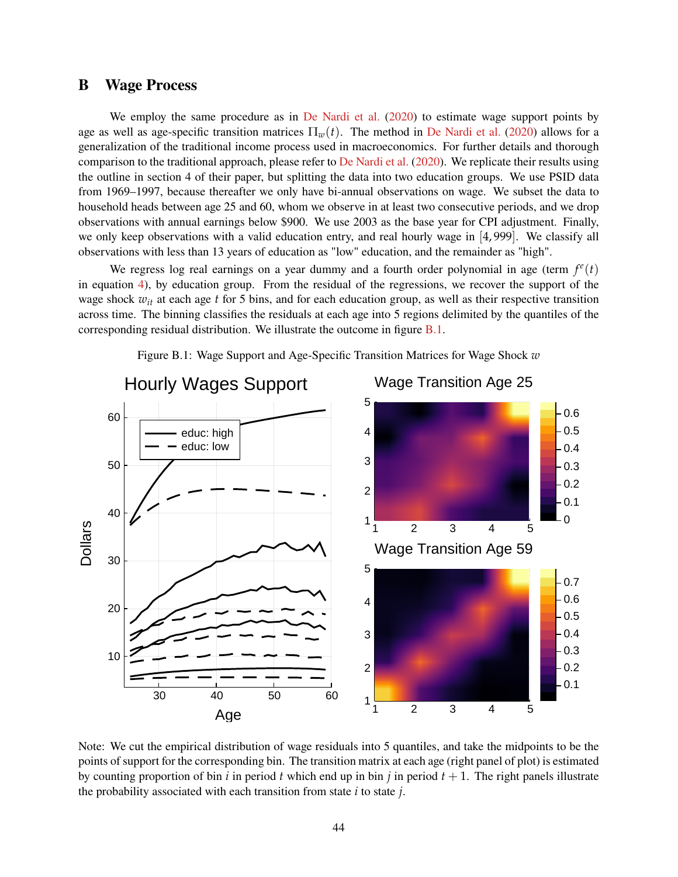### <span id="page-44-0"></span>**B Wage Process**

We employ the same procedure as in [De Nardi et al.](#page-38-13) [\(2020\)](#page-38-13) to estimate wage support points by age as well as age-specific transition matrices  $\Pi_w(t)$ . The method in [De Nardi et al.](#page-38-13) [\(2020\)](#page-38-13) allows for a generalization of the traditional income process used in macroeconomics. For further details and thorough comparison to the traditional approach, please refer to [De Nardi et al.](#page-38-13) [\(2020\)](#page-38-13). We replicate their results using the outline in section 4 of their paper, but splitting the data into two education groups. We use PSID data from 1969–1997, because thereafter we only have bi-annual observations on wage. We subset the data to household heads between age 25 and 60, whom we observe in at least two consecutive periods, and we drop observations with annual earnings below \$900. We use 2003 as the base year for CPI adjustment. Finally, we only keep observations with a valid education entry, and real hourly wage in [4, 999]. We classify all observations with less than 13 years of education as "low" education, and the remainder as "high".

We regress log real earnings on a year dummy and a fourth order polynomial in age (term  $f^e(t)$ ) in equation [4\)](#page-13-0), by education group. From the residual of the regressions, we recover the support of the wage shock  $w_{it}$  at each age  $t$  for 5 bins, and for each education group, as well as their respective transition across time. The binning classifies the residuals at each age into 5 regions delimited by the quantiles of the corresponding residual distribution. We illustrate the outcome in figure [B.1.](#page-44-1)

<span id="page-44-1"></span>

Figure B.1: Wage Support and Age-Specific Transition Matrices for Wage Shock *w*

Note: We cut the empirical distribution of wage residuals into 5 quantiles, and take the midpoints to be the points of support for the corresponding bin. The transition matrix at each age (right panel of plot) is estimated by counting proportion of bin *i* in period *t* which end up in bin *j* in period  $t + 1$ . The right panels illustrate the probability associated with each transition from state *i* to state *j*.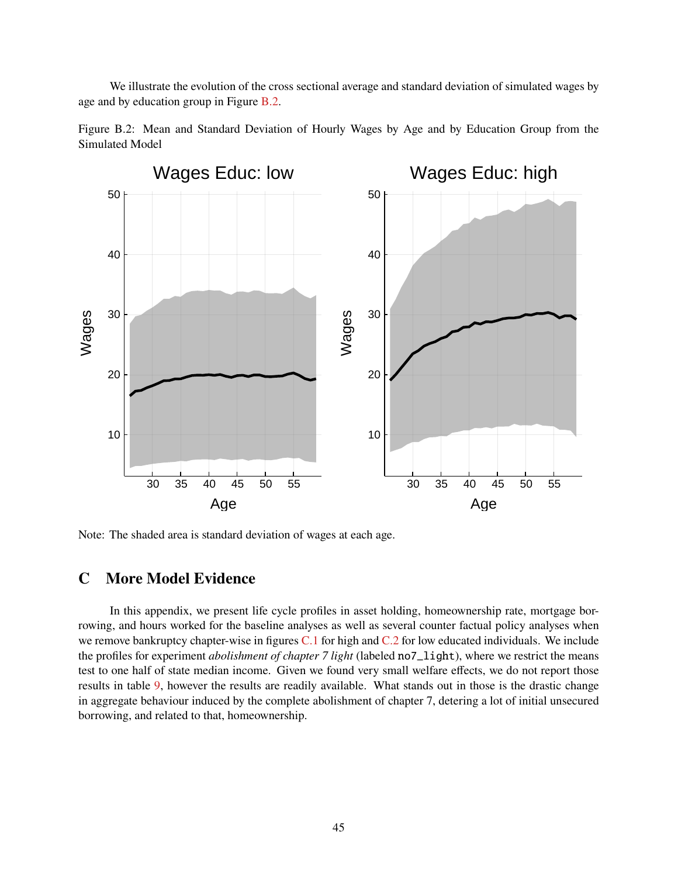We illustrate the evolution of the cross sectional average and standard deviation of simulated wages by age and by education group in Figure [B.2.](#page-45-0)

<span id="page-45-0"></span>



Note: The shaded area is standard deviation of wages at each age.

### **C More Model Evidence**

In this appendix, we present life cycle profiles in asset holding, homeownership rate, mortgage borrowing, and hours worked for the baseline analyses as well as several counter factual policy analyses when we remove bankruptcy chapter-wise in figures [C.1](#page-46-0) for high and [C.2](#page-47-0) for low educated individuals. We include the profiles for experiment *abolishment of chapter 7 light* (labeled no7\_light), where we restrict the means test to one half of state median income. Given we found very small welfare effects, we do not report those results in table [9,](#page-33-0) however the results are readily available. What stands out in those is the drastic change in aggregate behaviour induced by the complete abolishment of chapter 7, detering a lot of initial unsecured borrowing, and related to that, homeownership.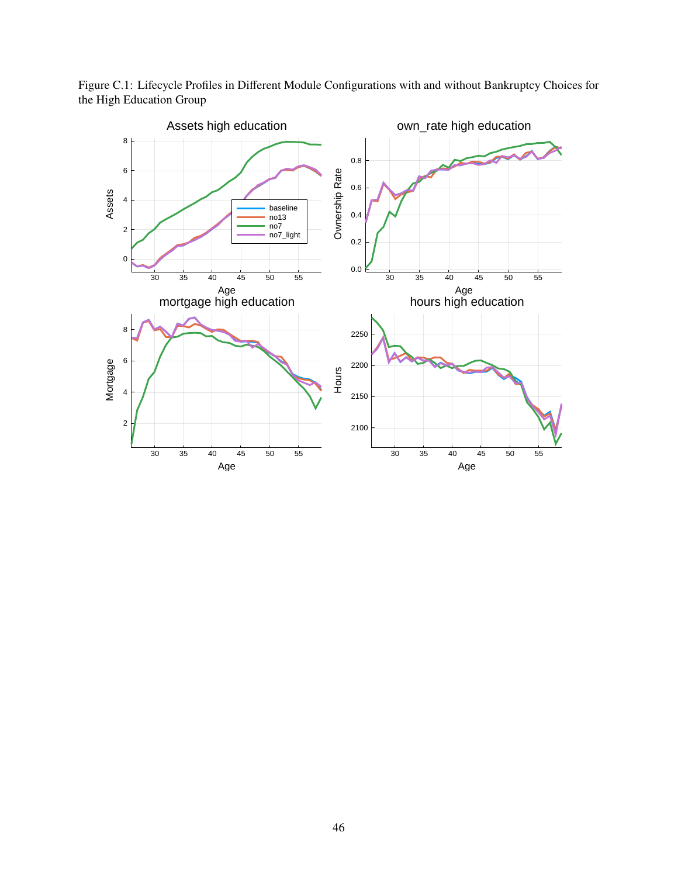<span id="page-46-0"></span>Figure C.1: Lifecycle Profiles in Different Module Configurations with and without Bankruptcy Choices for the High Education Group

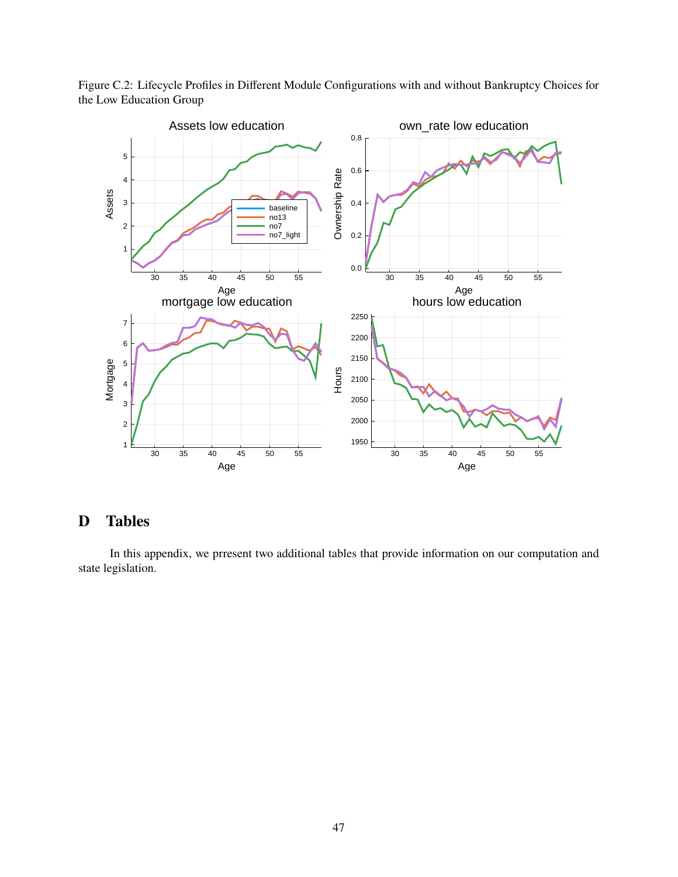

<span id="page-47-0"></span>Figure C.2: Lifecycle Profiles in Different Module Configurations with and without Bankruptcy Choices for the Low Education Group

# **D Tables**

In this appendix, we prresent two additional tables that provide information on our computation and state legislation.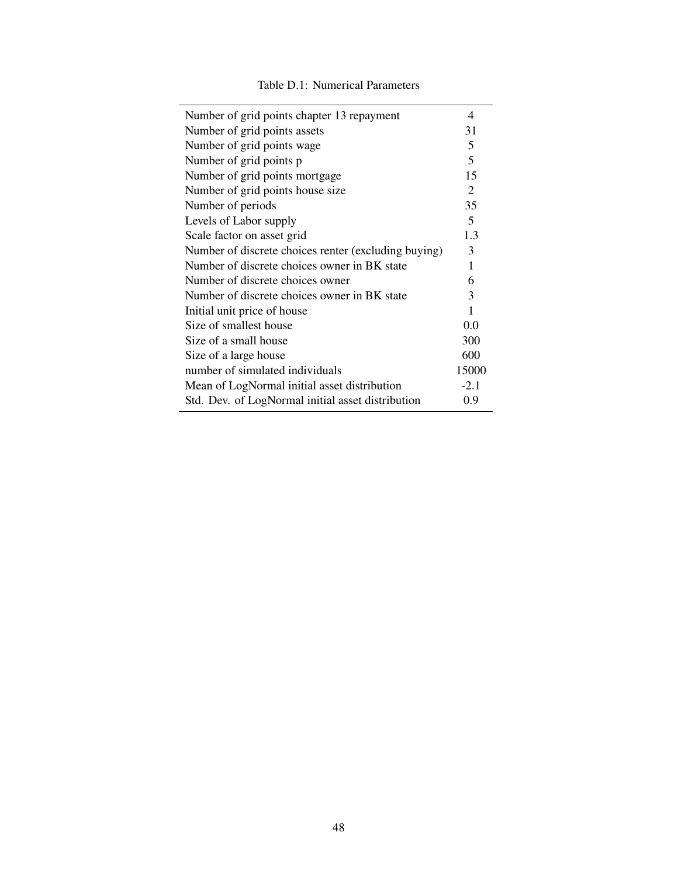|  | Table D.1: Numerical Parameters |
|--|---------------------------------|
|--|---------------------------------|

| Number of grid points chapter 13 repayment           | 4      |
|------------------------------------------------------|--------|
| Number of grid points assets                         | 31     |
| Number of grid points wage                           | 5      |
| Number of grid points p                              | 5      |
| Number of grid points mortgage                       | 15     |
| Number of grid points house size                     | 2      |
| Number of periods                                    | 35     |
| Levels of Labor supply                               | 5      |
| Scale factor on asset grid                           | 1.3    |
| Number of discrete choices renter (excluding buying) | 3      |
| Number of discrete choices owner in BK state         | 1      |
| Number of discrete choices owner                     | 6      |
| Number of discrete choices owner in BK state         | 3      |
| Initial unit price of house                          | 1      |
| Size of smallest house                               | 0.0    |
| Size of a small house                                | 300    |
| Size of a large house                                | 600    |
| number of simulated individuals                      | 15000  |
| Mean of LogNormal initial asset distribution         | $-2.1$ |
| Std. Dev. of LogNormal initial asset distribution    | 0.9    |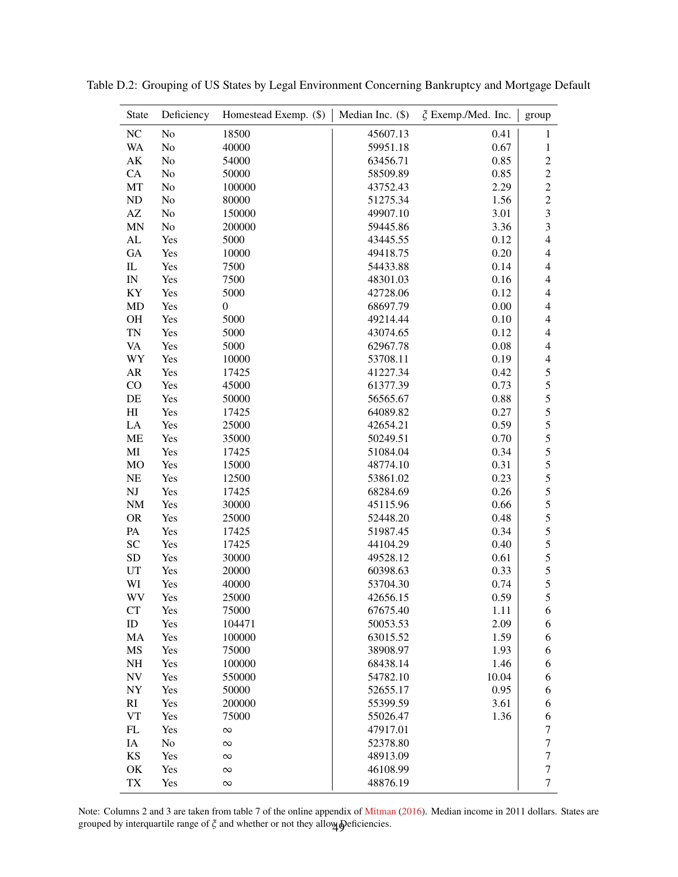| <b>State</b>           | Deficiency | Homestead Exemp. (\$) | Median Inc. (\$) | $\xi$ Exemp./Med. Inc. | group                   |
|------------------------|------------|-----------------------|------------------|------------------------|-------------------------|
| NC                     | No         | 18500                 | 45607.13         | 0.41                   | $\mathbf{1}$            |
| <b>WA</b>              | No         | 40000                 | 59951.18         | 0.67                   | $\mathbf{1}$            |
| AK                     | No         | 54000                 | 63456.71         | 0.85                   | $\overline{c}$          |
| CA                     | No         | 50000                 | 58509.89         | 0.85                   | $\sqrt{2}$              |
| MT                     | No         | 100000                | 43752.43         | 2.29                   | $\mathbf 2$             |
| ND                     | No         | 80000                 | 51275.34         | 1.56                   | $\sqrt{2}$              |
| $\mathbf{A}\mathbf{Z}$ | No         | 150000                | 49907.10         | 3.01                   | $\overline{\mathbf{3}}$ |
| <b>MN</b>              | No         | 200000                | 59445.86         | 3.36                   | 3                       |
| ${\rm AL}$             | Yes        | 5000                  | 43445.55         | 0.12                   | $\overline{4}$          |
| <b>GA</b>              | Yes        | 10000                 | 49418.75         | 0.20                   | $\overline{4}$          |
| $\rm IL$               | Yes        | 7500                  | 54433.88         | 0.14                   | $\overline{4}$          |
| IN                     | Yes        | 7500                  | 48301.03         | 0.16                   | $\overline{4}$          |
| KY                     | Yes        | 5000                  | 42728.06         | 0.12                   | $\overline{4}$          |
| MD                     | Yes        | $\boldsymbol{0}$      | 68697.79         | 0.00                   | $\overline{4}$          |
| OH                     | Yes        | 5000                  | 49214.44         | 0.10                   | $\overline{4}$          |
| <b>TN</b>              | Yes        | 5000                  | 43074.65         | 0.12                   | $\overline{4}$          |
| <b>VA</b>              | Yes        | 5000                  | 62967.78         | 0.08                   | $\overline{4}$          |
| WY                     | Yes        | 10000                 | 53708.11         | 0.19                   | $\overline{4}$          |
| ${\sf AR}$             | Yes        | 17425                 | 41227.34         | 0.42                   | $\sqrt{5}$              |
| CO                     | Yes        | 45000                 | 61377.39         | 0.73                   | 5                       |
| DE                     | Yes        | 50000                 | 56565.67         | 0.88                   | 5                       |
| H <sub>I</sub>         | Yes        | 17425                 | 64089.82         | 0.27                   | 5                       |
| LA                     | Yes        | 25000                 | 42654.21         | 0.59                   | 5                       |
| ME                     | Yes        | 35000                 | 50249.51         | 0.70                   | 5                       |
| MI                     | Yes        | 17425                 | 51084.04         | 0.34                   | 5                       |
| MO                     | Yes        | 15000                 | 48774.10         | 0.31                   | 5                       |
| NE                     | Yes        | 12500                 | 53861.02         | 0.23                   | 5                       |
| NJ                     | Yes        | 17425                 | 68284.69         | 0.26                   | $\sqrt{5}$              |
| NM                     | Yes        | 30000                 | 45115.96         | 0.66                   | 5                       |
| <b>OR</b>              | Yes        | 25000                 | 52448.20         | 0.48                   | 5                       |
| PA                     | Yes        | 17425                 | 51987.45         | 0.34                   | 5                       |
| <b>SC</b>              | Yes        | 17425                 | 44104.29         | 0.40                   | 5                       |
| <b>SD</b>              | Yes        | 30000                 | 49528.12         | 0.61                   | 5                       |
| UT                     | Yes        | 20000                 | 60398.63         | 0.33                   | 5                       |
| WI                     | Yes        | 40000                 | 53704.30         | 0.74                   | 5                       |
| WV                     | Yes        | 25000                 | 42656.15         | 0.59                   | 5                       |
| <b>CT</b>              | Yes        | 75000                 | 67675.40         | 1.11                   | 6                       |
| ID                     | Yes        | 104471                | 50053.53         | 2.09                   | 6                       |
| MA                     | Yes        | 100000                | 63015.52         | 1.59                   | 6                       |
| MS                     | Yes        | 75000                 | 38908.97         | 1.93                   | 6                       |
| NH                     | Yes        | 100000                | 68438.14         | 1.46                   | 6                       |
| <b>NV</b>              | Yes        | 550000                | 54782.10         | 10.04                  | 6                       |
| NY                     | Yes        | 50000                 | 52655.17         | 0.95                   | 6                       |
| RI                     | Yes        | 200000                | 55399.59         | 3.61                   | 6                       |
| VT                     | Yes        | 75000                 | 55026.47         | 1.36                   | 6                       |
| FL                     | Yes        | $\infty$              | 47917.01         |                        | 7                       |
| IA                     | No         | $\infty$              | 52378.80         |                        | 7                       |
| KS                     | Yes        | $\infty$              | 48913.09         |                        | 7                       |
| OK                     | Yes        | $\infty$              | 46108.99         |                        | 7                       |
| TX                     | Yes        | $\infty$              | 48876.19         |                        | $\tau$                  |

<span id="page-49-0"></span>Table D.2: Grouping of US States by Legal Environment Concerning Bankruptcy and Mortgage Default

Note: Columns 2 and 3 are taken from table 7 of the online appendix of [Mitman](#page-38-0) [\(2016\)](#page-38-0). Median income in 2011 dollars. States are grouped by interquartile range of  $\zeta$  and whether or not they allow  $\phi$  eficiencies.